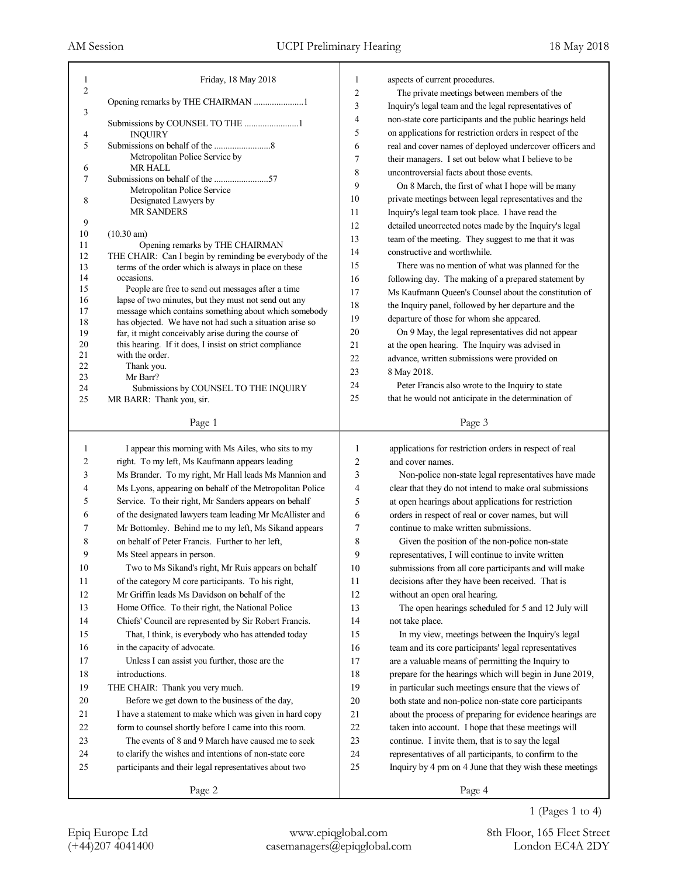| 1<br>$\overline{c}$ | Friday, 18 May 2018                                                                                           | 1<br>$\overline{2}$ | aspects of current procedures.<br>The private meetings between members of the |
|---------------------|---------------------------------------------------------------------------------------------------------------|---------------------|-------------------------------------------------------------------------------|
|                     | Opening remarks by THE CHAIRMAN 1                                                                             | 3                   | Inquiry's legal team and the legal representatives of                         |
| 3                   |                                                                                                               | 4                   | non-state core participants and the public hearings held                      |
| 4                   | Submissions by COUNSEL TO THE 1<br><b>INQUIRY</b>                                                             | 5                   | on applications for restriction orders in respect of the                      |
| 5                   |                                                                                                               | 6                   | real and cover names of deployed undercover officers and                      |
|                     | Metropolitan Police Service by                                                                                | 7                   | their managers. I set out below what I believe to be                          |
| 6                   | <b>MR HALL</b>                                                                                                | 8                   | uncontroversial facts about those events.                                     |
| 7                   | Metropolitan Police Service                                                                                   | 9                   | On 8 March, the first of what I hope will be many                             |
| 8                   | Designated Lawyers by                                                                                         | 10                  | private meetings between legal representatives and the                        |
|                     | <b>MR SANDERS</b>                                                                                             | 11                  | Inquiry's legal team took place. I have read the                              |
| 9                   |                                                                                                               | 12                  | detailed uncorrected notes made by the Inquiry's legal                        |
| 10<br>11            | $(10.30 \text{ am})$<br>Opening remarks by THE CHAIRMAN                                                       | 13                  | team of the meeting. They suggest to me that it was                           |
| 12                  | THE CHAIR: Can I begin by reminding be everybody of the                                                       | 14                  | constructive and worthwhile.                                                  |
| 13                  | terms of the order which is always in place on these                                                          | 15                  | There was no mention of what was planned for the                              |
| 14                  | occasions.                                                                                                    | 16                  | following day. The making of a prepared statement by                          |
| 15<br>16            | People are free to send out messages after a time                                                             | 17                  | Ms Kaufmann Queen's Counsel about the constitution of                         |
| 17                  | lapse of two minutes, but they must not send out any<br>message which contains something about which somebody | 18                  | the Inquiry panel, followed by her departure and the                          |
| 18                  | has objected. We have not had such a situation arise so                                                       | 19                  | departure of those for whom she appeared.                                     |
| 19                  | far, it might conceivably arise during the course of                                                          | 20                  | On 9 May, the legal representatives did not appear                            |
| 20                  | this hearing. If it does, I insist on strict compliance                                                       | 21                  | at the open hearing. The Inquiry was advised in                               |
| 21<br>22            | with the order.<br>Thank you.                                                                                 | 22                  | advance, written submissions were provided on                                 |
| 23                  | Mr Barr?                                                                                                      | 23                  | 8 May 2018.                                                                   |
| 24                  | Submissions by COUNSEL TO THE INQUIRY                                                                         | 24                  | Peter Francis also wrote to the Inquiry to state                              |
| 25                  | MR BARR: Thank you, sir.                                                                                      | 25                  | that he would not anticipate in the determination of                          |
|                     | Page 1                                                                                                        |                     | Page 3                                                                        |
|                     |                                                                                                               |                     |                                                                               |
| 1                   | I appear this morning with Ms Ailes, who sits to my                                                           | 1                   | applications for restriction orders in respect of real                        |
| 2                   | right. To my left, Ms Kaufmann appears leading                                                                | 2                   | and cover names.                                                              |
| 3                   | Ms Brander. To my right, Mr Hall leads Ms Mannion and                                                         | 3                   | Non-police non-state legal representatives have made                          |
| 4                   | Ms Lyons, appearing on behalf of the Metropolitan Police                                                      | 4                   | clear that they do not intend to make oral submissions                        |
| 5                   | Service. To their right, Mr Sanders appears on behalf                                                         | 5                   | at open hearings about applications for restriction                           |
| 6                   | of the designated lawyers team leading Mr McAllister and                                                      | 6                   | orders in respect of real or cover names, but will                            |
| 7                   | Mr Bottomley. Behind me to my left, Ms Sikand appears                                                         | 7                   | continue to make written submissions.                                         |
| 8                   | on behalf of Peter Francis. Further to her left,                                                              | 8                   | Given the position of the non-police non-state                                |
| 9                   | Ms Steel appears in person.                                                                                   | 9                   | representatives, I will continue to invite written                            |
| 10                  | Two to Ms Sikand's right, Mr Ruis appears on behalf                                                           | 10                  | submissions from all core participants and will make                          |
| 11                  | of the category M core participants. To his right,                                                            | 11                  | decisions after they have been received. That is                              |
| 12                  | Mr Griffin leads Ms Davidson on behalf of the                                                                 | 12                  | without an open oral hearing.                                                 |
| 13                  | Home Office. To their right, the National Police                                                              | 13                  | The open hearings scheduled for 5 and 12 July will                            |
| 14                  | Chiefs' Council are represented by Sir Robert Francis.                                                        | 14                  | not take place.                                                               |
| 15                  | That, I think, is everybody who has attended today                                                            | 15                  | In my view, meetings between the Inquiry's legal                              |
| 16                  | in the capacity of advocate.                                                                                  | 16                  | team and its core participants' legal representatives                         |
| 17                  | Unless I can assist you further, those are the                                                                | 17                  | are a valuable means of permitting the Inquiry to                             |
| 18                  | introductions.                                                                                                | 18                  | prepare for the hearings which will begin in June 2019,                       |
| 19                  | THE CHAIR: Thank you very much.                                                                               | 19                  | in particular such meetings ensure that the views of                          |
| 20                  | Before we get down to the business of the day,                                                                | 20                  | both state and non-police non-state core participants                         |
| 21                  | I have a statement to make which was given in hard copy                                                       | 21                  | about the process of preparing for evidence hearings are                      |
| 22                  | form to counsel shortly before I came into this room.                                                         | 22                  | taken into account. I hope that these meetings will                           |
| 23                  | The events of 8 and 9 March have caused me to seek                                                            | 23                  | continue. I invite them, that is to say the legal                             |
| 24                  | to clarify the wishes and intentions of non-state core                                                        | 24                  | representatives of all participants, to confirm to the                        |
| 25                  | participants and their legal representatives about two                                                        | 25                  | Inquiry by 4 pm on 4 June that they wish these meetings                       |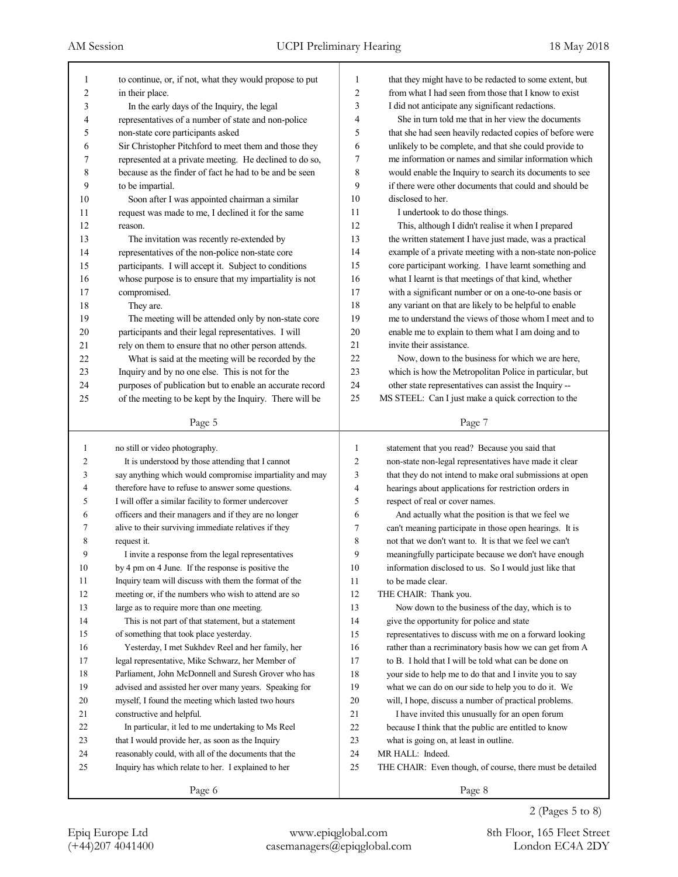| 1              | to continue, or, if not, what they would propose to put  | 1              | that they might have to be redacted to some extent, but   |
|----------------|----------------------------------------------------------|----------------|-----------------------------------------------------------|
| 2              | in their place.                                          | 2              | from what I had seen from those that I know to exist      |
| 3              | In the early days of the Inquiry, the legal              | 3              | I did not anticipate any significant redactions.          |
| 4              | representatives of a number of state and non-police      | 4              | She in turn told me that in her view the documents        |
| 5              | non-state core participants asked                        | 5              | that she had seen heavily redacted copies of before were  |
| 6              | Sir Christopher Pitchford to meet them and those they    | 6              | unlikely to be complete, and that she could provide to    |
| 7              | represented at a private meeting. He declined to do so,  | 7              | me information or names and similar information which     |
| 8              | because as the finder of fact he had to be and be seen   | 8              | would enable the Inquiry to search its documents to see   |
| 9              | to be impartial.                                         | 9              | if there were other documents that could and should be    |
| 10             | Soon after I was appointed chairman a similar            | 10             | disclosed to her.                                         |
| 11             | request was made to me, I declined it for the same       | 11             | I undertook to do those things.                           |
| 12             | reason.                                                  | 12             | This, although I didn't realise it when I prepared        |
| 13             | The invitation was recently re-extended by               | 13             | the written statement I have just made, was a practical   |
| 14             | representatives of the non-police non-state core         | 14             | example of a private meeting with a non-state non-police  |
| 15             | participants. I will accept it. Subject to conditions    | 15             | core participant working. I have learnt something and     |
| 16             | whose purpose is to ensure that my impartiality is not   | 16             | what I learnt is that meetings of that kind, whether      |
| 17             | compromised.                                             | 17             | with a significant number or on a one-to-one basis or     |
| 18             | They are.                                                | 18             | any variant on that are likely to be helpful to enable    |
| 19             | The meeting will be attended only by non-state core      | 19             | me to understand the views of those whom I meet and to    |
| 20             | participants and their legal representatives. I will     | 20             | enable me to explain to them what I am doing and to       |
| 21             | rely on them to ensure that no other person attends.     | 21             | invite their assistance.                                  |
| 22             | What is said at the meeting will be recorded by the      | 22             | Now, down to the business for which we are here,          |
| 23             | Inquiry and by no one else. This is not for the          | 23             | which is how the Metropolitan Police in particular, but   |
| 24             | purposes of publication but to enable an accurate record | 24             | other state representatives can assist the Inquiry --     |
| 25             | of the meeting to be kept by the Inquiry. There will be  | 25             | MS STEEL: Can I just make a quick correction to the       |
|                | Page 5                                                   |                | Page 7                                                    |
|                |                                                          |                |                                                           |
|                |                                                          |                |                                                           |
| 1              | no still or video photography.                           | 1              | statement that you read? Because you said that            |
| $\overline{2}$ | It is understood by those attending that I cannot        | $\overline{2}$ | non-state non-legal representatives have made it clear    |
| 3              | say anything which would compromise impartiality and may | 3              | that they do not intend to make oral submissions at open  |
| 4              | therefore have to refuse to answer some questions.       | 4              | hearings about applications for restriction orders in     |
| 5              | I will offer a similar facility to former undercover     | 5              | respect of real or cover names.                           |
| 6              | officers and their managers and if they are no longer    | 6              | And actually what the position is that we feel we         |
| 7              | alive to their surviving immediate relatives if they     | 7              | can't meaning participate in those open hearings. It is   |
| 8              | request it.                                              | 8              | not that we don't want to. It is that we feel we can't    |
| 9              | I invite a response from the legal representatives       | 9              | meaningfully participate because we don't have enough     |
| 10             | by 4 pm on 4 June. If the response is positive the       | 10             | information disclosed to us. So I would just like that    |
| 11             | Inquiry team will discuss with them the format of the    | 11             | to be made clear.                                         |
| 12             | meeting or, if the numbers who wish to attend are so     | 12             | THE CHAIR: Thank you.                                     |
| 13             | large as to require more than one meeting.               | 13             | Now down to the business of the day, which is to          |
| 14             | This is not part of that statement, but a statement      | 14             | give the opportunity for police and state                 |
| 15             | of something that took place yesterday.                  | 15             | representatives to discuss with me on a forward looking   |
| 16             | Yesterday, I met Sukhdev Reel and her family, her        | 16             | rather than a recriminatory basis how we can get from A   |
| 17             | legal representative, Mike Schwarz, her Member of        | 17             | to B. I hold that I will be told what can be done on      |
| 18             | Parliament, John McDonnell and Suresh Grover who has     | 18             | your side to help me to do that and I invite you to say   |
| 19             | advised and assisted her over many years. Speaking for   | 19             | what we can do on our side to help you to do it. We       |
| 20             | myself, I found the meeting which lasted two hours       | $20\,$         | will, I hope, discuss a number of practical problems.     |
| 21             | constructive and helpful.                                | 21             | I have invited this unusually for an open forum           |
| 22             | In particular, it led to me undertaking to Ms Reel       | $22\,$         | because I think that the public are entitled to know      |
| 23             | that I would provide her, as soon as the Inquiry         | 23             | what is going on, at least in outline.                    |
| 24             | reasonably could, with all of the documents that the     | 24             | MR HALL: Indeed.                                          |
| 25             | Inquiry has which relate to her. I explained to her      | 25             | THE CHAIR: Even though, of course, there must be detailed |
|                | Page 6                                                   |                | Page 8                                                    |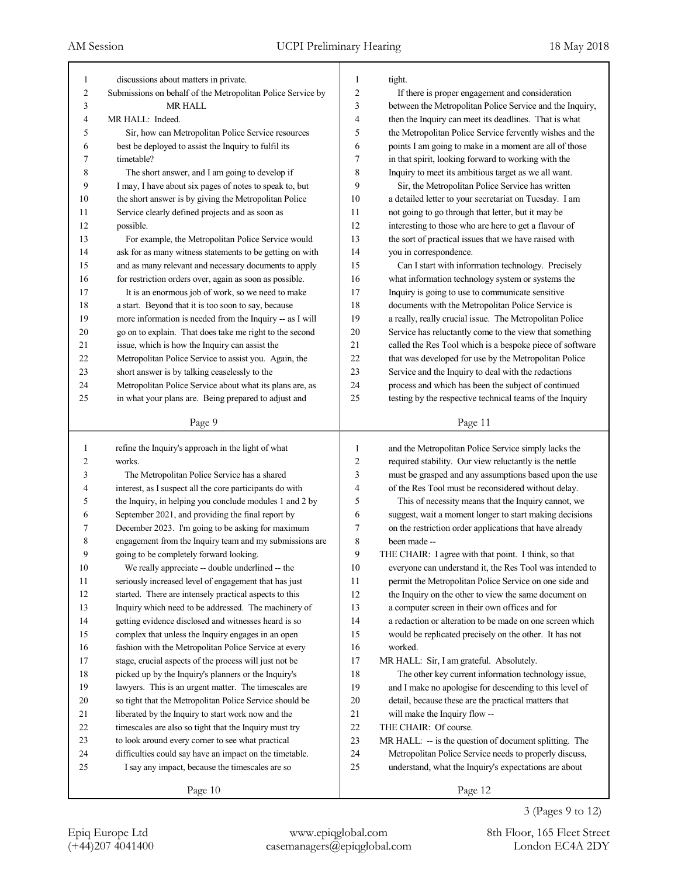| $\mathbf{1}$   | discussions about matters in private.                        | 1              | tight.                                                   |
|----------------|--------------------------------------------------------------|----------------|----------------------------------------------------------|
| $\overline{c}$ | Submissions on behalf of the Metropolitan Police Service by  | $\overline{2}$ | If there is proper engagement and consideration          |
| 3              | <b>MR HALL</b>                                               | $\mathfrak{Z}$ | between the Metropolitan Police Service and the Inquiry, |
| $\overline{4}$ | MR HALL: Indeed.                                             | $\overline{4}$ | then the Inquiry can meet its deadlines. That is what    |
| 5              | Sir, how can Metropolitan Police Service resources           | 5              | the Metropolitan Police Service fervently wishes and the |
| 6              | best be deployed to assist the Inquiry to fulfil its         | 6              | points I am going to make in a moment are all of those   |
| 7              | timetable?                                                   | 7              | in that spirit, looking forward to working with the      |
| 8              | The short answer, and I am going to develop if               | 8              | Inquiry to meet its ambitious target as we all want.     |
| 9              | I may, I have about six pages of notes to speak to, but      | 9              | Sir, the Metropolitan Police Service has written         |
| 10             | the short answer is by giving the Metropolitan Police        | 10             | a detailed letter to your secretariat on Tuesday. I am   |
| 11             | Service clearly defined projects and as soon as              | 11             | not going to go through that letter, but it may be       |
| 12             | possible.                                                    | 12             | interesting to those who are here to get a flavour of    |
| 13             | For example, the Metropolitan Police Service would           | 13             | the sort of practical issues that we have raised with    |
| 14             | ask for as many witness statements to be getting on with     | 14             | you in correspondence.                                   |
| 15             | and as many relevant and necessary documents to apply        | 15             | Can I start with information technology. Precisely       |
| 16             | for restriction orders over, again as soon as possible.      | 16             | what information technology system or systems the        |
| 17             | It is an enormous job of work, so we need to make            | 17             | Inquiry is going to use to communicate sensitive         |
| 18             | a start. Beyond that it is too soon to say, because          | 18             | documents with the Metropolitan Police Service is        |
| 19             | more information is needed from the Inquiry -- as I will     | 19             | a really, really crucial issue. The Metropolitan Police  |
| 20             | go on to explain. That does take me right to the second      | 20             | Service has reluctantly come to the view that something  |
| 21             | issue, which is how the Inquiry can assist the               | 21             | called the Res Tool which is a bespoke piece of software |
| 22             | Metropolitan Police Service to assist you. Again, the        | 22             | that was developed for use by the Metropolitan Police    |
| 23             | short answer is by talking ceaselessly to the                | 23             | Service and the Inquiry to deal with the redactions      |
| 24             | Metropolitan Police Service about what its plans are, as     | 24             | process and which has been the subject of continued      |
| 25             | in what your plans are. Being prepared to adjust and         | 25             | testing by the respective technical teams of the Inquiry |
|                |                                                              |                |                                                          |
|                | Page 9                                                       |                | Page 11                                                  |
|                |                                                              |                |                                                          |
| $\mathbf{1}$   |                                                              | 1              | and the Metropolitan Police Service simply lacks the     |
| 2              | refine the Inquiry's approach in the light of what<br>works. | 2              | required stability. Our view reluctantly is the nettle   |
| 3              | The Metropolitan Police Service has a shared                 | 3              | must be grasped and any assumptions based upon the use   |
| 4              | interest, as I suspect all the core participants do with     | 4              | of the Res Tool must be reconsidered without delay.      |
| 5              | the Inquiry, in helping you conclude modules 1 and 2 by      | 5              | This of necessity means that the Inquiry cannot, we      |
| 6              | September 2021, and providing the final report by            | 6              | suggest, wait a moment longer to start making decisions  |
| 7              | December 2023. I'm going to be asking for maximum            | 7              | on the restriction order applications that have already  |
| 8              | engagement from the Inquiry team and my submissions are      | 8              | been made --                                             |
| 9              | going to be completely forward looking.                      | 9              | THE CHAIR: I agree with that point. I think, so that     |
| 10             | We really appreciate -- double underlined -- the             | 10             | everyone can understand it, the Res Tool was intended to |
| 11             | seriously increased level of engagement that has just        | 11             | permit the Metropolitan Police Service on one side and   |
| 12             | started. There are intensely practical aspects to this       | 12             | the Inquiry on the other to view the same document on    |
| 13             | Inquiry which need to be addressed. The machinery of         | 13             | a computer screen in their own offices and for           |
| 14             | getting evidence disclosed and witnesses heard is so         | 14             | a redaction or alteration to be made on one screen which |
| 15             | complex that unless the Inquiry engages in an open           | 15             | would be replicated precisely on the other. It has not   |
| 16             | fashion with the Metropolitan Police Service at every        | 16             | worked.                                                  |
| 17             | stage, crucial aspects of the process will just not be       | 17             | MR HALL: Sir, I am grateful. Absolutely.                 |
| 18             | picked up by the Inquiry's planners or the Inquiry's         | 18             | The other key current information technology issue,      |
| 19             | lawyers. This is an urgent matter. The timescales are        | 19             | and I make no apologise for descending to this level of  |
| 20             | so tight that the Metropolitan Police Service should be      | 20             | detail, because these are the practical matters that     |
| 21             | liberated by the Inquiry to start work now and the           | 21             | will make the Inquiry flow --                            |
| 22             | timescales are also so tight that the Inquiry must try       | 22             | THE CHAIR: Of course.                                    |
| 23             | to look around every corner to see what practical            | 23             | MR HALL: -- is the question of document splitting. The   |
| 24             | difficulties could say have an impact on the timetable.      | 24             | Metropolitan Police Service needs to properly discuss,   |
| 25             | I say any impact, because the timescales are so              | 25             | understand, what the Inquiry's expectations are about    |

3 (Pages 9 to 12)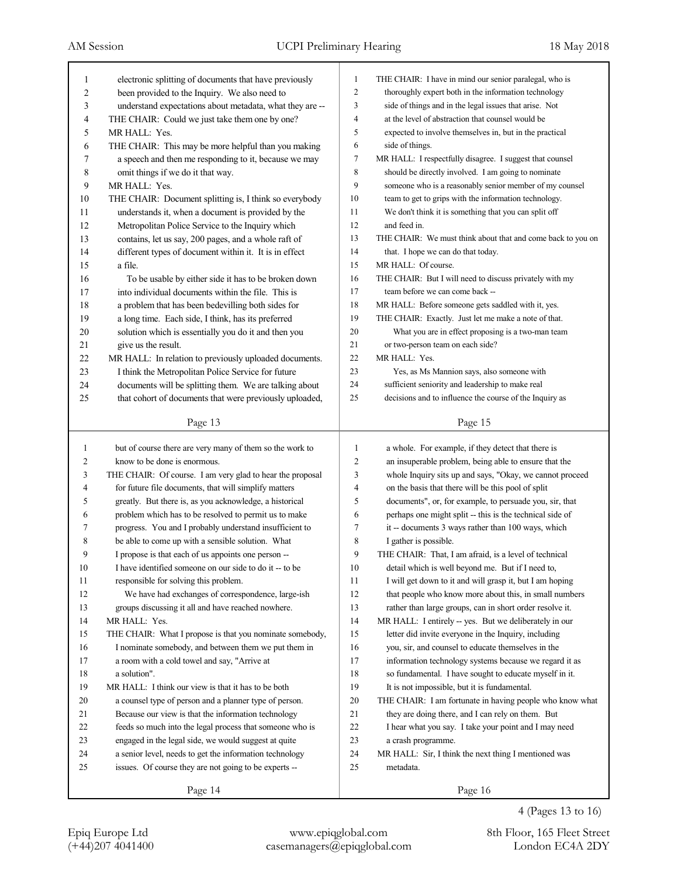| 1            | electronic splitting of documents that have previously                                                           | $\mathbf{1}$   | THE CHAIR: I have in mind our senior paralegal, who is            |
|--------------|------------------------------------------------------------------------------------------------------------------|----------------|-------------------------------------------------------------------|
| 2            | been provided to the Inquiry. We also need to                                                                    | $\overline{c}$ | thoroughly expert both in the information technology              |
| 3            | understand expectations about metadata, what they are --                                                         | 3              | side of things and in the legal issues that arise. Not            |
| 4            | THE CHAIR: Could we just take them one by one?                                                                   | $\overline{4}$ | at the level of abstraction that counsel would be                 |
| 5            | MR HALL: Yes.                                                                                                    | 5              | expected to involve themselves in, but in the practical           |
| 6            | THE CHAIR: This may be more helpful than you making                                                              | 6              | side of things.                                                   |
| 7            | a speech and then me responding to it, because we may                                                            | 7              | MR HALL: I respectfully disagree. I suggest that counsel          |
| 8            | omit things if we do it that way.                                                                                | 8              | should be directly involved. I am going to nominate               |
| 9            | MR HALL: Yes.                                                                                                    | 9              | someone who is a reasonably senior member of my counsel           |
| 10           | THE CHAIR: Document splitting is, I think so everybody                                                           | 10             | team to get to grips with the information technology.             |
| 11           | understands it, when a document is provided by the                                                               | 11             | We don't think it is something that you can split off             |
| 12           | Metropolitan Police Service to the Inquiry which                                                                 | 12             | and feed in.                                                      |
| 13           | contains, let us say, 200 pages, and a whole raft of                                                             | 13             | THE CHAIR: We must think about that and come back to you on       |
| 14           | different types of document within it. It is in effect                                                           | 14             | that. I hope we can do that today.                                |
| 15           | a file.                                                                                                          | 15             | MR HALL: Of course.                                               |
| 16           | To be usable by either side it has to be broken down                                                             | 16             | THE CHAIR: But I will need to discuss privately with my           |
| 17           | into individual documents within the file. This is                                                               | 17             | team before we can come back --                                   |
| 18           | a problem that has been bedevilling both sides for                                                               | 18             | MR HALL: Before someone gets saddled with it, yes.                |
| 19           | a long time. Each side, I think, has its preferred                                                               | 19             | THE CHAIR: Exactly. Just let me make a note of that.              |
| 20           | solution which is essentially you do it and then you                                                             | 20             | What you are in effect proposing is a two-man team                |
| 21           | give us the result.                                                                                              | 21             | or two-person team on each side?                                  |
| 22           | MR HALL: In relation to previously uploaded documents.                                                           | 22             | MR HALL: Yes.                                                     |
| 23           | I think the Metropolitan Police Service for future                                                               | 23             | Yes, as Ms Mannion says, also someone with                        |
| 24           | documents will be splitting them. We are talking about                                                           | 24             | sufficient seniority and leadership to make real                  |
| 25           | that cohort of documents that were previously uploaded,                                                          | 25             | decisions and to influence the course of the Inquiry as           |
|              | Page 13                                                                                                          |                | Page 15                                                           |
|              |                                                                                                                  |                |                                                                   |
|              |                                                                                                                  |                |                                                                   |
| $\mathbf{1}$ | but of course there are very many of them so the work to                                                         | $\mathbf{1}$   | a whole. For example, if they detect that there is                |
| 2            | know to be done is enormous.                                                                                     | $\overline{c}$ | an insuperable problem, being able to ensure that the             |
| 3            | THE CHAIR: Of course. I am very glad to hear the proposal                                                        | 3              | whole Inquiry sits up and says, "Okay, we cannot proceed          |
| 4            | for future file documents, that will simplify matters                                                            | $\overline{4}$ | on the basis that there will be this pool of split                |
| 5            | greatly. But there is, as you acknowledge, a historical                                                          | 5              | documents", or, for example, to persuade you, sir, that           |
| 6            | problem which has to be resolved to permit us to make                                                            | 6              | perhaps one might split -- this is the technical side of          |
| 7            | progress. You and I probably understand insufficient to                                                          | 7              | it -- documents 3 ways rather than 100 ways, which                |
| 8            | be able to come up with a sensible solution. What                                                                | 8              | I gather is possible.                                             |
| 9            | I propose is that each of us appoints one person --                                                              | 9              | THE CHAIR: That, I am afraid, is a level of technical             |
| 10           | I have identified someone on our side to do it -- to be                                                          | $10\,$         | detail which is well beyond me. But if I need to,                 |
| 11           | responsible for solving this problem.                                                                            | 11             | I will get down to it and will grasp it, but I am hoping          |
| 12           | We have had exchanges of correspondence, large-ish                                                               | 12             | that people who know more about this, in small numbers            |
| 13           | groups discussing it all and have reached nowhere.                                                               | 13             | rather than large groups, can in short order resolve it.          |
| 14           | MR HALL: Yes.                                                                                                    | 14             | MR HALL: I entirely -- yes. But we deliberately in our            |
| 15           | THE CHAIR: What I propose is that you nominate somebody,                                                         | 15             | letter did invite everyone in the Inquiry, including              |
| 16           | I nominate somebody, and between them we put them in                                                             | 16             | you, sir, and counsel to educate themselves in the                |
| 17           | a room with a cold towel and say, "Arrive at                                                                     | 17             | information technology systems because we regard it as            |
| 18           | a solution".                                                                                                     | 18             | so fundamental. I have sought to educate myself in it.            |
| 19           | MR HALL: I think our view is that it has to be both                                                              | 19             | It is not impossible, but it is fundamental.                      |
| 20           |                                                                                                                  | 20             | THE CHAIR: I am fortunate in having people who know what          |
| 21           | a counsel type of person and a planner type of person.<br>Because our view is that the information technology    | 21             |                                                                   |
|              |                                                                                                                  |                | they are doing there, and I can rely on them. But                 |
| 22           | feeds so much into the legal process that someone who is                                                         | $22\,$<br>23   | I hear what you say. I take your point and I may need             |
| 23           | engaged in the legal side, we would suggest at quite                                                             |                | a crash programme.                                                |
| 24<br>25     | a senior level, needs to get the information technology<br>issues. Of course they are not going to be experts -- | $24\,$<br>25   | MR HALL: Sir, I think the next thing I mentioned was<br>metadata. |
|              | Page 14                                                                                                          |                | Page 16                                                           |

4 (Pages 13 to 16)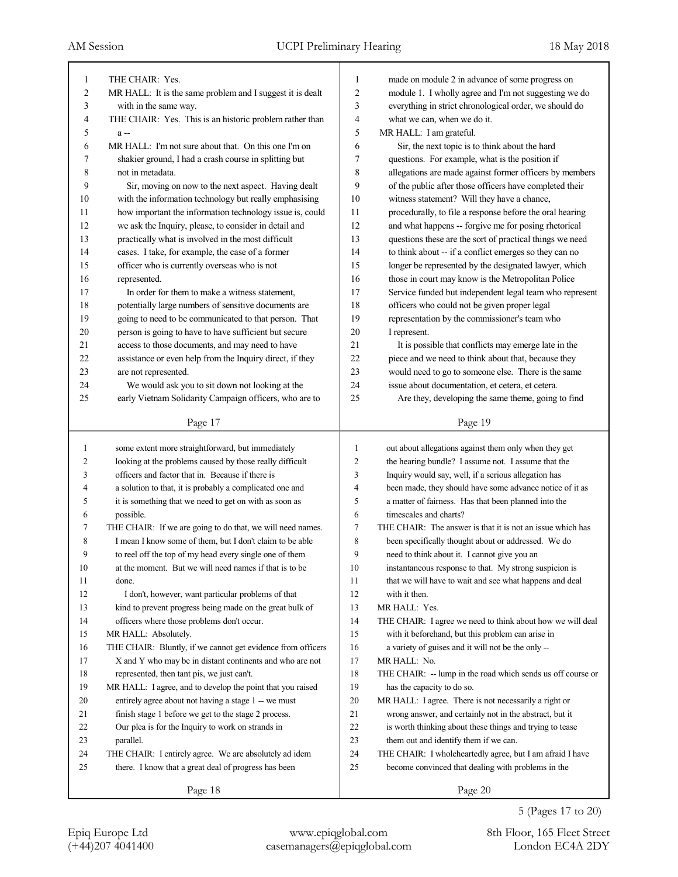| 1              | THE CHAIR: Yes.                                             | 1              | made on module 2 in advance of some progress on             |
|----------------|-------------------------------------------------------------|----------------|-------------------------------------------------------------|
| $\overline{2}$ | MR HALL: It is the same problem and I suggest it is dealt   | 2              | module 1. I wholly agree and I'm not suggesting we do       |
| 3              | with in the same way.                                       | 3              | everything in strict chronological order, we should do      |
| 4              | THE CHAIR: Yes. This is an historic problem rather than     | 4              | what we can, when we do it.                                 |
| 5              | a-                                                          | 5              | MR HALL: I am grateful.                                     |
| 6              | MR HALL: I'm not sure about that. On this one I'm on        | 6              | Sir, the next topic is to think about the hard              |
| 7              | shakier ground, I had a crash course in splitting but       | 7              | questions. For example, what is the position if             |
| 8              | not in metadata.                                            | 8              | allegations are made against former officers by members     |
| 9              | Sir, moving on now to the next aspect. Having dealt         | 9              | of the public after those officers have completed their     |
| 10             | with the information technology but really emphasising      | 10             | witness statement? Will they have a chance,                 |
| 11             | how important the information technology issue is, could    | 11             | procedurally, to file a response before the oral hearing    |
| 12             | we ask the Inquiry, please, to consider in detail and       | 12             | and what happens -- forgive me for posing rhetorical        |
| 13             | practically what is involved in the most difficult          | 13             | questions these are the sort of practical things we need    |
| 14             | cases. I take, for example, the case of a former            | 14             | to think about -- if a conflict emerges so they can no      |
| 15             | officer who is currently overseas who is not                | 15             | longer be represented by the designated lawyer, which       |
| 16             | represented.                                                | 16             | those in court may know is the Metropolitan Police          |
| 17             | In order for them to make a witness statement,              | 17             | Service funded but independent legal team who represent     |
| 18             | potentially large numbers of sensitive documents are        | 18             | officers who could not be given proper legal                |
| 19             | going to need to be communicated to that person. That       | 19             | representation by the commissioner's team who               |
| 20             | person is going to have to have sufficient but secure       | 20             | I represent.                                                |
| 21             | access to those documents, and may need to have             | 21             | It is possible that conflicts may emerge late in the        |
| 22             | assistance or even help from the Inquiry direct, if they    | 22             | piece and we need to think about that, because they         |
| 23             | are not represented.                                        | 23             | would need to go to someone else. There is the same         |
| 24             | We would ask you to sit down not looking at the             | 24             | issue about documentation, et cetera, et cetera.            |
| 25             | early Vietnam Solidarity Campaign officers, who are to      | 25             | Are they, developing the same theme, going to find          |
|                |                                                             |                |                                                             |
|                | Page 17                                                     |                | Page 19                                                     |
|                |                                                             |                |                                                             |
| 1              | some extent more straightforward, but immediately           | 1              | out about allegations against them only when they get       |
| 2              | looking at the problems caused by those really difficult    | $\overline{2}$ | the hearing bundle? I assume not. I assume that the         |
| 3              | officers and factor that in. Because if there is            | 3              | Inquiry would say, well, if a serious allegation has        |
| 4              | a solution to that, it is probably a complicated one and    | $\overline{4}$ | been made, they should have some advance notice of it as    |
| 5              | it is something that we need to get on with as soon as      | 5              | a matter of fairness. Has that been planned into the        |
| 6              | possible.                                                   | 6              | timescales and charts?                                      |
| 7              | THE CHAIR: If we are going to do that, we will need names.  | 7              | THE CHAIR: The answer is that it is not an issue which has  |
| 8              | I mean I know some of them, but I don't claim to be able    | 8              | been specifically thought about or addressed. We do         |
| 9              | to reel off the top of my head every single one of them     | 9              | need to think about it. I cannot give you an                |
| $10\,$         | at the moment. But we will need names if that is to be      | 10             | instantaneous response to that. My strong suspicion is      |
| 11             | done.                                                       | 11             | that we will have to wait and see what happens and deal     |
| 12             | I don't, however, want particular problems of that          | 12             | with it then.                                               |
| 13             | kind to prevent progress being made on the great bulk of    | 13             | MR HALL: Yes.                                               |
| 14             | officers where those problems don't occur.                  | 14             | THE CHAIR: I agree we need to think about how we will deal  |
| 15             | MR HALL: Absolutely.                                        | 15             | with it beforehand, but this problem can arise in           |
| 16             | THE CHAIR: Bluntly, if we cannot get evidence from officers | 16             | a variety of guises and it will not be the only --          |
| 17             | X and Y who may be in distant continents and who are not    | 17             | MR HALL: No.                                                |
| 18             | represented, then tant pis, we just can't.                  | 18             | THE CHAIR: -- lump in the road which sends us off course or |
| 19             | MR HALL: I agree, and to develop the point that you raised  | 19             | has the capacity to do so.                                  |
| 20             | entirely agree about not having a stage 1 -- we must        | 20             | MR HALL: I agree. There is not necessarily a right or       |
| 21             | finish stage 1 before we get to the stage 2 process.        | 21             | wrong answer, and certainly not in the abstract, but it     |
| 22             | Our plea is for the Inquiry to work on strands in           | 22             | is worth thinking about these things and trying to tease    |
| 23             | parallel.                                                   | 23             | them out and identify them if we can.                       |
| 24             | THE CHAIR: I entirely agree. We are absolutely ad idem      | 24             | THE CHAIR: I wholeheartedly agree, but I am afraid I have   |
| 25             | there. I know that a great deal of progress has been        | 25             | become convinced that dealing with problems in the          |

Page 18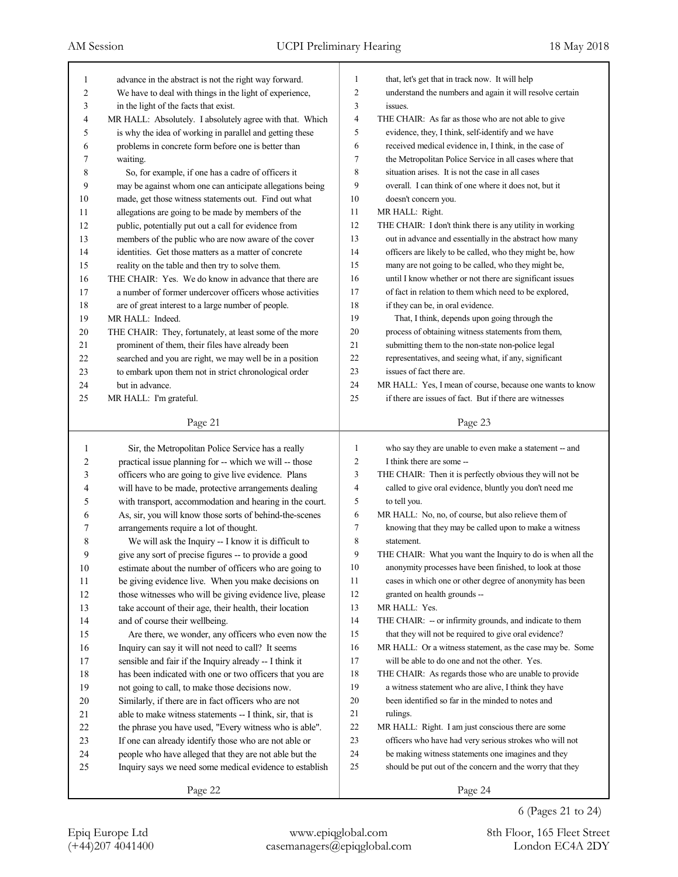| 1              | advance in the abstract is not the right way forward.    | 1              | that, let's get that in track now. It will help            |
|----------------|----------------------------------------------------------|----------------|------------------------------------------------------------|
| $\overline{c}$ | We have to deal with things in the light of experience,  | 2              | understand the numbers and again it will resolve certain   |
| 3              | in the light of the facts that exist.                    | 3              | issues.                                                    |
| 4              | MR HALL: Absolutely. I absolutely agree with that. Which | 4              | THE CHAIR: As far as those who are not able to give        |
| 5              | is why the idea of working in parallel and getting these | 5              | evidence, they, I think, self-identify and we have         |
| 6              | problems in concrete form before one is better than      | 6              | received medical evidence in, I think, in the case of      |
| 7              | waiting.                                                 | 7              | the Metropolitan Police Service in all cases where that    |
| 8              | So, for example, if one has a cadre of officers it       | 8              | situation arises. It is not the case in all cases          |
| 9              | may be against whom one can anticipate allegations being | 9              | overall. I can think of one where it does not, but it      |
| 10             | made, get those witness statements out. Find out what    | 10             | doesn't concern you.                                       |
| 11             | allegations are going to be made by members of the       | 11             | MR HALL: Right.                                            |
| 12             | public, potentially put out a call for evidence from     | 12             | THE CHAIR: I don't think there is any utility in working   |
| 13             | members of the public who are now aware of the cover     | 13             | out in advance and essentially in the abstract how many    |
| 14             | identities. Get those matters as a matter of concrete    | 14             | officers are likely to be called, who they might be, how   |
| 15             | reality on the table and then try to solve them.         | 15             | many are not going to be called, who they might be,        |
| 16             | THE CHAIR: Yes. We do know in advance that there are     | 16             | until I know whether or not there are significant issues   |
| 17             | a number of former undercover officers whose activities  | 17             | of fact in relation to them which need to be explored,     |
| 18             | are of great interest to a large number of people.       | 18             | if they can be, in oral evidence.                          |
| 19             | MR HALL: Indeed.                                         | 19             | That, I think, depends upon going through the              |
| $20\,$         | THE CHAIR: They, fortunately, at least some of the more  | 20             | process of obtaining witness statements from them,         |
| 21             | prominent of them, their files have already been         | 21             | submitting them to the non-state non-police legal          |
| 22             | searched and you are right, we may well be in a position | 22             | representatives, and seeing what, if any, significant      |
| 23             | to embark upon them not in strict chronological order    | 23             | issues of fact there are.                                  |
| 24             | but in advance.                                          | 24             | MR HALL: Yes, I mean of course, because one wants to know  |
| 25             | MR HALL: I'm grateful.                                   | 25             | if there are issues of fact. But if there are witnesses    |
|                |                                                          |                |                                                            |
|                | Page 21                                                  |                | Page 23                                                    |
|                |                                                          |                |                                                            |
|                |                                                          |                |                                                            |
| $\mathbf{1}$   | Sir, the Metropolitan Police Service has a really        | $\mathbf{1}$   | who say they are unable to even make a statement -- and    |
| 2              | practical issue planning for -- which we will -- those   | $\mathbf{2}$   | I think there are some --                                  |
| 3              | officers who are going to give live evidence. Plans      | 3              | THE CHAIR: Then it is perfectly obvious they will not be   |
| 4              | will have to be made, protective arrangements dealing    | $\overline{4}$ | called to give oral evidence, bluntly you don't need me    |
| 5              | with transport, accommodation and hearing in the court.  | 5              | to tell you.                                               |
| 6              | As, sir, you will know those sorts of behind-the-scenes  | 6              | MR HALL: No, no, of course, but also relieve them of       |
| 7              | arrangements require a lot of thought.                   | 7              | knowing that they may be called upon to make a witness     |
| 8              | We will ask the Inquiry -- I know it is difficult to     | 8              | statement.                                                 |
| 9              | give any sort of precise figures -- to provide a good    | 9              | THE CHAIR: What you want the Inquiry to do is when all the |
| 10             | estimate about the number of officers who are going to   | 10             | anonymity processes have been finished, to look at those   |
| 11             | be giving evidence live. When you make decisions on      | 11             | cases in which one or other degree of anonymity has been   |
| 12             | those witnesses who will be giving evidence live, please | 12             | granted on health grounds --                               |
| 13             | take account of their age, their health, their location  | 13             | MR HALL: Yes.                                              |
| 14             | and of course their wellbeing.                           | 14             | THE CHAIR: -- or infirmity grounds, and indicate to them   |
| 15             | Are there, we wonder, any officers who even now the      | 15             | that they will not be required to give oral evidence?      |
| 16             | Inquiry can say it will not need to call? It seems       | 16             | MR HALL: Or a witness statement, as the case may be. Some  |
| 17             | sensible and fair if the Inquiry already -- I think it   | 17             | will be able to do one and not the other. Yes.             |
| 18             | has been indicated with one or two officers that you are | 18             | THE CHAIR: As regards those who are unable to provide      |
| 19             | not going to call, to make those decisions now.          | 19             | a witness statement who are alive, I think they have       |
| 20             | Similarly, if there are in fact officers who are not     | 20             | been identified so far in the minded to notes and          |
| 21             | able to make witness statements -- I think, sir, that is | 21             | rulings.                                                   |
| 22             | the phrase you have used, "Every witness who is able".   | $22\,$         | MR HALL: Right. I am just conscious there are some         |
| 23             | If one can already identify those who are not able or    | 23             | officers who have had very serious strokes who will not    |
| 24             | people who have alleged that they are not able but the   | 24             | be making witness statements one imagines and they         |
| 25             | Inquiry says we need some medical evidence to establish  | 25             | should be put out of the concern and the worry that they   |
|                | Page 22                                                  |                | Page 24                                                    |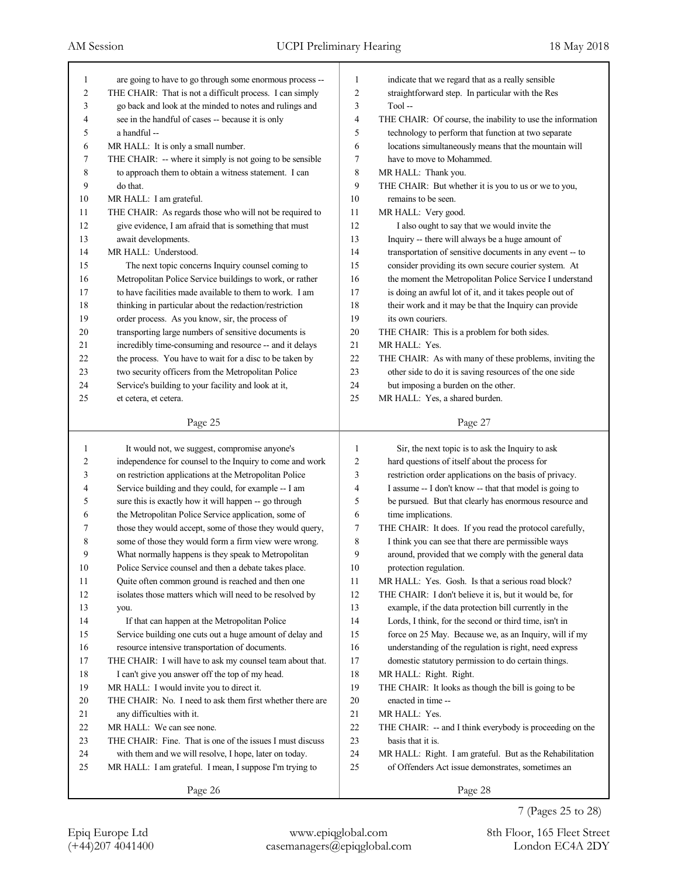| 1                       | are going to have to go through some enormous process --  | 1              | indicate that we regard that as a really sensible          |
|-------------------------|-----------------------------------------------------------|----------------|------------------------------------------------------------|
| $\overline{\mathbf{c}}$ | THE CHAIR: That is not a difficult process. I can simply  | $\overline{c}$ | straightforward step. In particular with the Res           |
| 3                       | go back and look at the minded to notes and rulings and   | 3              | Tool-                                                      |
| 4                       | see in the handful of cases -- because it is only         | 4              | THE CHAIR: Of course, the inability to use the information |
| 5                       | a handful --                                              | 5              | technology to perform that function at two separate        |
| 6                       | MR HALL: It is only a small number.                       | 6              | locations simultaneously means that the mountain will      |
| 7                       | THE CHAIR: -- where it simply is not going to be sensible | 7              | have to move to Mohammed.                                  |
| 8                       | to approach them to obtain a witness statement. I can     | 8              | MR HALL: Thank you.                                        |
| 9                       | do that.                                                  | 9              | THE CHAIR: But whether it is you to us or we to you,       |
| 10                      | MR HALL: I am grateful.                                   | 10             | remains to be seen.                                        |
| 11                      | THE CHAIR: As regards those who will not be required to   | 11             | MR HALL: Very good.                                        |
| 12                      | give evidence, I am afraid that is something that must    | 12             | I also ought to say that we would invite the               |
| 13                      | await developments.                                       | 13             | Inquiry -- there will always be a huge amount of           |
| 14                      | MR HALL: Understood.                                      | 14             | transportation of sensitive documents in any event -- to   |
| 15                      | The next topic concerns Inquiry counsel coming to         | 15             | consider providing its own secure courier system. At       |
| 16                      | Metropolitan Police Service buildings to work, or rather  | 16             | the moment the Metropolitan Police Service I understand    |
| 17                      | to have facilities made available to them to work. I am   | 17             | is doing an awful lot of it, and it takes people out of    |
| 18                      | thinking in particular about the redaction/restriction    | 18             | their work and it may be that the Inquiry can provide      |
| 19                      | order process. As you know, sir, the process of           | 19             | its own couriers.                                          |
| $20\,$                  | transporting large numbers of sensitive documents is      | 20             | THE CHAIR: This is a problem for both sides.               |
| 21                      | incredibly time-consuming and resource -- and it delays   | 21             | MR HALL: Yes.                                              |
| 22                      | the process. You have to wait for a disc to be taken by   | 22             | THE CHAIR: As with many of these problems, inviting the    |
| 23                      | two security officers from the Metropolitan Police        | 23             | other side to do it is saving resources of the one side    |
| 24                      | Service's building to your facility and look at it,       | 24             | but imposing a burden on the other.                        |
| 25                      | et cetera, et cetera.                                     | 25             | MR HALL: Yes, a shared burden.                             |
|                         |                                                           |                |                                                            |
|                         | Page 25                                                   |                | Page 27                                                    |
|                         |                                                           |                |                                                            |
|                         |                                                           |                |                                                            |
| 1                       | It would not, we suggest, compromise anyone's             | 1              | Sir, the next topic is to ask the Inquiry to ask           |
| 2                       | independence for counsel to the Inquiry to come and work  | $\overline{c}$ | hard questions of itself about the process for             |
| 3                       | on restriction applications at the Metropolitan Police    | 3              | restriction order applications on the basis of privacy.    |
| 4                       | Service building and they could, for example -- I am      | 4              | I assume -- I don't know -- that that model is going to    |
| 5                       | sure this is exactly how it will happen -- go through     | 5              | be pursued. But that clearly has enormous resource and     |
| 6                       | the Metropolitan Police Service application, some of      | 6              | time implications.                                         |
| 7                       | those they would accept, some of those they would query,  | 7              | THE CHAIR: It does. If you read the protocol carefully,    |
| 8                       | some of those they would form a firm view were wrong.     | 8              | I think you can see that there are permissible ways        |
| 9                       | What normally happens is they speak to Metropolitan       | 9              | around, provided that we comply with the general data      |
| 10                      | Police Service counsel and then a debate takes place.     | 10             | protection regulation.                                     |
| 11                      | Quite often common ground is reached and then one         | 11             | MR HALL: Yes. Gosh. Is that a serious road block?          |
| $12\,$                  | isolates those matters which will need to be resolved by  | 12             | THE CHAIR: I don't believe it is, but it would be, for     |
| 13                      | you.                                                      | 13             | example, if the data protection bill currently in the      |
| 14                      | If that can happen at the Metropolitan Police             | 14             | Lords, I think, for the second or third time, isn't in     |
| 15                      | Service building one cuts out a huge amount of delay and  | 15             | force on 25 May. Because we, as an Inquiry, will if my     |
| 16                      | resource intensive transportation of documents.           | 16             | understanding of the regulation is right, need express     |
| 17                      | THE CHAIR: I will have to ask my counsel team about that. | 17             | domestic statutory permission to do certain things.        |
| $18\,$                  | I can't give you answer off the top of my head.           | 18             | MR HALL: Right. Right.                                     |
| 19                      | MR HALL: I would invite you to direct it.                 | 19             | THE CHAIR: It looks as though the bill is going to be      |
| $20\,$                  | THE CHAIR: No. I need to ask them first whether there are | 20             | enacted in time --                                         |
| 21                      | any difficulties with it.                                 | $21\,$         | MR HALL: Yes.                                              |
| $22\,$                  | MR HALL: We can see none.                                 | $22\,$         | THE CHAIR: -- and I think everybody is proceeding on the   |
| 23                      | THE CHAIR: Fine. That is one of the issues I must discuss | $23\,$         | basis that it is.                                          |
| 24                      | with them and we will resolve, I hope, later on today.    | $24\,$         | MR HALL: Right. I am grateful. But as the Rehabilitation   |
| 25                      | MR HALL: I am grateful. I mean, I suppose I'm trying to   | 25             | of Offenders Act issue demonstrates, sometimes an          |
|                         | Page 26                                                   |                | Page 28                                                    |

7 (Pages 25 to 28)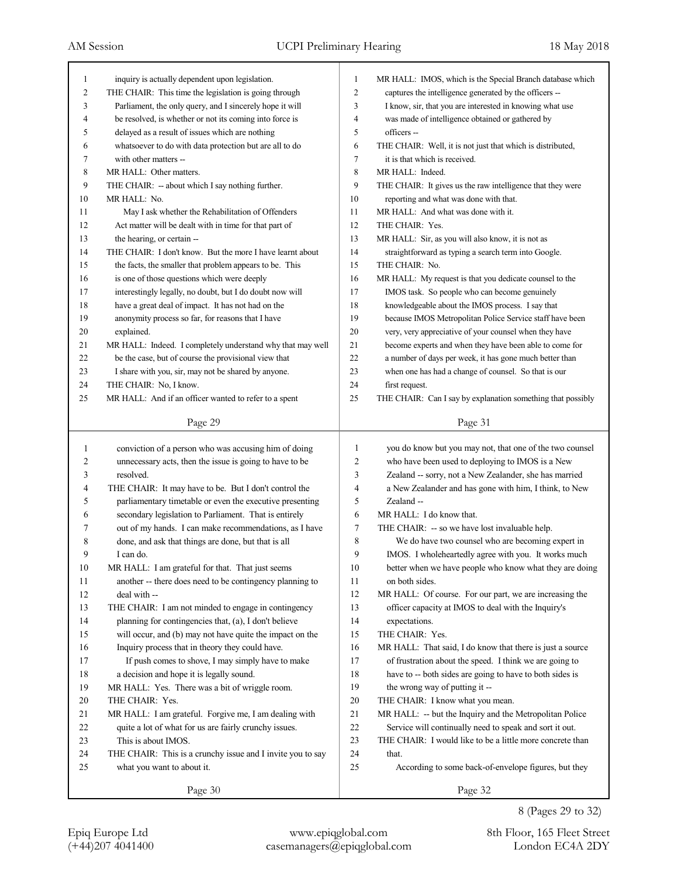| 1              | inquiry is actually dependent upon legislation.            | 1              | MR HALL: IMOS, which is the Special Branch database which          |
|----------------|------------------------------------------------------------|----------------|--------------------------------------------------------------------|
| $\overline{c}$ | THE CHAIR: This time the legislation is going through      | $\overline{c}$ | captures the intelligence generated by the officers --             |
| 3              | Parliament, the only query, and I sincerely hope it will   | 3              | I know, sir, that you are interested in knowing what use           |
| 4              | be resolved, is whether or not its coming into force is    | 4              | was made of intelligence obtained or gathered by                   |
| 5              | delayed as a result of issues which are nothing            | 5              | officers --                                                        |
| 6              | whatsoever to do with data protection but are all to do    | 6              | THE CHAIR: Well, it is not just that which is distributed,         |
| 7              | with other matters --                                      | 7              | it is that which is received.                                      |
| $\,8\,$        | MR HALL: Other matters.                                    | 8              | MR HALL: Indeed.                                                   |
| 9              | THE CHAIR: - about which I say nothing further.            | 9              | THE CHAIR: It gives us the raw intelligence that they were         |
| 10             | MR HALL: No.                                               | 10             | reporting and what was done with that.                             |
| 11             | May I ask whether the Rehabilitation of Offenders          | 11             | MR HALL: And what was done with it.                                |
| 12             | Act matter will be dealt with in time for that part of     | 12             | THE CHAIR: Yes.                                                    |
| 13             | the hearing, or certain --                                 | 13             | MR HALL: Sir, as you will also know, it is not as                  |
| 14             | THE CHAIR: I don't know. But the more I have learnt about  | 14             | straightforward as typing a search term into Google.               |
| 15             | the facts, the smaller that problem appears to be. This    | 15             | THE CHAIR: No.                                                     |
| 16             | is one of those questions which were deeply                | 16             | MR HALL: My request is that you dedicate counsel to the            |
| 17             | interestingly legally, no doubt, but I do doubt now will   | 17             | IMOS task. So people who can become genuinely                      |
| 18             | have a great deal of impact. It has not had on the         | 18             | knowledgeable about the IMOS process. I say that                   |
| 19             | anonymity process so far, for reasons that I have          | 19             | because IMOS Metropolitan Police Service staff have been           |
| 20             | explained.                                                 | 20             | very, very appreciative of your counsel when they have             |
| 21             | MR HALL: Indeed. I completely understand why that may well | 21             | become experts and when they have been able to come for            |
| 22             | be the case, but of course the provisional view that       | 22             | a number of days per week, it has gone much better than            |
| 23             | I share with you, sir, may not be shared by anyone.        | 23             | when one has had a change of counsel. So that is our               |
| 24             | THE CHAIR: No, I know.                                     | 24             | first request.                                                     |
| 25             | MR HALL: And if an officer wanted to refer to a spent      | 25             | THE CHAIR: Can I say by explanation something that possibly        |
|                |                                                            |                |                                                                    |
|                | Page 29                                                    |                | Page 31                                                            |
|                |                                                            |                |                                                                    |
|                |                                                            |                |                                                                    |
| $\mathbf{1}$   | conviction of a person who was accusing him of doing       | $\mathbf{1}$   | you do know but you may not, that one of the two counsel           |
| 2              | unnecessary acts, then the issue is going to have to be    | 2              | who have been used to deploying to IMOS is a New                   |
| 3              | resolved.                                                  | 3              | Zealand -- sorry, not a New Zealander, she has married             |
| 4              | THE CHAIR: It may have to be. But I don't control the      | $\overline{4}$ | a New Zealander and has gone with him, I think, to New             |
| 5              | parliamentary timetable or even the executive presenting   | 5              | Zealand-                                                           |
| 6              | secondary legislation to Parliament. That is entirely      | 6              | MR HALL: I do know that.                                           |
| 7              | out of my hands. I can make recommendations, as I have     | 7              | THE CHAIR: -- so we have lost invaluable help.                     |
| 8              | done, and ask that things are done, but that is all        | 8              | We do have two counsel who are becoming expert in                  |
| 9              | I can do.                                                  | 9              | IMOS. I wholeheartedly agree with you. It works much               |
| 10             | MR HALL: I am grateful for that. That just seems           | 10             | better when we have people who know what they are doing            |
| 11             | another -- there does need to be contingency planning to   | 11             | on both sides.                                                     |
| 12             | deal with --                                               | 12             | MR HALL: Of course. For our part, we are increasing the            |
| 13             | THE CHAIR: I am not minded to engage in contingency        | 13             | officer capacity at IMOS to deal with the Inquiry's                |
| 14             | planning for contingencies that, (a), I don't believe      | 14             | expectations.                                                      |
| 15             | will occur, and (b) may not have quite the impact on the   | 15             | THE CHAIR: Yes.                                                    |
| 16             | Inquiry process that in theory they could have.            | 16             | MR HALL: That said, I do know that there is just a source          |
| 17             | If push comes to shove, I may simply have to make          | 17             | of frustration about the speed. I think we are going to            |
| $18\,$         | a decision and hope it is legally sound.                   | 18             | have to -- both sides are going to have to both sides is           |
| 19             | MR HALL: Yes. There was a bit of wriggle room.             | 19             | the wrong way of putting it --                                     |
| 20             | THE CHAIR: Yes.                                            | $20\,$         | THE CHAIR: I know what you mean.                                   |
| 21             | MR HALL: I am grateful. Forgive me, I am dealing with      | 21             | MR HALL: -- but the Inquiry and the Metropolitan Police            |
|                |                                                            | $22\,$         |                                                                    |
| $22\,$         | quite a lot of what for us are fairly crunchy issues.      |                | Service will continually need to speak and sort it out.            |
| 23             | This is about IMOS.                                        | 23             | THE CHAIR: I would like to be a little more concrete than<br>that. |
| 24             | THE CHAIR: This is a crunchy issue and I invite you to say | 24             |                                                                    |
| 25             | what you want to about it.<br>Page 30                      | 25             | According to some back-of-envelope figures, but they<br>Page 32    |

8 (Pages 29 to 32)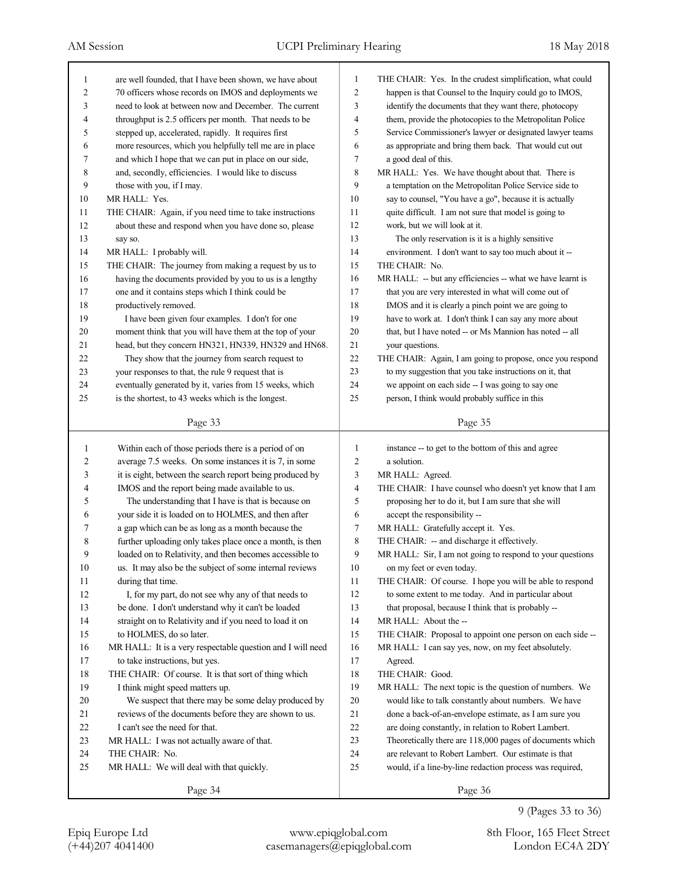| 1              | are well founded, that I have been shown, we have about    | 1              | THE CHAIR: Yes. In the crudest simplification, what could         |
|----------------|------------------------------------------------------------|----------------|-------------------------------------------------------------------|
| $\overline{2}$ | 70 officers whose records on IMOS and deployments we       | $\overline{c}$ | happen is that Counsel to the Inquiry could go to IMOS,           |
| 3              | need to look at between now and December. The current      | 3              | identify the documents that they want there, photocopy            |
| $\overline{4}$ | throughput is 2.5 officers per month. That needs to be     | 4              | them, provide the photocopies to the Metropolitan Police          |
| 5              | stepped up, accelerated, rapidly. It requires first        | 5              | Service Commissioner's lawyer or designated lawyer teams          |
| 6              | more resources, which you helpfully tell me are in place   | 6              | as appropriate and bring them back. That would cut out            |
| 7              | and which I hope that we can put in place on our side,     | 7              | a good deal of this.                                              |
| 8              | and, secondly, efficiencies. I would like to discuss       | 8              | MR HALL: Yes. We have thought about that. There is                |
| 9              | those with you, if I may.                                  | 9              | a temptation on the Metropolitan Police Service side to           |
| 10             | MR HALL: Yes.                                              | 10             | say to counsel, "You have a go", because it is actually           |
| 11             | THE CHAIR: Again, if you need time to take instructions    | 11             | quite difficult. I am not sure that model is going to             |
| 12             | about these and respond when you have done so, please      | 12             | work, but we will look at it.                                     |
| 13             | say so.                                                    | 13             | The only reservation is it is a highly sensitive                  |
| 14             | MR HALL: I probably will.                                  | 14             | environment. I don't want to say too much about it --             |
| 15             | THE CHAIR: The journey from making a request by us to      | 15             | THE CHAIR: No.                                                    |
| 16             | having the documents provided by you to us is a lengthy    | 16             | MR HALL: -- but any efficiencies -- what we have learnt is        |
| 17             | one and it contains steps which I think could be           | 17             | that you are very interested in what will come out of             |
| 18             | productively removed.                                      | 18             | IMOS and it is clearly a pinch point we are going to              |
| 19             | I have been given four examples. I don't for one           | 19             | have to work at. I don't think I can say any more about           |
| 20             | moment think that you will have them at the top of your    | 20             | that, but I have noted -- or Ms Mannion has noted -- all          |
| 21             | head, but they concern HN321, HN339, HN329 and HN68.       | 21             | your questions.                                                   |
| 22             | They show that the journey from search request to          | $22\,$         | THE CHAIR: Again, I am going to propose, once you respond         |
| 23             | your responses to that, the rule 9 request that is         | 23             | to my suggestion that you take instructions on it, that           |
| 24             | eventually generated by it, varies from 15 weeks, which    | 24             | we appoint on each side -- I was going to say one                 |
| 25             | is the shortest, to 43 weeks which is the longest.         | 25             | person, I think would probably suffice in this                    |
|                |                                                            |                |                                                                   |
|                | Page 33                                                    |                | Page 35                                                           |
|                |                                                            |                |                                                                   |
|                |                                                            |                |                                                                   |
| 1              | Within each of those periods there is a period of on       | 1              | instance -- to get to the bottom of this and agree<br>a solution. |
| 2              | average 7.5 weeks. On some instances it is 7, in some      | 2              |                                                                   |
| 3              | it is eight, between the search report being produced by   | 3<br>4         | MR HALL: Agreed.                                                  |
| 4              | IMOS and the report being made available to us.            | 5              | THE CHAIR: I have counsel who doesn't yet know that I am          |
| 5              | The understanding that I have is that is because on        |                | proposing her to do it, but I am sure that she will               |
| 6              | your side it is loaded on to HOLMES, and then after        | 6              | accept the responsibility --                                      |
| 7              | a gap which can be as long as a month because the          | 7              | MR HALL: Gratefully accept it. Yes.                               |
| 8<br>9         | further uploading only takes place once a month, is then   | 8              | THE CHAIR: -- and discharge it effectively.                       |
|                | loaded on to Relativity, and then becomes accessible to    | 9              | MR HALL: Sir, I am not going to respond to your questions         |
| $10\,$         | us. It may also be the subject of some internal reviews    | 10             | on my feet or even today.                                         |
| 11             | during that time.                                          | 11             | THE CHAIR: Of course. I hope you will be able to respond          |
| 12             | I, for my part, do not see why any of that needs to        | 12             | to some extent to me today. And in particular about               |
| 13             | be done. I don't understand why it can't be loaded         | 13             | that proposal, because I think that is probably --                |
| 14             | straight on to Relativity and if you need to load it on    | 14             | MR HALL: About the --                                             |
| 15             | to HOLMES, do so later.                                    | 15             | THE CHAIR: Proposal to appoint one person on each side --         |
| 16             | MR HALL: It is a very respectable question and I will need | 16             | MR HALL: I can say yes, now, on my feet absolutely.               |
| 17             | to take instructions, but yes.                             | 17             | Agreed.                                                           |
| 18             | THE CHAIR: Of course. It is that sort of thing which       | 18             | THE CHAIR: Good.                                                  |
| 19             | I think might speed matters up.                            | 19             | MR HALL: The next topic is the question of numbers. We            |
| 20             | We suspect that there may be some delay produced by        | 20             | would like to talk constantly about numbers. We have              |
| 21             | reviews of the documents before they are shown to us.      | 21             | done a back-of-an-envelope estimate, as I am sure you             |
| 22             | I can't see the need for that.                             | 22             | are doing constantly, in relation to Robert Lambert.              |
| 23             | MR HALL: I was not actually aware of that.                 | 23             | Theoretically there are 118,000 pages of documents which          |
| 24             | THE CHAIR: No.                                             | 24             | are relevant to Robert Lambert. Our estimate is that              |
| 25             | MR HALL: We will deal with that quickly.                   | 25             | would, if a line-by-line redaction process was required,          |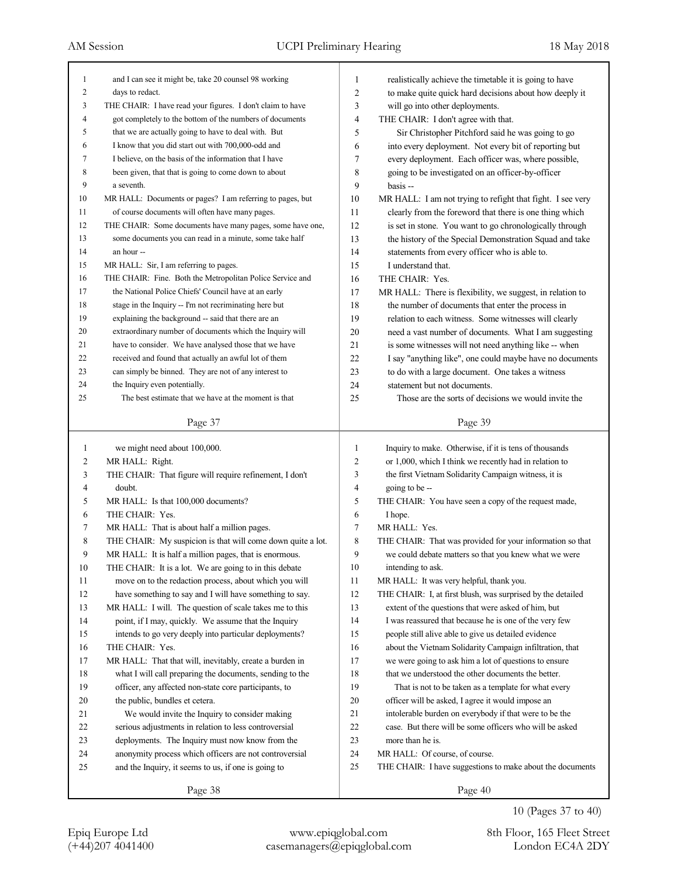| 1              | and I can see it might be, take 20 counsel 98 working       | 1              | realistically achieve the timetable it is going to have     |
|----------------|-------------------------------------------------------------|----------------|-------------------------------------------------------------|
| $\overline{c}$ | days to redact.                                             | $\overline{c}$ | to make quite quick hard decisions about how deeply it      |
| 3              | THE CHAIR: I have read your figures. I don't claim to have  | 3              | will go into other deployments.                             |
| 4              | got completely to the bottom of the numbers of documents    | $\overline{4}$ | THE CHAIR: I don't agree with that.                         |
| 5              | that we are actually going to have to deal with. But        | 5              | Sir Christopher Pitchford said he was going to go           |
| 6              | I know that you did start out with 700,000-odd and          | 6              | into every deployment. Not every bit of reporting but       |
| $\tau$         | I believe, on the basis of the information that I have      | 7              | every deployment. Each officer was, where possible,         |
| 8              | been given, that that is going to come down to about        | 8              | going to be investigated on an officer-by-officer           |
| 9              | a seventh.                                                  | 9              | basis --                                                    |
| 10             | MR HALL: Documents or pages? I am referring to pages, but   | 10             | MR HALL: I am not trying to refight that fight. I see very  |
| 11             | of course documents will often have many pages.             | 11             | clearly from the foreword that there is one thing which     |
| 12             | THE CHAIR: Some documents have many pages, some have one,   | 12             | is set in stone. You want to go chronologically through     |
| 13             | some documents you can read in a minute, some take half     | 13             | the history of the Special Demonstration Squad and take     |
| 14             | an hour --                                                  | 14             | statements from every officer who is able to.               |
| 15             | MR HALL: Sir, I am referring to pages.                      | 15             | I understand that.                                          |
| 16             | THE CHAIR: Fine. Both the Metropolitan Police Service and   | 16             | THE CHAIR: Yes.                                             |
| 17             | the National Police Chiefs' Council have at an early        | 17             | MR HALL: There is flexibility, we suggest, in relation to   |
| 18             | stage in the Inquiry -- I'm not recriminating here but      | 18             | the number of documents that enter the process in           |
| 19             | explaining the background -- said that there are an         | 19             | relation to each witness. Some witnesses will clearly       |
| 20             | extraordinary number of documents which the Inquiry will    | 20             | need a vast number of documents. What I am suggesting       |
| 21             | have to consider. We have analysed those that we have       | 21             | is some witnesses will not need anything like -- when       |
| 22             | received and found that actually an awful lot of them       | 22             | I say "anything like", one could maybe have no documents    |
| 23             | can simply be binned. They are not of any interest to       | 23             | to do with a large document. One takes a witness            |
| 24             | the Inquiry even potentially.                               | 24             | statement but not documents.                                |
| 25             | The best estimate that we have at the moment is that        | 25             | Those are the sorts of decisions we would invite the        |
|                |                                                             |                |                                                             |
|                | Page 37                                                     |                | Page 39                                                     |
|                |                                                             |                |                                                             |
|                |                                                             |                |                                                             |
| 1              | we might need about 100,000.                                | 1              | Inquiry to make. Otherwise, if it is tens of thousands      |
| 2              | MR HALL: Right.                                             | $\overline{c}$ | or 1,000, which I think we recently had in relation to      |
| 3              | THE CHAIR: That figure will require refinement, I don't     | 3              | the first Vietnam Solidarity Campaign witness, it is        |
| 4              | doubt.                                                      | $\overline{4}$ | going to be --                                              |
| 5              | MR HALL: Is that 100,000 documents?                         | 5              | THE CHAIR: You have seen a copy of the request made,        |
| 6              | THE CHAIR: Yes.                                             | 6              | I hope.                                                     |
| 7              | MR HALL: That is about half a million pages.                | $\tau$         | MR HALL: Yes.                                               |
| 8              | THE CHAIR: My suspicion is that will come down quite a lot. | 8              | THE CHAIR: That was provided for your information so that   |
| 9              | MR HALL: It is half a million pages, that is enormous.      | 9              | we could debate matters so that you knew what we were       |
| 10             | THE CHAIR: It is a lot. We are going to in this debate      | 10             | intending to ask.                                           |
| 11             | move on to the redaction process, about which you will      | 11             | MR HALL: It was very helpful, thank you.                    |
| 12             | have something to say and I will have something to say.     | 12             | THE CHAIR: I, at first blush, was surprised by the detailed |
| 13             | MR HALL: I will. The question of scale takes me to this     | 13             | extent of the questions that were asked of him, but         |
| 14             | point, if I may, quickly. We assume that the Inquiry        | 14             | I was reassured that because he is one of the very few      |
| 15             | intends to go very deeply into particular deployments?      | 15             | people still alive able to give us detailed evidence        |
| 16             | THE CHAIR: Yes.                                             | 16             | about the Vietnam Solidarity Campaign infiltration, that    |
| 17             | MR HALL: That that will, inevitably, create a burden in     | 17             | we were going to ask him a lot of questions to ensure       |
| 18             | what I will call preparing the documents, sending to the    | 18             | that we understood the other documents the better.          |
| 19             | officer, any affected non-state core participants, to       | 19             | That is not to be taken as a template for what every        |
| 20             | the public, bundles et cetera.                              | 20             | officer will be asked, I agree it would impose an           |
| 21             | We would invite the Inquiry to consider making              | 21             | intolerable burden on everybody if that were to be the      |
| 22             | serious adjustments in relation to less controversial       | 22             | case. But there will be some officers who will be asked     |
| 23             | deployments. The Inquiry must now know from the             | 23             | more than he is.                                            |
| 24             | anonymity process which officers are not controversial      | 24             | MR HALL: Of course, of course.                              |
| 25             | and the Inquiry, it seems to us, if one is going to         | 25             | THE CHAIR: I have suggestions to make about the documents   |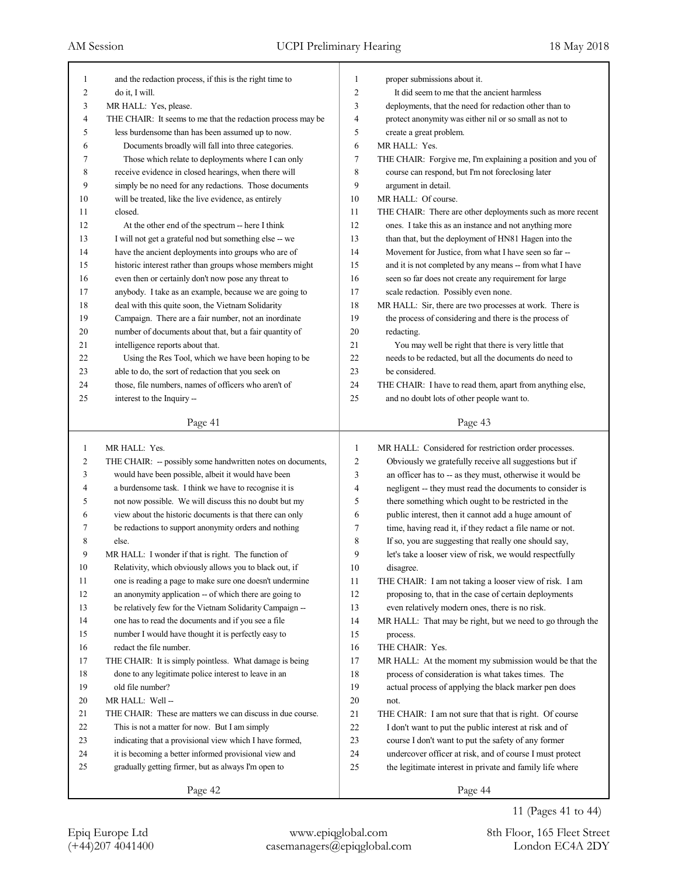| 1              | and the redaction process, if this is the right time to     | 1              | proper submissions about it.                                |
|----------------|-------------------------------------------------------------|----------------|-------------------------------------------------------------|
| 2              | do it, I will.                                              | $\overline{c}$ | It did seem to me that the ancient harmless                 |
| 3              | MR HALL: Yes, please.                                       | 3              | deployments, that the need for redaction other than to      |
| 4              | THE CHAIR: It seems to me that the redaction process may be | $\overline{4}$ | protect anonymity was either nil or so small as not to      |
| 5              | less burdensome than has been assumed up to now.            | 5              | create a great problem.                                     |
| 6              | Documents broadly will fall into three categories.          | 6              | MR HALL: Yes.                                               |
| 7              | Those which relate to deployments where I can only          | $\tau$         | THE CHAIR: Forgive me, I'm explaining a position and you of |
| 8              | receive evidence in closed hearings, when there will        | 8              | course can respond, but I'm not foreclosing later           |
| 9              | simply be no need for any redactions. Those documents       | 9              | argument in detail.                                         |
| 10             | will be treated, like the live evidence, as entirely        | 10             | MR HALL: Of course.                                         |
| 11             | closed.                                                     | 11             | THE CHAIR: There are other deployments such as more recent  |
| 12             | At the other end of the spectrum -- here I think            | 12             | ones. I take this as an instance and not anything more      |
| 13             | I will not get a grateful nod but something else -- we      | 13             | than that, but the deployment of HN81 Hagen into the        |
| 14             | have the ancient deployments into groups who are of         | 14             | Movement for Justice, from what I have seen so far --       |
| 15             | historic interest rather than groups whose members might    | 15             | and it is not completed by any means -- from what I have    |
| 16             | even then or certainly don't now pose any threat to         | 16             | seen so far does not create any requirement for large       |
| 17             | anybody. I take as an example, because we are going to      | 17             | scale redaction. Possibly even none.                        |
| 18             | deal with this quite soon, the Vietnam Solidarity           | 18             | MR HALL: Sir, there are two processes at work. There is     |
| 19             | Campaign. There are a fair number, not an inordinate        | 19             | the process of considering and there is the process of      |
| 20             | number of documents about that, but a fair quantity of      | 20             | redacting.                                                  |
| 21             | intelligence reports about that.                            | 21             | You may well be right that there is very little that        |
| 22             | Using the Res Tool, which we have been hoping to be         | 22             | needs to be redacted, but all the documents do need to      |
| 23             | able to do, the sort of redaction that you seek on          | 23             | be considered.                                              |
| 24             | those, file numbers, names of officers who aren't of        | 24             | THE CHAIR: I have to read them, apart from anything else,   |
| 25             | interest to the Inquiry --                                  | 25             | and no doubt lots of other people want to.                  |
|                |                                                             |                |                                                             |
|                | Page 41                                                     |                | Page 43                                                     |
|                |                                                             |                |                                                             |
|                |                                                             |                |                                                             |
| $\mathbf{1}$   | MR HALL: Yes.                                               | 1              | MR HALL: Considered for restriction order processes.        |
| $\overline{c}$ | THE CHAIR: -- possibly some handwritten notes on documents, | $\overline{c}$ | Obviously we gratefully receive all suggestions but if      |
| 3              | would have been possible, albeit it would have been         | 3              | an officer has to -- as they must, otherwise it would be    |
| 4              | a burdensome task. I think we have to recognise it is       | 4              | negligent -- they must read the documents to consider is    |
| 5              | not now possible. We will discuss this no doubt but my      | 5              | there something which ought to be restricted in the         |
| 6              | view about the historic documents is that there can only    | 6              | public interest, then it cannot add a huge amount of        |
| 7              | be redactions to support anonymity orders and nothing       | $\tau$         | time, having read it, if they redact a file name or not.    |
| 8              | else.                                                       | 8              | If so, you are suggesting that really one should say,       |
| 9              | MR HALL: I wonder if that is right. The function of         | 9              | let's take a looser view of risk, we would respectfully     |
| $10\,$         | Relativity, which obviously allows you to black out, if     | 10             | disagree.                                                   |
| 11             | one is reading a page to make sure one doesn't undermine    | 11             | THE CHAIR: I am not taking a looser view of risk. I am      |
| 12             | an anonymity application -- of which there are going to     | 12             | proposing to, that in the case of certain deployments       |
| 13             | be relatively few for the Vietnam Solidarity Campaign --    | 13             | even relatively modern ones, there is no risk.              |
| 14             | one has to read the documents and if you see a file         | 14             | MR HALL: That may be right, but we need to go through the   |
| 15             | number I would have thought it is perfectly easy to         | 15             | process.                                                    |
| 16             | redact the file number.                                     | 16             | THE CHAIR: Yes.                                             |
| 17             | THE CHAIR: It is simply pointless. What damage is being     | 17             | MR HALL: At the moment my submission would be that the      |
| 18             | done to any legitimate police interest to leave in an       | 18             | process of consideration is what takes times. The           |
| 19             | old file number?                                            | 19             | actual process of applying the black marker pen does        |
| 20             | MR HALL: Well-                                              | 20             | not.                                                        |
| 21             | THE CHAIR: These are matters we can discuss in due course.  | 21             | THE CHAIR: I am not sure that that is right. Of course      |
| 22             | This is not a matter for now. But I am simply               | 22             | I don't want to put the public interest at risk and of      |
| 23             | indicating that a provisional view which I have formed,     | 23             | course I don't want to put the safety of any former         |
| 24             | it is becoming a better informed provisional view and       | 24             | undercover officer at risk, and of course I must protect    |
| 25             | gradually getting firmer, but as always I'm open to         | 25             | the legitimate interest in private and family life where    |
|                | Page 42                                                     |                | Page 44                                                     |

11 (Pages 41 to 44)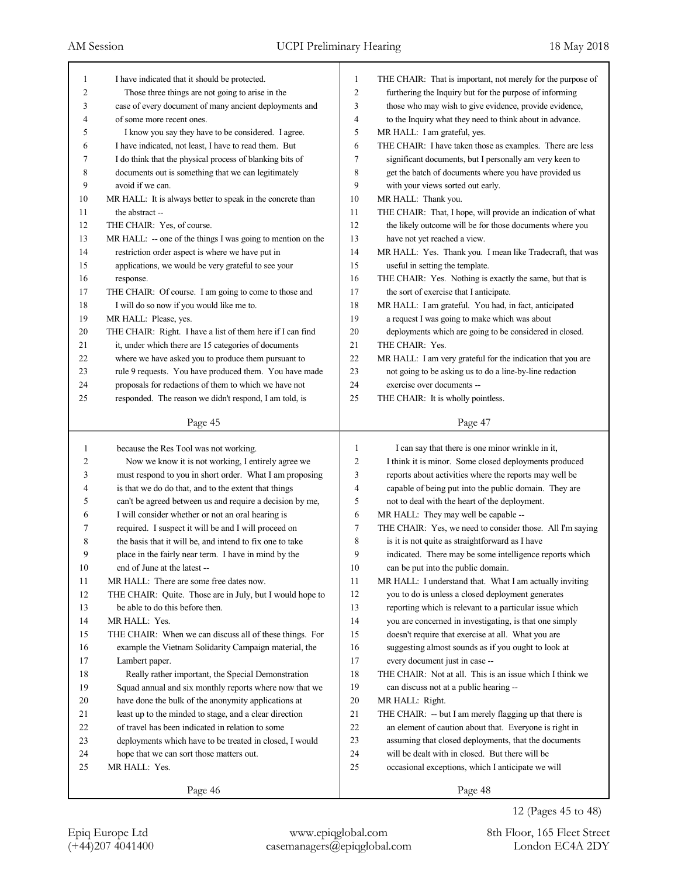| 1      | I have indicated that it should be protected.               | 1  | THE CHAIR: That is important, not merely for the purpose of |
|--------|-------------------------------------------------------------|----|-------------------------------------------------------------|
| 2      | Those three things are not going to arise in the            | 2  | furthering the Inquiry but for the purpose of informing     |
| 3      | case of every document of many ancient deployments and      | 3  | those who may wish to give evidence, provide evidence,      |
| 4      | of some more recent ones.                                   | 4  | to the Inquiry what they need to think about in advance.    |
| 5      | I know you say they have to be considered. I agree.         | 5  | MR HALL: I am grateful, yes.                                |
| 6      | I have indicated, not least, I have to read them. But       | 6  | THE CHAIR: I have taken those as examples. There are less   |
| 7      | I do think that the physical process of blanking bits of    | 7  | significant documents, but I personally am very keen to     |
| 8      | documents out is something that we can legitimately         | 8  | get the batch of documents where you have provided us       |
| 9      | avoid if we can.                                            | 9  | with your views sorted out early.                           |
| 10     | MR HALL: It is always better to speak in the concrete than  | 10 | MR HALL: Thank you.                                         |
| 11     | the abstract --                                             | 11 | THE CHAIR: That, I hope, will provide an indication of what |
| 12     | THE CHAIR: Yes, of course.                                  | 12 | the likely outcome will be for those documents where you    |
| 13     | MR HALL: -- one of the things I was going to mention on the | 13 | have not yet reached a view.                                |
| 14     | restriction order aspect is where we have put in            | 14 | MR HALL: Yes. Thank you. I mean like Tradecraft, that was   |
| 15     | applications, we would be very grateful to see your         | 15 | useful in setting the template.                             |
| 16     | response.                                                   | 16 | THE CHAIR: Yes. Nothing is exactly the same, but that is    |
| 17     | THE CHAIR: Of course. I am going to come to those and       | 17 | the sort of exercise that I anticipate.                     |
| 18     | I will do so now if you would like me to.                   | 18 | MR HALL: I am grateful. You had, in fact, anticipated       |
| 19     | MR HALL: Please, yes.                                       | 19 | a request I was going to make which was about               |
| $20\,$ | THE CHAIR: Right. I have a list of them here if I can find  | 20 | deployments which are going to be considered in closed.     |
| 21     | it, under which there are 15 categories of documents        | 21 | THE CHAIR: Yes.                                             |
| 22     | where we have asked you to produce them pursuant to         | 22 | MR HALL: I am very grateful for the indication that you are |
| 23     | rule 9 requests. You have produced them. You have made      | 23 | not going to be asking us to do a line-by-line redaction    |
| 24     | proposals for redactions of them to which we have not       | 24 | exercise over documents --                                  |
| 25     | responded. The reason we didn't respond, I am told, is      | 25 | THE CHAIR: It is wholly pointless.                          |
|        |                                                             |    |                                                             |
|        | Page 45                                                     |    | Page 47                                                     |
|        |                                                             |    |                                                             |
|        |                                                             |    |                                                             |
| 1      | because the Res Tool was not working.                       | 1  | I can say that there is one minor wrinkle in it,            |
| 2      | Now we know it is not working, I entirely agree we          | 2  | I think it is minor. Some closed deployments produced       |
| 3      | must respond to you in short order. What I am proposing     | 3  | reports about activities where the reports may well be      |
| 4      | is that we do do that, and to the extent that things        | 4  | capable of being put into the public domain. They are       |
| 5      | can't be agreed between us and require a decision by me,    | 5  | not to deal with the heart of the deployment.               |
| 6      | I will consider whether or not an oral hearing is           | 6  | MR HALL: They may well be capable --                        |
| 7      | required. I suspect it will be and I will proceed on        | 7  | THE CHAIR: Yes, we need to consider those. All I'm saying   |
| 8      | the basis that it will be, and intend to fix one to take    | 8  | is it is not quite as straightforward as I have             |
| 9      | place in the fairly near term. I have in mind by the        | 9  | indicated. There may be some intelligence reports which     |
| 10     | end of June at the latest --                                | 10 | can be put into the public domain.                          |
| 11     | MR HALL: There are some free dates now.                     | 11 | MR HALL: I understand that. What I am actually inviting     |
| 12     | THE CHAIR: Quite. Those are in July, but I would hope to    | 12 | you to do is unless a closed deployment generates           |
| 13     | be able to do this before then.                             | 13 | reporting which is relevant to a particular issue which     |
| 14     | MR HALL: Yes.                                               | 14 | you are concerned in investigating, is that one simply      |
| 15     | THE CHAIR: When we can discuss all of these things. For     | 15 | doesn't require that exercise at all. What you are          |
| 16     | example the Vietnam Solidarity Campaign material, the       | 16 | suggesting almost sounds as if you ought to look at         |
| 17     | Lambert paper.                                              | 17 | every document just in case --                              |
| $18\,$ | Really rather important, the Special Demonstration          | 18 | THE CHAIR: Not at all. This is an issue which I think we    |
| 19     | Squad annual and six monthly reports where now that we      | 19 | can discuss not at a public hearing --                      |
| 20     | have done the bulk of the anonymity applications at         | 20 | MR HALL: Right.                                             |
| $21\,$ | least up to the minded to stage, and a clear direction      | 21 | THE CHAIR: -- but I am merely flagging up that there is     |
| $22\,$ | of travel has been indicated in relation to some            | 22 | an element of caution about that. Everyone is right in      |
| 23     | deployments which have to be treated in closed, I would     | 23 | assuming that closed deployments, that the documents        |
| 24     | hope that we can sort those matters out.                    | 24 | will be dealt with in closed. But there will be             |
| 25     | MR HALL: Yes.                                               | 25 | occasional exceptions, which I anticipate we will           |
|        | Page 46                                                     |    | Page 48                                                     |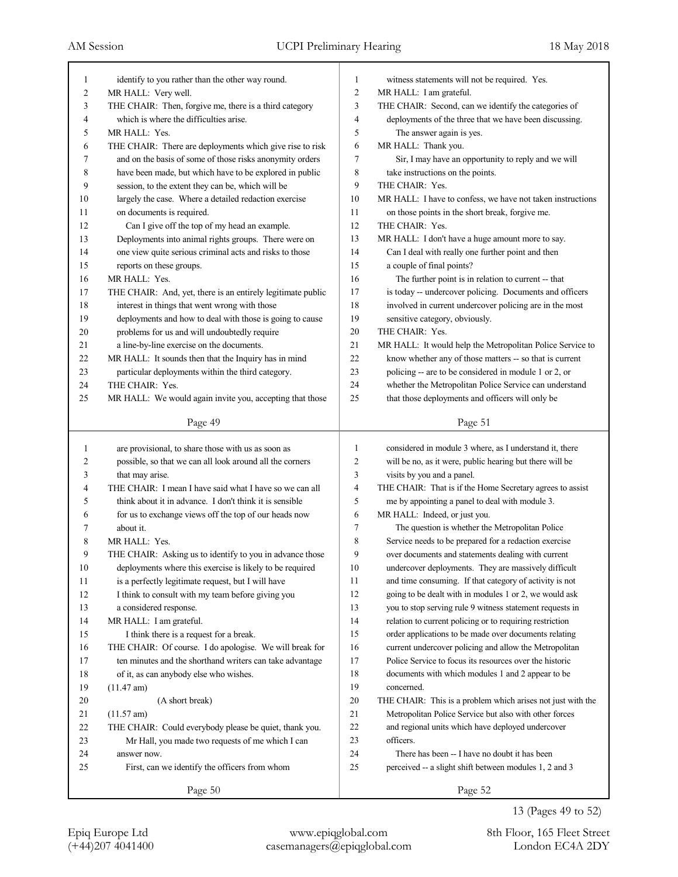| 1              | identify to you rather than the other way round.            | 1              | witness statements will not be required. Yes.               |
|----------------|-------------------------------------------------------------|----------------|-------------------------------------------------------------|
| $\overline{c}$ | MR HALL: Very well.                                         | $\overline{c}$ | MR HALL: I am grateful.                                     |
| 3              | THE CHAIR: Then, forgive me, there is a third category      | 3              | THE CHAIR: Second, can we identify the categories of        |
| 4              | which is where the difficulties arise.                      | 4              | deployments of the three that we have been discussing.      |
| 5              | MR HALL: Yes.                                               | 5              | The answer again is yes.                                    |
| 6              | THE CHAIR: There are deployments which give rise to risk    | 6              | MR HALL: Thank you.                                         |
| 7              | and on the basis of some of those risks anonymity orders    | 7              | Sir, I may have an opportunity to reply and we will         |
| 8              | have been made, but which have to be explored in public     | 8              | take instructions on the points.                            |
| 9              | session, to the extent they can be, which will be           | 9              | THE CHAIR: Yes.                                             |
| 10             | largely the case. Where a detailed redaction exercise       | 10             | MR HALL: I have to confess, we have not taken instructions  |
| 11             | on documents is required.                                   | 11             | on those points in the short break, forgive me.             |
| 12             | Can I give off the top of my head an example.               | 12             | THE CHAIR: Yes.                                             |
| 13             | Deployments into animal rights groups. There were on        | 13             | MR HALL: I don't have a huge amount more to say.            |
| 14             | one view quite serious criminal acts and risks to those     | 14             | Can I deal with really one further point and then           |
| 15             | reports on these groups.                                    | 15             | a couple of final points?                                   |
| 16             | MR HALL: Yes.                                               | 16             | The further point is in relation to current -- that         |
| 17             | THE CHAIR: And, yet, there is an entirely legitimate public | 17             | is today -- undercover policing. Documents and officers     |
| 18             | interest in things that went wrong with those               | 18             | involved in current undercover policing are in the most     |
| 19             | deployments and how to deal with those is going to cause    | 19             | sensitive category, obviously.                              |
| $20\,$         | problems for us and will undoubtedly require                | $20\,$         | THE CHAIR: Yes.                                             |
| 21             | a line-by-line exercise on the documents.                   | 21             | MR HALL: It would help the Metropolitan Police Service to   |
| 22             | MR HALL: It sounds then that the Inquiry has in mind        | 22             | know whether any of those matters -- so that is current     |
| 23             | particular deployments within the third category.           | 23             | policing -- are to be considered in module 1 or 2, or       |
| 24             | THE CHAIR: Yes.                                             | 24             | whether the Metropolitan Police Service can understand      |
| 25             | MR HALL: We would again invite you, accepting that those    | 25             | that those deployments and officers will only be            |
|                |                                                             |                |                                                             |
|                | Page 49                                                     |                | Page 51                                                     |
|                |                                                             |                |                                                             |
|                |                                                             |                |                                                             |
| 1              | are provisional, to share those with us as soon as          | 1              | considered in module 3 where, as I understand it, there     |
| 2              | possible, so that we can all look around all the corners    | $\overline{2}$ | will be no, as it were, public hearing but there will be    |
| 3              | that may arise.                                             | 3              | visits by you and a panel.                                  |
| 4              | THE CHAIR: I mean I have said what I have so we can all     | $\overline{4}$ | THE CHAIR: That is if the Home Secretary agrees to assist   |
| 5              | think about it in advance. I don't think it is sensible     | 5              | me by appointing a panel to deal with module 3.             |
| 6              | for us to exchange views off the top of our heads now       | 6              | MR HALL: Indeed, or just you.                               |
| 7              | about it.                                                   | 7              | The question is whether the Metropolitan Police             |
| 8              | MR HALL: Yes.                                               | 8              | Service needs to be prepared for a redaction exercise       |
| 9              | THE CHAIR: Asking us to identify to you in advance those    | 9              | over documents and statements dealing with current          |
| 10             | deployments where this exercise is likely to be required    | 10             | undercover deployments. They are massively difficult        |
| 11             | is a perfectly legitimate request, but I will have          | 11             | and time consuming. If that category of activity is not     |
| 12             | I think to consult with my team before giving you           | 12             | going to be dealt with in modules 1 or 2, we would ask      |
| 13             | a considered response.                                      | 13             | you to stop serving rule 9 witness statement requests in    |
| 14             | MR HALL: I am grateful.                                     | 14             | relation to current policing or to requiring restriction    |
| 15             | I think there is a request for a break.                     | 15             | order applications to be made over documents relating       |
| 16             | THE CHAIR: Of course. I do apologise. We will break for     | 16             | current undercover policing and allow the Metropolitan      |
| 17             | ten minutes and the shorthand writers can take advantage    | 17             | Police Service to focus its resources over the historic     |
| $18\,$         | of it, as can anybody else who wishes.                      | $18\,$         | documents with which modules 1 and 2 appear to be           |
| 19             | $(11.47 \text{ am})$                                        | 19             | concerned.                                                  |
| 20             | (A short break)                                             | 20             | THE CHAIR: This is a problem which arises not just with the |
| 21             | $(11.57 \text{ am})$                                        | 21             | Metropolitan Police Service but also with other forces      |
| $22\,$         | THE CHAIR: Could everybody please be quiet, thank you.      | $22\,$         | and regional units which have deployed undercover           |
| 23             | Mr Hall, you made two requests of me which I can            | 23             | officers.                                                   |
| 24             | answer now.                                                 | 24             | There has been -- I have no doubt it has been               |
| 25             | First, can we identify the officers from whom               | 25             | perceived -- a slight shift between modules 1, 2 and 3      |
|                | Page 50                                                     |                | Page 52                                                     |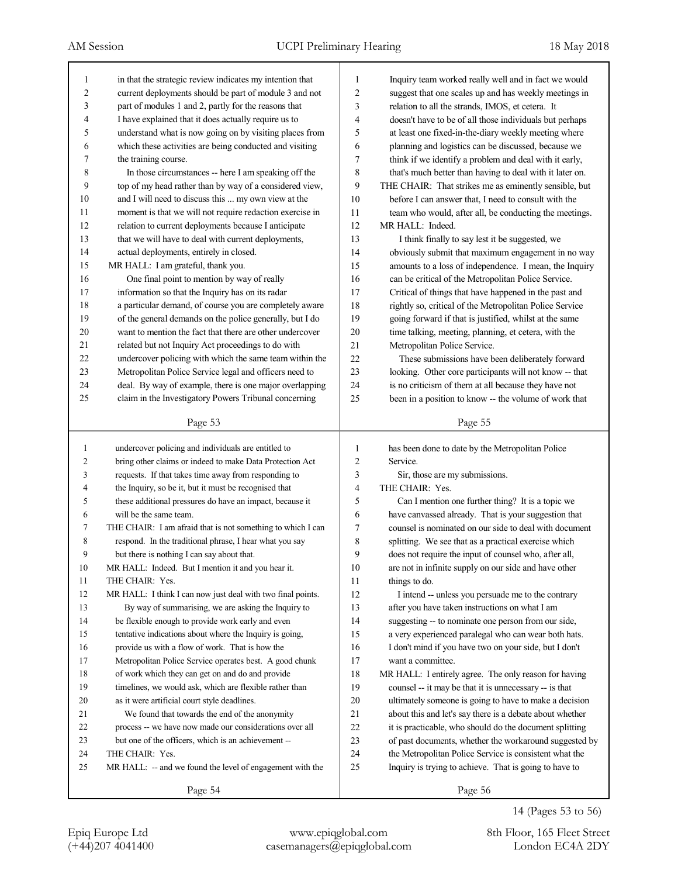| 1              | in that the strategic review indicates my intention that    | 1              | Inquiry team worked really well and in fact we would     |
|----------------|-------------------------------------------------------------|----------------|----------------------------------------------------------|
| $\overline{c}$ | current deployments should be part of module 3 and not      | 2              | suggest that one scales up and has weekly meetings in    |
| 3              | part of modules 1 and 2, partly for the reasons that        | 3              | relation to all the strands, IMOS, et cetera. It         |
| $\overline{4}$ | I have explained that it does actually require us to        | 4              | doesn't have to be of all those individuals but perhaps  |
| 5              | understand what is now going on by visiting places from     | 5              | at least one fixed-in-the-diary weekly meeting where     |
| 6              | which these activities are being conducted and visiting     | 6              | planning and logistics can be discussed, because we      |
| 7              | the training course.                                        | 7              | think if we identify a problem and deal with it early,   |
| 8              | In those circumstances -- here I am speaking off the        | 8              | that's much better than having to deal with it later on. |
| 9              | top of my head rather than by way of a considered view,     | 9              | THE CHAIR: That strikes me as eminently sensible, but    |
| 10             | and I will need to discuss this  my own view at the         | 10             | before I can answer that, I need to consult with the     |
| 11             | moment is that we will not require redaction exercise in    | 11             | team who would, after all, be conducting the meetings.   |
| 12             | relation to current deployments because I anticipate        | 12             | MR HALL: Indeed.                                         |
| 13             | that we will have to deal with current deployments,         | 13             | I think finally to say lest it be suggested, we          |
| 14             | actual deployments, entirely in closed.                     | 14             | obviously submit that maximum engagement in no way       |
| 15             | MR HALL: I am grateful, thank you.                          | 15             | amounts to a loss of independence. I mean, the Inquiry   |
| 16             | One final point to mention by way of really                 | 16             | can be critical of the Metropolitan Police Service.      |
| 17             | information so that the Inquiry has on its radar            | 17             | Critical of things that have happened in the past and    |
| 18             | a particular demand, of course you are completely aware     | 18             | rightly so, critical of the Metropolitan Police Service  |
| 19             | of the general demands on the police generally, but I do    | 19             | going forward if that is justified, whilst at the same   |
| 20             | want to mention the fact that there are other undercover    | $20\,$         | time talking, meeting, planning, et cetera, with the     |
| 21             | related but not Inquiry Act proceedings to do with          | 21             | Metropolitan Police Service.                             |
| 22             | undercover policing with which the same team within the     | 22             | These submissions have been deliberately forward         |
| 23             | Metropolitan Police Service legal and officers need to      | 23             | looking. Other core participants will not know -- that   |
| 24             | deal. By way of example, there is one major overlapping     | 24             | is no criticism of them at all because they have not     |
| 25             | claim in the Investigatory Powers Tribunal concerning       | 25             | been in a position to know -- the volume of work that    |
|                | Page 53                                                     |                | Page 55                                                  |
|                |                                                             |                |                                                          |
|                |                                                             |                |                                                          |
| $\mathbf{1}$   | undercover policing and individuals are entitled to         | 1              | has been done to date by the Metropolitan Police         |
| 2              | bring other claims or indeed to make Data Protection Act    | $\overline{c}$ | Service.                                                 |
| 3              | requests. If that takes time away from responding to        | 3              | Sir, those are my submissions.                           |
| 4              | the Inquiry, so be it, but it must be recognised that       | 4              | THE CHAIR: Yes.                                          |
| 5              | these additional pressures do have an impact, because it    | 5              | Can I mention one further thing? It is a topic we        |
| 6              | will be the same team.                                      | 6              | have canvassed already. That is your suggestion that     |
| 7              | THE CHAIR: I am afraid that is not something to which I can | 7              | counsel is nominated on our side to deal with document   |
| 8              | respond. In the traditional phrase, I hear what you say     | 8              | splitting. We see that as a practical exercise which     |
| 9              | but there is nothing I can say about that.                  | 9              | does not require the input of counsel who, after all,    |
| 10             | MR HALL: Indeed. But I mention it and you hear it.          | 10             | are not in infinite supply on our side and have other    |
| 11             | THE CHAIR: Yes.                                             | 11             | things to do.                                            |
| 12             | MR HALL: I think I can now just deal with two final points. | 12             | I intend -- unless you persuade me to the contrary       |
| 13             | By way of summarising, we are asking the Inquiry to         | 13             | after you have taken instructions on what I am           |
| 14             | be flexible enough to provide work early and even           | 14             | suggesting -- to nominate one person from our side,      |
| 15             | tentative indications about where the Inquiry is going,     | 15             | a very experienced paralegal who can wear both hats.     |
| 16             | provide us with a flow of work. That is how the             | 16             | I don't mind if you have two on your side, but I don't   |
| 17             | Metropolitan Police Service operates best. A good chunk     | 17             | want a committee.                                        |
| 18             | of work which they can get on and do and provide            | 18             | MR HALL: I entirely agree. The only reason for having    |
| 19             | timelines, we would ask, which are flexible rather than     | 19             | counsel -- it may be that it is unnecessary -- is that   |
| 20             | as it were artificial court style deadlines.                | $20\,$         | ultimately someone is going to have to make a decision   |
| 21             | We found that towards the end of the anonymity              | 21             | about this and let's say there is a debate about whether |
| 22             | process -- we have now made our considerations over all     | $22\,$         | it is practicable, who should do the document splitting  |
| 23             | but one of the officers, which is an achievement --         | 23             | of past documents, whether the workaround suggested by   |
| 24             | THE CHAIR: Yes.                                             | 24             | the Metropolitan Police Service is consistent what the   |
| 25             | MR HALL: -- and we found the level of engagement with the   | 25             | Inquiry is trying to achieve. That is going to have to   |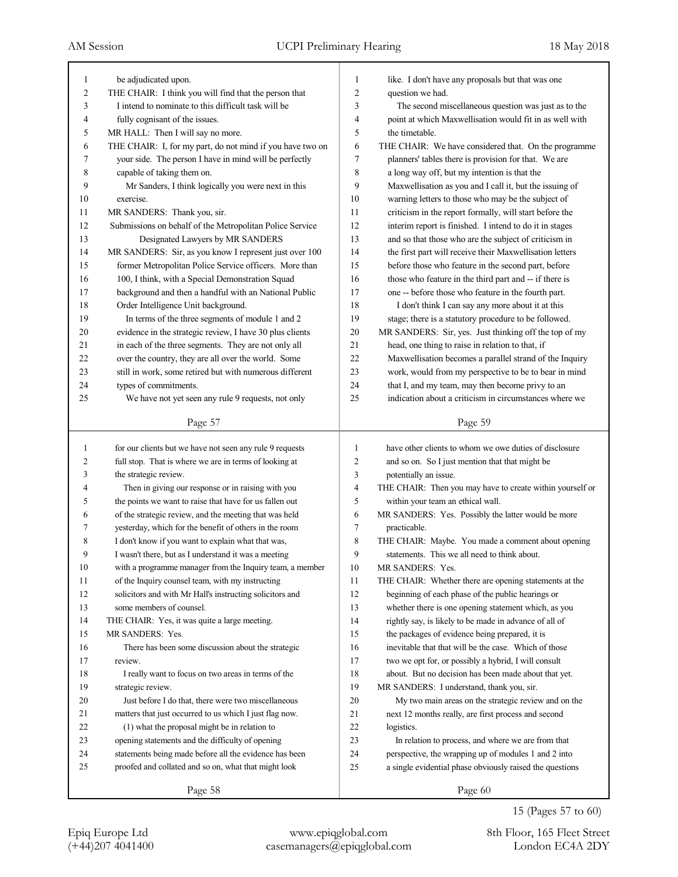| $\mathbf{1}$   | be adjudicated upon.                                      | 1              | like. I don't have any proposals but that was one         |
|----------------|-----------------------------------------------------------|----------------|-----------------------------------------------------------|
| $\overline{c}$ | THE CHAIR: I think you will find that the person that     | $\overline{c}$ | question we had.                                          |
| 3              | I intend to nominate to this difficult task will be       | 3              | The second miscellaneous question was just as to the      |
| 4              | fully cognisant of the issues.                            | 4              | point at which Maxwellisation would fit in as well with   |
| 5              | MR HALL: Then I will say no more.                         | 5              | the timetable.                                            |
| 6              | THE CHAIR: I, for my part, do not mind if you have two on | 6              | THE CHAIR: We have considered that. On the programme      |
| 7              | your side. The person I have in mind will be perfectly    | 7              | planners' tables there is provision for that. We are      |
| 8              | capable of taking them on.                                | 8              | a long way off, but my intention is that the              |
| 9              | Mr Sanders, I think logically you were next in this       | 9              | Maxwellisation as you and I call it, but the issuing of   |
| 10             | exercise.                                                 | 10             | warning letters to those who may be the subject of        |
| 11             | MR SANDERS: Thank you, sir.                               | 11             | criticism in the report formally, will start before the   |
| 12             | Submissions on behalf of the Metropolitan Police Service  | 12             | interim report is finished. I intend to do it in stages   |
| 13             | Designated Lawyers by MR SANDERS                          | 13             | and so that those who are the subject of criticism in     |
| 14             | MR SANDERS: Sir, as you know I represent just over 100    | 14             | the first part will receive their Maxwellisation letters  |
| 15             | former Metropolitan Police Service officers. More than    | 15             | before those who feature in the second part, before       |
| 16             | 100, I think, with a Special Demonstration Squad          | 16             | those who feature in the third part and -- if there is    |
| 17             | background and then a handful with an National Public     | 17             | one -- before those who feature in the fourth part.       |
| 18             | Order Intelligence Unit background.                       | 18             | I don't think I can say any more about it at this         |
| 19             | In terms of the three segments of module 1 and 2          | 19             | stage; there is a statutory procedure to be followed.     |
| 20             | evidence in the strategic review, I have 30 plus clients  | $20\,$         | MR SANDERS: Sir, yes. Just thinking off the top of my     |
| 21             | in each of the three segments. They are not only all      | 21             | head, one thing to raise in relation to that, if          |
| 22             | over the country, they are all over the world. Some       | 22             | Maxwellisation becomes a parallel strand of the Inquiry   |
| 23             | still in work, some retired but with numerous different   | 23             | work, would from my perspective to be to bear in mind     |
| 24             | types of commitments.                                     | 24             | that I, and my team, may then become privy to an          |
| 25             | We have not yet seen any rule 9 requests, not only        | 25             | indication about a criticism in circumstances where we    |
|                |                                                           |                |                                                           |
|                | Page 57                                                   |                | Page 59                                                   |
|                |                                                           |                |                                                           |
|                |                                                           |                |                                                           |
| 1              | for our clients but we have not seen any rule 9 requests  | 1              | have other clients to whom we owe duties of disclosure    |
| 2              | full stop. That is where we are in terms of looking at    | $\overline{2}$ | and so on. So I just mention that that might be           |
| 3              | the strategic review.                                     | 3              | potentially an issue.                                     |
| 4              | Then in giving our response or in raising with you        | $\overline{4}$ | THE CHAIR: Then you may have to create within yourself or |
| 5              | the points we want to raise that have for us fallen out   | 5              | within your team an ethical wall.                         |
| 6              | of the strategic review, and the meeting that was held    | 6              | MR SANDERS: Yes. Possibly the latter would be more        |
| 7              | yesterday, which for the benefit of others in the room    | 7              | practicable.                                              |
| 8              | I don't know if you want to explain what that was,        | 8              | THE CHAIR: Maybe. You made a comment about opening        |
| 9              | I wasn't there, but as I understand it was a meeting      | 9              | statements. This we all need to think about.              |
| 10             | with a programme manager from the Inquiry team, a member  | 10             | MR SANDERS: Yes.                                          |
| 11             | of the Inquiry counsel team, with my instructing          | 11             | THE CHAIR: Whether there are opening statements at the    |
| 12             | solicitors and with Mr Hall's instructing solicitors and  | 12             | beginning of each phase of the public hearings or         |
| 13             | some members of counsel.                                  | 13             | whether there is one opening statement which, as you      |
| 14             | THE CHAIR: Yes, it was quite a large meeting.             | 14             | rightly say, is likely to be made in advance of all of    |
| 15             | MR SANDERS: Yes.                                          | 15             | the packages of evidence being prepared, it is            |
| 16             | There has been some discussion about the strategic        | 16             | inevitable that that will be the case. Which of those     |
| 17             | review.                                                   | 17             | two we opt for, or possibly a hybrid, I will consult      |
| 18             | I really want to focus on two areas in terms of the       | 18             | about. But no decision has been made about that yet.      |
| 19             | strategic review.                                         | 19             | MR SANDERS: I understand, thank you, sir.                 |
| 20             | Just before I do that, there were two miscellaneous       | 20             | My two main areas on the strategic review and on the      |
| 21             | matters that just occurred to us which I just flag now.   | 21             | next 12 months really, are first process and second       |
| 22             | (1) what the proposal might be in relation to             | 22             | logistics.                                                |
| 23             | opening statements and the difficulty of opening          | 23             | In relation to process, and where we are from that        |
| 24             | statements being made before all the evidence has been    | 24             | perspective, the wrapping up of modules 1 and 2 into      |
| 25             | proofed and collated and so on, what that might look      | 25             | a single evidential phase obviously raised the questions  |
|                | Page 58                                                   |                | Page 60                                                   |

15 (Pages 57 to 60)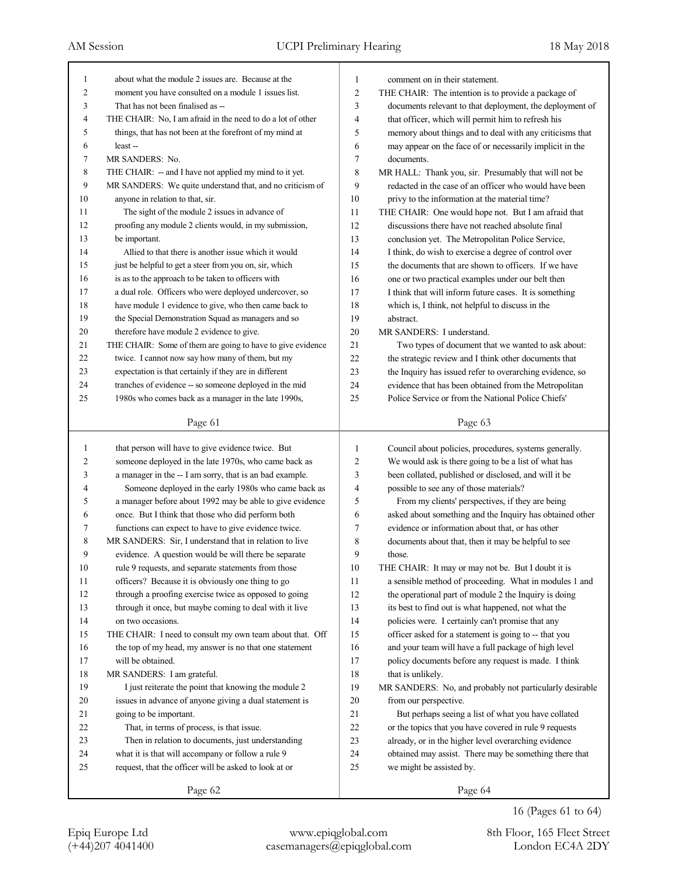| 1  | about what the module 2 issues are. Because at the          | 1              | comment on in their statement.                           |
|----|-------------------------------------------------------------|----------------|----------------------------------------------------------|
| 2  | moment you have consulted on a module 1 issues list.        | $\overline{c}$ | THE CHAIR: The intention is to provide a package of      |
| 3  | That has not been finalised as --                           | 3              | documents relevant to that deployment, the deployment of |
| 4  | THE CHAIR: No, I am afraid in the need to do a lot of other | $\overline{4}$ | that officer, which will permit him to refresh his       |
| 5  | things, that has not been at the forefront of my mind at    | 5              | memory about things and to deal with any criticisms that |
| 6  | least-                                                      | 6              | may appear on the face of or necessarily implicit in the |
| 7  | MR SANDERS: No.                                             | 7              | documents.                                               |
| 8  | THE CHAIR: - and I have not applied my mind to it yet.      | 8              | MR HALL: Thank you, sir. Presumably that will not be     |
| 9  | MR SANDERS: We quite understand that, and no criticism of   | 9              | redacted in the case of an officer who would have been   |
| 10 | anyone in relation to that, sir.                            | 10             | privy to the information at the material time?           |
| 11 | The sight of the module 2 issues in advance of              | 11             | THE CHAIR: One would hope not. But I am afraid that      |
| 12 | proofing any module 2 clients would, in my submission,      | 12             | discussions there have not reached absolute final        |
| 13 | be important.                                               | 13             | conclusion yet. The Metropolitan Police Service,         |
| 14 | Allied to that there is another issue which it would        | 14             | I think, do wish to exercise a degree of control over    |
| 15 | just be helpful to get a steer from you on, sir, which      | 15             | the documents that are shown to officers. If we have     |
| 16 | is as to the approach to be taken to officers with          | 16             | one or two practical examples under our belt then        |
| 17 | a dual role. Officers who were deployed undercover, so      | 17             | I think that will inform future cases. It is something   |
| 18 | have module 1 evidence to give, who then came back to       | 18             | which is, I think, not helpful to discuss in the         |
| 19 | the Special Demonstration Squad as managers and so          | 19             | abstract.                                                |
| 20 | therefore have module 2 evidence to give.                   | 20             | MR SANDERS: I understand.                                |
| 21 | THE CHAIR: Some of them are going to have to give evidence  | 21             | Two types of document that we wanted to ask about:       |
| 22 | twice. I cannot now say how many of them, but my            | 22             | the strategic review and I think other documents that    |
| 23 | expectation is that certainly if they are in different      | 23             | the Inquiry has issued refer to overarching evidence, so |
| 24 | tranches of evidence -- so someone deployed in the mid      | 24             | evidence that has been obtained from the Metropolitan    |
| 25 | 1980s who comes back as a manager in the late 1990s,        | 25             | Police Service or from the National Police Chiefs'       |
|    |                                                             |                |                                                          |
|    | Page 61                                                     |                | Page 63                                                  |
|    |                                                             |                |                                                          |
|    |                                                             |                |                                                          |
| 1  | that person will have to give evidence twice. But           | 1              | Council about policies, procedures, systems generally.   |
| 2  | someone deployed in the late 1970s, who came back as        | $\overline{c}$ | We would ask is there going to be a list of what has     |
| 3  | a manager in the -- I am sorry, that is an bad example.     | 3              | been collated, published or disclosed, and will it be    |
| 4  | Someone deployed in the early 1980s who came back as        | 4              | possible to see any of those materials?                  |
| 5  | a manager before about 1992 may be able to give evidence    | 5              | From my clients' perspectives, if they are being         |
| 6  | once. But I think that those who did perform both           | 6              | asked about something and the Inquiry has obtained other |
| 7  | functions can expect to have to give evidence twice.        | 7              | evidence or information about that, or has other         |
| 8  | MR SANDERS: Sir, I understand that in relation to live      | 8              | documents about that, then it may be helpful to see      |
| 9  | evidence. A question would be will there be separate        | 9              | those.                                                   |
| 10 | rule 9 requests, and separate statements from those         | 10             | THE CHAIR: It may or may not be. But I doubt it is       |
| 11 | officers? Because it is obviously one thing to go           | 11             | a sensible method of proceeding. What in modules 1 and   |
| 12 | through a proofing exercise twice as opposed to going       | 12             | the operational part of module 2 the Inquiry is doing    |
| 13 | through it once, but maybe coming to deal with it live      | 13             | its best to find out is what happened, not what the      |
| 14 | on two occasions.                                           | 14             | policies were. I certainly can't promise that any        |
| 15 | THE CHAIR: I need to consult my own team about that. Off    | 15             | officer asked for a statement is going to -- that you    |
| 16 | the top of my head, my answer is no that one statement      | 16             | and your team will have a full package of high level     |
| 17 | will be obtained.                                           | 17             | policy documents before any request is made. I think     |
| 18 | MR SANDERS: I am grateful.                                  | $18\,$         | that is unlikely.                                        |
| 19 | I just reiterate the point that knowing the module 2        | 19             | MR SANDERS: No, and probably not particularly desirable  |
| 20 | issues in advance of anyone giving a dual statement is      | 20             | from our perspective.                                    |
| 21 | going to be important.                                      | $21\,$         | But perhaps seeing a list of what you have collated      |
| 22 | That, in terms of process, is that issue.                   | $22\,$         | or the topics that you have covered in rule 9 requests   |
| 23 | Then in relation to documents, just understanding           | 23             | already, or in the higher level overarching evidence     |
| 24 | what it is that will accompany or follow a rule 9           | 24             | obtained may assist. There may be something there that   |
| 25 | request, that the officer will be asked to look at or       | 25             | we might be assisted by.                                 |
|    | Page 62                                                     |                | Page 64                                                  |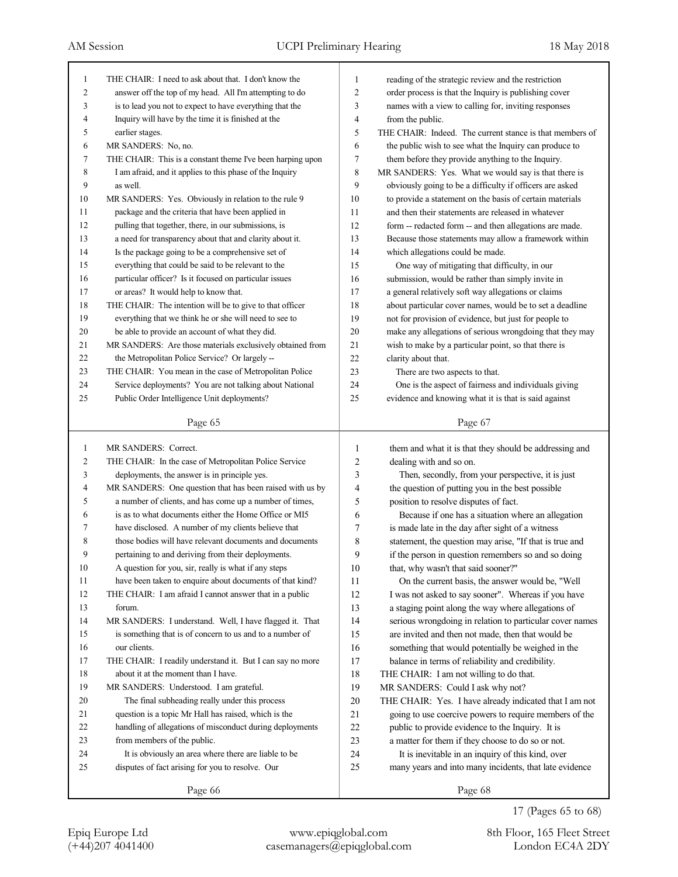| 1  | THE CHAIR: I need to ask about that. I don't know the      | 1  | reading of the strategic review and the restriction      |
|----|------------------------------------------------------------|----|----------------------------------------------------------|
| 2  | answer off the top of my head. All I'm attempting to do    | 2  | order process is that the Inquiry is publishing cover    |
| 3  | is to lead you not to expect to have everything that the   | 3  | names with a view to calling for, inviting responses     |
| 4  | Inquiry will have by the time it is finished at the        | 4  | from the public.                                         |
| 5  | earlier stages.                                            | 5  | THE CHAIR: Indeed. The current stance is that members of |
| 6  | MR SANDERS: No, no.                                        | 6  | the public wish to see what the Inquiry can produce to   |
| 7  | THE CHAIR: This is a constant theme I've been harping upon | 7  | them before they provide anything to the Inquiry.        |
| 8  | I am afraid, and it applies to this phase of the Inquiry   | 8  | MR SANDERS: Yes. What we would say is that there is      |
| 9  | as well.                                                   | 9  | obviously going to be a difficulty if officers are asked |
| 10 | MR SANDERS: Yes. Obviously in relation to the rule 9       | 10 | to provide a statement on the basis of certain materials |
| 11 | package and the criteria that have been applied in         | 11 | and then their statements are released in whatever       |
| 12 | pulling that together, there, in our submissions, is       | 12 | form -- redacted form -- and then allegations are made.  |
| 13 | a need for transparency about that and clarity about it.   | 13 | Because those statements may allow a framework within    |
| 14 | Is the package going to be a comprehensive set of          | 14 | which allegations could be made.                         |
| 15 | everything that could be said to be relevant to the        | 15 | One way of mitigating that difficulty, in our            |
| 16 | particular officer? Is it focused on particular issues     | 16 | submission, would be rather than simply invite in        |
| 17 | or areas? It would help to know that.                      | 17 | a general relatively soft way allegations or claims      |
| 18 | THE CHAIR: The intention will be to give to that officer   | 18 | about particular cover names, would be to set a deadline |
| 19 | everything that we think he or she will need to see to     | 19 | not for provision of evidence, but just for people to    |
| 20 | be able to provide an account of what they did.            | 20 | make any allegations of serious wrongdoing that they may |
| 21 | MR SANDERS: Are those materials exclusively obtained from  | 21 | wish to make by a particular point, so that there is     |
| 22 | the Metropolitan Police Service? Or largely --             | 22 | clarity about that.                                      |
| 23 | THE CHAIR: You mean in the case of Metropolitan Police     | 23 | There are two aspects to that.                           |
| 24 | Service deployments? You are not talking about National    | 24 | One is the aspect of fairness and individuals giving     |
| 25 | Public Order Intelligence Unit deployments?                | 25 | evidence and knowing what it is that is said against     |
|    | Page 65                                                    |    | Page 67                                                  |
|    |                                                            |    |                                                          |
|    |                                                            |    |                                                          |
| 1  | MR SANDERS: Correct.                                       | 1  | them and what it is that they should be addressing and   |
| 2  | THE CHAIR: In the case of Metropolitan Police Service      | 2  | dealing with and so on.                                  |
| 3  | deployments, the answer is in principle yes.               | 3  | Then, secondly, from your perspective, it is just        |
| 4  | MR SANDERS: One question that has been raised with us by   | 4  | the question of putting you in the best possible         |
| 5  | a number of clients, and has come up a number of times,    | 5  | position to resolve disputes of fact.                    |
| 6  | is as to what documents either the Home Office or MI5      | 6  | Because if one has a situation where an allegation       |
| 7  | have disclosed. A number of my clients believe that        | 7  | is made late in the day after sight of a witness         |
| 8  | those bodies will have relevant documents and documents    | 8  | statement, the question may arise, "If that is true and  |
| 9  | pertaining to and deriving from their deployments.         | 9  | if the person in question remembers so and so doing      |
| 10 | A question for you, sir, really is what if any steps       | 10 | that, why wasn't that said sooner?"                      |
| 11 | have been taken to enquire about documents of that kind?   | 11 | On the current basis, the answer would be, "Well         |
| 12 | THE CHAIR: I am afraid I cannot answer that in a public    | 12 | I was not asked to say sooner". Whereas if you have      |
| 13 | forum.                                                     | 13 | a staging point along the way where allegations of       |
| 14 | MR SANDERS: I understand. Well, I have flagged it. That    | 14 | serious wrongdoing in relation to particular cover names |
| 15 | is something that is of concern to us and to a number of   | 15 | are invited and then not made, then that would be        |
| 16 | our clients.                                               | 16 | something that would potentially be weighed in the       |
| 17 | THE CHAIR: I readily understand it. But I can say no more  | 17 | balance in terms of reliability and credibility.         |
| 18 | about it at the moment than I have.                        | 18 | THE CHAIR: I am not willing to do that.                  |
| 19 | MR SANDERS: Understood. I am grateful.                     | 19 | MR SANDERS: Could I ask why not?                         |
| 20 | The final subheading really under this process             | 20 | THE CHAIR: Yes. I have already indicated that I am not   |
| 21 | question is a topic Mr Hall has raised, which is the       | 21 | going to use coercive powers to require members of the   |
| 22 | handling of allegations of misconduct during deployments   | 22 | public to provide evidence to the Inquiry. It is         |
| 23 | from members of the public.                                | 23 | a matter for them if they choose to do so or not.        |
| 24 | It is obviously an area where there are liable to be       | 24 | It is inevitable in an inquiry of this kind, over        |
| 25 | disputes of fact arising for you to resolve. Our           | 25 | many years and into many incidents, that late evidence   |

17 (Pages 65 to 68)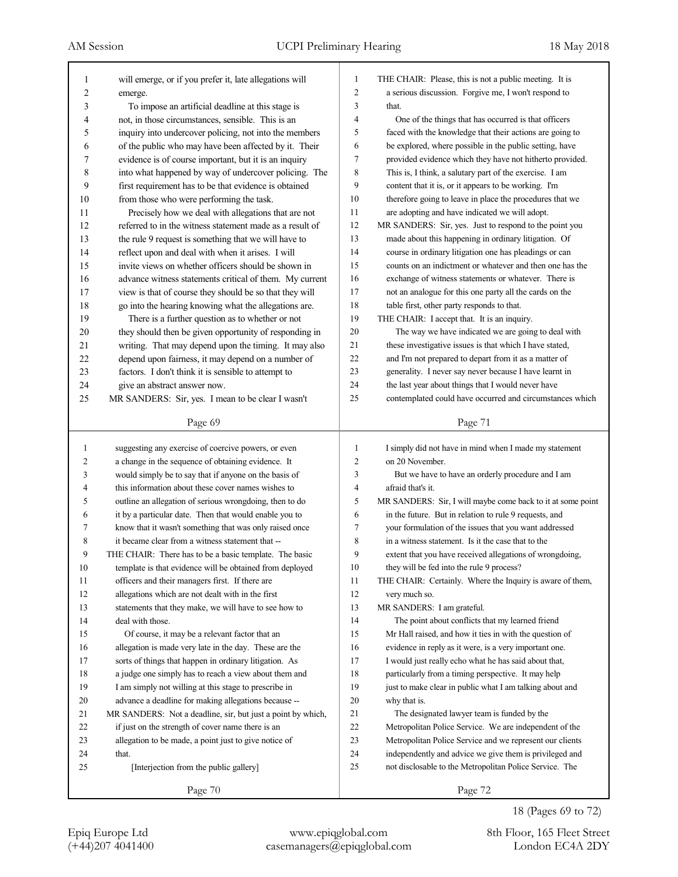| 1      | will emerge, or if you prefer it, late allegations will     | 1              | THE CHAIR: Please, this is not a public meeting. It is      |
|--------|-------------------------------------------------------------|----------------|-------------------------------------------------------------|
| 2      | emerge.                                                     | $\overline{c}$ | a serious discussion. Forgive me, I won't respond to        |
| 3      | To impose an artificial deadline at this stage is           | 3              | that.                                                       |
| 4      | not, in those circumstances, sensible. This is an           | 4              | One of the things that has occurred is that officers        |
| 5      | inquiry into undercover policing, not into the members      | 5              | faced with the knowledge that their actions are going to    |
| 6      | of the public who may have been affected by it. Their       | 6              | be explored, where possible in the public setting, have     |
| 7      | evidence is of course important, but it is an inquiry       | 7              | provided evidence which they have not hitherto provided.    |
| 8      | into what happened by way of undercover policing. The       | 8              | This is, I think, a salutary part of the exercise. I am     |
| 9      | first requirement has to be that evidence is obtained       | 9              | content that it is, or it appears to be working. I'm        |
| 10     | from those who were performing the task.                    | 10             | therefore going to leave in place the procedures that we    |
| 11     | Precisely how we deal with allegations that are not         | 11             | are adopting and have indicated we will adopt.              |
| 12     | referred to in the witness statement made as a result of    | 12             | MR SANDERS: Sir, yes. Just to respond to the point you      |
| 13     | the rule 9 request is something that we will have to        | 13             | made about this happening in ordinary litigation. Of        |
| 14     | reflect upon and deal with when it arises. I will           | 14             | course in ordinary litigation one has pleadings or can      |
| 15     | invite views on whether officers should be shown in         | 15             | counts on an indictment or whatever and then one has the    |
| 16     | advance witness statements critical of them. My current     | 16             | exchange of witness statements or whatever. There is        |
| 17     | view is that of course they should be so that they will     | 17             | not an analogue for this one party all the cards on the     |
| 18     | go into the hearing knowing what the allegations are.       | 18             | table first, other party responds to that.                  |
| 19     | There is a further question as to whether or not            | 19             | THE CHAIR: I accept that. It is an inquiry.                 |
| 20     | they should then be given opportunity of responding in      | $20\,$         | The way we have indicated we are going to deal with         |
| 21     | writing. That may depend upon the timing. It may also       | 21             | these investigative issues is that which I have stated,     |
| 22     | depend upon fairness, it may depend on a number of          | 22             | and I'm not prepared to depart from it as a matter of       |
| 23     | factors. I don't think it is sensible to attempt to         | 23             | generality. I never say never because I have learnt in      |
| 24     | give an abstract answer now.                                | 24             | the last year about things that I would never have          |
| 25     | MR SANDERS: Sir, yes. I mean to be clear I wasn't           | 25             | contemplated could have occurred and circumstances which    |
|        |                                                             |                |                                                             |
|        | Page 69                                                     |                | Page 71                                                     |
|        |                                                             |                |                                                             |
|        |                                                             |                |                                                             |
| 1      | suggesting any exercise of coercive powers, or even         | 1              | I simply did not have in mind when I made my statement      |
| 2      | a change in the sequence of obtaining evidence. It          | 2              | on 20 November.                                             |
| 3      | would simply be to say that if anyone on the basis of       | 3              | But we have to have an orderly procedure and I am           |
| 4      | this information about these cover names wishes to          | 4              | afraid that's it.                                           |
| 5      | outline an allegation of serious wrongdoing, then to do     | 5              | MR SANDERS: Sir, I will maybe come back to it at some point |
| 6      | it by a particular date. Then that would enable you to      | 6              | in the future. But in relation to rule 9 requests, and      |
| 7      | know that it wasn't something that was only raised once     | 7              | your formulation of the issues that you want addressed      |
| 8      | it became clear from a witness statement that --            | 8              | in a witness statement. Is it the case that to the          |
| 9      | THE CHAIR: There has to be a basic template. The basic      | 9              | extent that you have received allegations of wrongdoing,    |
| $10\,$ | template is that evidence will be obtained from deployed    | 10             | they will be fed into the rule 9 process?                   |
| 11     | officers and their managers first. If there are             | 11             | THE CHAIR: Certainly. Where the Inquiry is aware of them,   |
| 12     | allegations which are not dealt with in the first           | 12             | very much so.                                               |
| 13     | statements that they make, we will have to see how to       | 13             | MR SANDERS: I am grateful.                                  |
| 14     | deal with those.                                            | 14             | The point about conflicts that my learned friend            |
| 15     | Of course, it may be a relevant factor that an              | 15             | Mr Hall raised, and how it ties in with the question of     |
| 16     | allegation is made very late in the day. These are the      | 16             | evidence in reply as it were, is a very important one.      |
| 17     | sorts of things that happen in ordinary litigation. As      | 17             | I would just really echo what he has said about that,       |
| 18     | a judge one simply has to reach a view about them and       | 18             | particularly from a timing perspective. It may help         |
| 19     | I am simply not willing at this stage to prescribe in       | 19             | just to make clear in public what I am talking about and    |
| 20     | advance a deadline for making allegations because --        | 20             | why that is.                                                |
| 21     | MR SANDERS: Not a deadline, sir, but just a point by which, | 21             | The designated lawyer team is funded by the                 |
| 22     | if just on the strength of cover name there is an           | 22             | Metropolitan Police Service. We are independent of the      |
| 23     | allegation to be made, a point just to give notice of       | 23             | Metropolitan Police Service and we represent our clients    |
| 24     | that.                                                       | 24             | independently and advice we give them is privileged and     |
| 25     | [Interjection from the public gallery]                      | 25             | not disclosable to the Metropolitan Police Service. The     |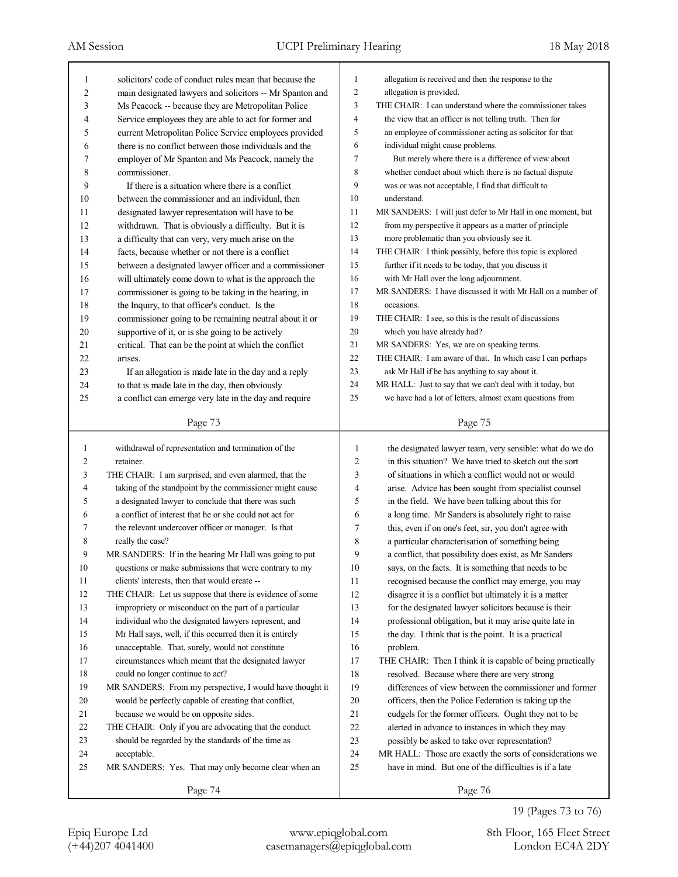| 1              | solicitors' code of conduct rules mean that because the  | 1              | allegation is received and then the response to the         |
|----------------|----------------------------------------------------------|----------------|-------------------------------------------------------------|
| $\overline{c}$ | main designated lawyers and solicitors -- Mr Spanton and | $\overline{2}$ | allegation is provided.                                     |
| 3              | Ms Peacock -- because they are Metropolitan Police       | 3              | THE CHAIR: I can understand where the commissioner takes    |
| 4              | Service employees they are able to act for former and    | $\overline{4}$ | the view that an officer is not telling truth. Then for     |
| 5              | current Metropolitan Police Service employees provided   | 5              | an employee of commissioner acting as solicitor for that    |
| 6              | there is no conflict between those individuals and the   | 6              | individual might cause problems.                            |
| 7              | employer of Mr Spanton and Ms Peacock, namely the        | 7              | But merely where there is a difference of view about        |
| 8              | commissioner.                                            | 8              | whether conduct about which there is no factual dispute     |
| 9              | If there is a situation where there is a conflict        | 9              | was or was not acceptable, I find that difficult to         |
| 10             | between the commissioner and an individual, then         | 10             | understand.                                                 |
| 11             | designated lawyer representation will have to be         | 11             | MR SANDERS: I will just defer to Mr Hall in one moment, but |
| 12             | withdrawn. That is obviously a difficulty. But it is     | 12             | from my perspective it appears as a matter of principle     |
| 13             | a difficulty that can very, very much arise on the       | 13             | more problematic than you obviously see it.                 |
| 14             | facts, because whether or not there is a conflict        | 14             | THE CHAIR: I think possibly, before this topic is explored  |
| 15             | between a designated lawyer officer and a commissioner   | 15             | further if it needs to be today, that you discuss it        |
| 16             | will ultimately come down to what is the approach the    | 16             | with Mr Hall over the long adjournment.                     |
| 17             | commissioner is going to be taking in the hearing, in    | 17             | MR SANDERS: I have discussed it with Mr Hall on a number of |
| 18             | the Inquiry, to that officer's conduct. Is the           | 18             | occasions.                                                  |
| 19             | commissioner going to be remaining neutral about it or   | 19             | THE CHAIR: I see, so this is the result of discussions      |
| 20             | supportive of it, or is she going to be actively         | 20             | which you have already had?                                 |
| 21             | critical. That can be the point at which the conflict    | 21             | MR SANDERS: Yes, we are on speaking terms.                  |
| 22             | arises.                                                  | 22             | THE CHAIR: I am aware of that. In which case I can perhaps  |
| 23             | If an allegation is made late in the day and a reply     | 23             | ask Mr Hall if he has anything to say about it.             |
| 24             | to that is made late in the day, then obviously          | 24             | MR HALL: Just to say that we can't deal with it today, but  |
| 25             | a conflict can emerge very late in the day and require   | 25             | we have had a lot of letters, almost exam questions from    |
|                |                                                          |                |                                                             |
|                | Page 73                                                  |                | Page 75                                                     |
|                |                                                          |                |                                                             |
|                |                                                          |                |                                                             |
| 1              | withdrawal of representation and termination of the      | 1              | the designated lawyer team, very sensible: what do we do    |
| 2              | retainer.                                                | 2              | in this situation? We have tried to sketch out the sort     |
| 3              | THE CHAIR: I am surprised, and even alarmed, that the    | 3              | of situations in which a conflict would not or would        |
| 4              | taking of the standpoint by the commissioner might cause | 4              | arise. Advice has been sought from specialist counsel       |
| 5              | a designated lawyer to conclude that there was such      | 5              | in the field. We have been talking about this for           |
| 6              | a conflict of interest that he or she could not act for  | 6              | a long time. Mr Sanders is absolutely right to raise        |
| 7              | the relevant undercover officer or manager. Is that      | 7              | this, even if on one's feet, sir, you don't agree with      |
| 8              | really the case?                                         | 8              | a particular characterisation of something being            |
| 9              | MR SANDERS: If in the hearing Mr Hall was going to put   | 9              | a conflict, that possibility does exist, as Mr Sanders      |
| 10             | questions or make submissions that were contrary to my   | 10             | says, on the facts. It is something that needs to be        |
| 11             | clients' interests, then that would create --            | 11             | recognised because the conflict may emerge, you may         |
| 12             | THE CHAIR: Let us suppose that there is evidence of some | 12             | disagree it is a conflict but ultimately it is a matter     |
| 13             | impropriety or misconduct on the part of a particular    | 13             | for the designated lawyer solicitors because is their       |
| 14             | individual who the designated lawyers represent, and     | 14             | professional obligation, but it may arise quite late in     |
| 15             | Mr Hall says, well, if this occurred then it is entirely | 15             | the day. I think that is the point. It is a practical       |
| 16             | unacceptable. That, surely, would not constitute         | 16             | problem.                                                    |
| 17             | circumstances which meant that the designated lawyer     | 17             | THE CHAIR: Then I think it is capable of being practically  |
| 18             | could no longer continue to act?                         | 18             | resolved. Because where there are very strong               |
| 19             | MR SANDERS: From my perspective, I would have thought it | 19             | differences of view between the commissioner and former     |
| 20             | would be perfectly capable of creating that conflict,    | $20\,$         | officers, then the Police Federation is taking up the       |
| 21             | because we would be on opposite sides.                   | 21             | cudgels for the former officers. Ought they not to be       |
| 22             | THE CHAIR: Only if you are advocating that the conduct   | $22\,$         | alerted in advance to instances in which they may           |
| 23             | should be regarded by the standards of the time as       | 23             | possibly be asked to take over representation?              |
| 24             | acceptable.                                              | 24             | MR HALL: Those are exactly the sorts of considerations we   |
| 25             | MR SANDERS: Yes. That may only become clear when an      | 25             | have in mind. But one of the difficulties is if a late      |
|                | Page 74                                                  |                | Page 76                                                     |

19 (Pages 73 to 76)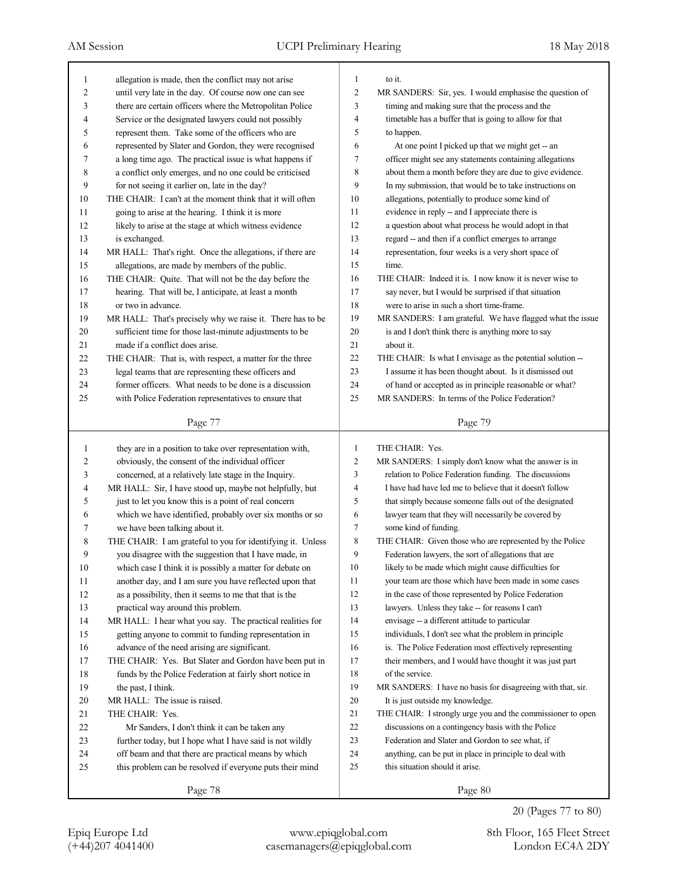| 1      | allegation is made, then the conflict may not arise        | 1              | to it.                                                      |
|--------|------------------------------------------------------------|----------------|-------------------------------------------------------------|
| 2      | until very late in the day. Of course now one can see      | $\mathbf{2}$   | MR SANDERS: Sir, yes. I would emphasise the question of     |
| 3      | there are certain officers where the Metropolitan Police   | 3              | timing and making sure that the process and the             |
| 4      | Service or the designated lawyers could not possibly       | 4              | timetable has a buffer that is going to allow for that      |
| 5      | represent them. Take some of the officers who are          | 5              | to happen.                                                  |
| 6      | represented by Slater and Gordon, they were recognised     | 6              | At one point I picked up that we might get -- an            |
| 7      | a long time ago. The practical issue is what happens if    | 7              | officer might see any statements containing allegations     |
| 8      | a conflict only emerges, and no one could be criticised    | 8              | about them a month before they are due to give evidence.    |
| 9      | for not seeing it earlier on, late in the day?             | 9              | In my submission, that would be to take instructions on     |
| $10\,$ | THE CHAIR: I can't at the moment think that it will often  | 10             | allegations, potentially to produce some kind of            |
| 11     | going to arise at the hearing. I think it is more          | 11             | evidence in reply -- and I appreciate there is              |
| 12     | likely to arise at the stage at which witness evidence     | 12             | a question about what process he would adopt in that        |
| 13     | is exchanged.                                              | 13             | regard -- and then if a conflict emerges to arrange         |
| 14     | MR HALL: That's right. Once the allegations, if there are  | 14             | representation, four weeks is a very short space of         |
| 15     | allegations, are made by members of the public.            | 15             | time.                                                       |
| 16     | THE CHAIR: Quite. That will not be the day before the      | 16             | THE CHAIR: Indeed it is. I now know it is never wise to     |
| 17     | hearing. That will be, I anticipate, at least a month      | 17             | say never, but I would be surprised if that situation       |
| 18     | or two in advance.                                         | 18             | were to arise in such a short time-frame.                   |
| 19     | MR HALL: That's precisely why we raise it. There has to be | 19             | MR SANDERS: I am grateful. We have flagged what the issue   |
| $20\,$ | sufficient time for those last-minute adjustments to be    | 20             | is and I don't think there is anything more to say          |
| 21     | made if a conflict does arise.                             | 21             | about it.                                                   |
| $22\,$ | THE CHAIR: That is, with respect, a matter for the three   | 22             | THE CHAIR: Is what I envisage as the potential solution --  |
| 23     | legal teams that are representing these officers and       | 23             | I assume it has been thought about. Is it dismissed out     |
| 24     | former officers. What needs to be done is a discussion     | 24             | of hand or accepted as in principle reasonable or what?     |
| 25     | with Police Federation representatives to ensure that      | 25             | MR SANDERS: In terms of the Police Federation?              |
|        |                                                            |                |                                                             |
|        | Page 77                                                    |                | Page 79                                                     |
|        |                                                            |                |                                                             |
|        |                                                            |                |                                                             |
| 1      | they are in a position to take over representation with,   | $\mathbf{1}$   | THE CHAIR: Yes.                                             |
| 2      | obviously, the consent of the individual officer           | $\overline{2}$ | MR SANDERS: I simply don't know what the answer is in       |
| 3      | concerned, at a relatively late stage in the Inquiry.      | 3              | relation to Police Federation funding. The discussions      |
| 4      | MR HALL: Sir, I have stood up, maybe not helpfully, but    | $\overline{4}$ | I have had have led me to believe that it doesn't follow    |
| 5      | just to let you know this is a point of real concern       | 5              | that simply because someone falls out of the designated     |
| 6      | which we have identified, probably over six months or so   | 6              | lawyer team that they will necessarily be covered by        |
| 7      | we have been talking about it.                             | 7              | some kind of funding.                                       |
| 8      | THE CHAIR: I am grateful to you for identifying it. Unless | $\,$ 8 $\,$    | THE CHAIR: Given those who are represented by the Police    |
| 9      | you disagree with the suggestion that I have made, in      | 9              | Federation lawyers, the sort of allegations that are        |
| 10     | which case I think it is possibly a matter for debate on   | 10             | likely to be made which might cause difficulties for        |
| 11     | another day, and I am sure you have reflected upon that    | 11             | your team are those which have been made in some cases      |
| $12\,$ | as a possibility, then it seems to me that that is the     | 12             | in the case of those represented by Police Federation       |
| 13     | practical way around this problem.                         | 13             | lawyers. Unless they take -- for reasons I can't            |
| 14     | MR HALL: I hear what you say. The practical realities for  | 14             | envisage -- a different attitude to particular              |
| 15     | getting anyone to commit to funding representation in      | 15             | individuals, I don't see what the problem in principle      |
| 16     | advance of the need arising are significant.               | 16             | is. The Police Federation most effectively representing     |
| 17     | THE CHAIR: Yes. But Slater and Gordon have been put in     | 17             | their members, and I would have thought it was just part    |
| $18\,$ | funds by the Police Federation at fairly short notice in   | 18             | of the service.                                             |
| 19     | the past, I think.                                         | 19             | MR SANDERS: I have no basis for disagreeing with that, sir. |
| 20     | MR HALL: The issue is raised.                              | $20\,$         | It is just outside my knowledge.                            |
| 21     | THE CHAIR: Yes.                                            | 21             | THE CHAIR: I strongly urge you and the commissioner to open |
| $22\,$ | Mr Sanders, I don't think it can be taken any              | 22             | discussions on a contingency basis with the Police          |
| 23     | further today, but I hope what I have said is not wildly   | 23             | Federation and Slater and Gordon to see what, if            |
| 24     | off beam and that there are practical means by which       | 24             | anything, can be put in place in principle to deal with     |
| 25     | this problem can be resolved if everyone puts their mind   | 25             | this situation should it arise.                             |
|        | Page 78                                                    |                | Page 80                                                     |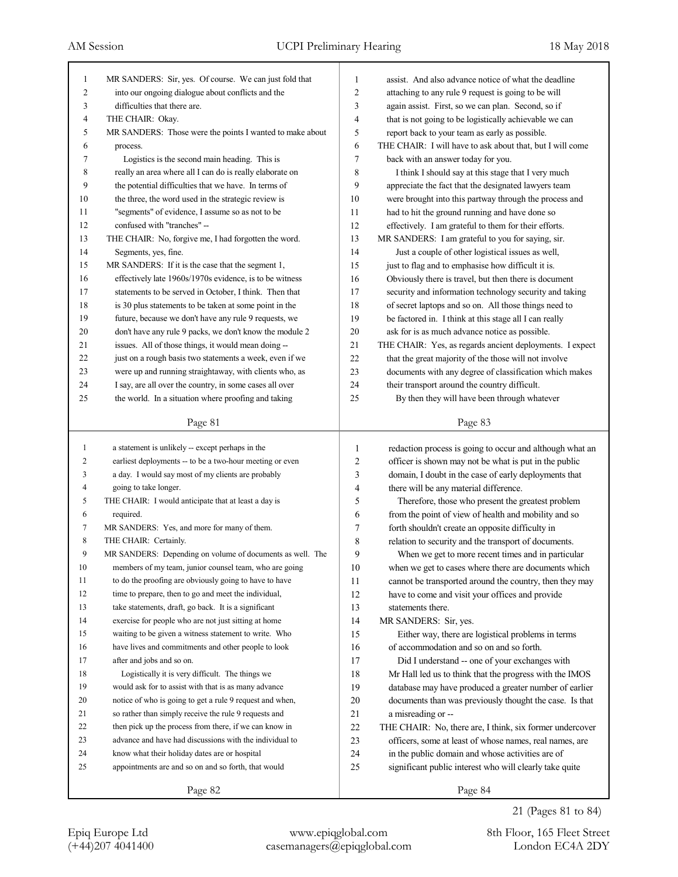| 1              | MR SANDERS: Sir, yes. Of course. We can just fold that    | 1              | assist. And also advance notice of what the deadline      |
|----------------|-----------------------------------------------------------|----------------|-----------------------------------------------------------|
| 2              | into our ongoing dialogue about conflicts and the         | 2              | attaching to any rule 9 request is going to be will       |
| 3              | difficulties that there are.                              | 3              | again assist. First, so we can plan. Second, so if        |
| 4              | THE CHAIR: Okay.                                          | 4              | that is not going to be logistically achievable we can    |
| 5              | MR SANDERS: Those were the points I wanted to make about  | 5              | report back to your team as early as possible.            |
| 6              | process.                                                  | 6              | THE CHAIR: I will have to ask about that, but I will come |
| 7              | Logistics is the second main heading. This is             | 7              | back with an answer today for you.                        |
| 8              | really an area where all I can do is really elaborate on  | 8              | I think I should say at this stage that I very much       |
| 9              | the potential difficulties that we have. In terms of      | 9              | appreciate the fact that the designated lawyers team      |
| 10             | the three, the word used in the strategic review is       | 10             | were brought into this partway through the process and    |
| 11             | "segments" of evidence, I assume so as not to be          | 11             | had to hit the ground running and have done so            |
| 12             | confused with "tranches" --                               | 12             | effectively. I am grateful to them for their efforts.     |
| 13             | THE CHAIR: No, forgive me, I had forgotten the word.      | 13             | MR SANDERS: I am grateful to you for saying, sir.         |
| 14             | Segments, yes, fine.                                      | 14             | Just a couple of other logistical issues as well,         |
| 15             | MR SANDERS: If it is the case that the segment 1,         | 15             | just to flag and to emphasise how difficult it is.        |
| 16             | effectively late 1960s/1970s evidence, is to be witness   | 16             | Obviously there is travel, but then there is document     |
| 17             | statements to be served in October, I think. Then that    | 17             | security and information technology security and taking   |
| 18             | is 30 plus statements to be taken at some point in the    | 18             | of secret laptops and so on. All those things need to     |
| 19             | future, because we don't have any rule 9 requests, we     | 19             | be factored in. I think at this stage all I can really    |
| 20             | don't have any rule 9 packs, we don't know the module 2   | 20             | ask for is as much advance notice as possible.            |
| 21             | issues. All of those things, it would mean doing --       | 21             | THE CHAIR: Yes, as regards ancient deployments. I expect  |
| 22             | just on a rough basis two statements a week, even if we   | 22             | that the great majority of the those will not involve     |
| 23             | were up and running straightaway, with clients who, as    | 23             | documents with any degree of classification which makes   |
| 24             | I say, are all over the country, in some cases all over   | 24             | their transport around the country difficult.             |
| 25             | the world. In a situation where proofing and taking       | 25             | By then they will have been through whatever              |
|                |                                                           |                |                                                           |
|                | Page 81                                                   |                | Page 83                                                   |
|                |                                                           |                |                                                           |
|                |                                                           |                |                                                           |
| $\mathbf{1}$   | a statement is unlikely -- except perhaps in the          | 1              | redaction process is going to occur and although what an  |
| $\overline{2}$ | earliest deployments -- to be a two-hour meeting or even  | $\overline{2}$ | officer is shown may not be what is put in the public     |
| 3              | a day. I would say most of my clients are probably        | 3              | domain, I doubt in the case of early deployments that     |
| 4              | going to take longer.                                     | 4              | there will be any material difference.                    |
| 5              | THE CHAIR: I would anticipate that at least a day is      | 5              | Therefore, those who present the greatest problem         |
| 6              | required.                                                 | 6              | from the point of view of health and mobility and so      |
| 7              | MR SANDERS: Yes, and more for many of them.               | 7              | forth shouldn't create an opposite difficulty in          |
| 8              | THE CHAIR: Certainly.                                     | 8              | relation to security and the transport of documents.      |
| 9              | MR SANDERS: Depending on volume of documents as well. The | 9              | When we get to more recent times and in particular        |
| 10             | members of my team, junior counsel team, who are going    | 10             | when we get to cases where there are documents which      |
| 11             | to do the proofing are obviously going to have to have    | 11             | cannot be transported around the country, then they may   |
| 12             | time to prepare, then to go and meet the individual,      | 12             | have to come and visit your offices and provide           |
| 13             | take statements, draft, go back. It is a significant      | 13             | statements there.                                         |
| 14             | exercise for people who are not just sitting at home      | 14             | MR SANDERS: Sir, yes.                                     |
| 15             | waiting to be given a witness statement to write. Who     | 15             | Either way, there are logistical problems in terms        |
| 16             | have lives and commitments and other people to look       | 16             | of accommodation and so on and so forth.                  |
| 17             | after and jobs and so on.                                 | 17             | Did I understand -- one of your exchanges with            |
| 18             | Logistically it is very difficult. The things we          | 18             | Mr Hall led us to think that the progress with the IMOS   |
| 19             | would ask for to assist with that is as many advance      | 19             | database may have produced a greater number of earlier    |
| 20             | notice of who is going to get a rule 9 request and when,  | 20             | documents than was previously thought the case. Is that   |
| 21             | so rather than simply receive the rule 9 requests and     | 21             | a misreading or --                                        |
| 22             | then pick up the process from there, if we can know in    | 22             | THE CHAIR: No, there are, I think, six former undercover  |
| 23             | advance and have had discussions with the individual to   | 23             | officers, some at least of whose names, real names, are   |
| 24             | know what their holiday dates are or hospital             | 24             | in the public domain and whose activities are of          |
| 25             | appointments are and so on and so forth, that would       | 25             | significant public interest who will clearly take quite   |
|                | Page 82                                                   |                | Page 84                                                   |

21 (Pages 81 to 84)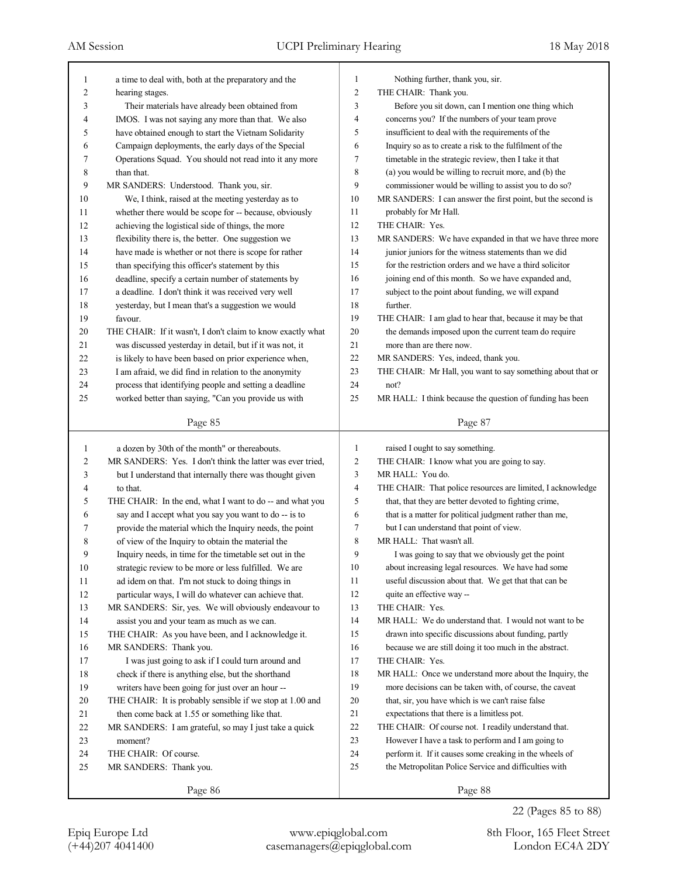| 1  | a time to deal with, both at the preparatory and the        | 1              | Nothing further, thank you, sir.                            |
|----|-------------------------------------------------------------|----------------|-------------------------------------------------------------|
| 2  | hearing stages.                                             | $\overline{2}$ | THE CHAIR: Thank you.                                       |
| 3  | Their materials have already been obtained from             | 3              | Before you sit down, can I mention one thing which          |
| 4  | IMOS. I was not saying any more than that. We also          | $\overline{4}$ | concerns you? If the numbers of your team prove             |
| 5  | have obtained enough to start the Vietnam Solidarity        | 5              | insufficient to deal with the requirements of the           |
| 6  | Campaign deployments, the early days of the Special         | 6              | Inquiry so as to create a risk to the fulfilment of the     |
| 7  | Operations Squad. You should not read into it any more      | $\tau$         | timetable in the strategic review, then I take it that      |
| 8  | than that.                                                  | 8              | (a) you would be willing to recruit more, and (b) the       |
| 9  | MR SANDERS: Understood. Thank you, sir.                     | 9              | commissioner would be willing to assist you to do so?       |
| 10 | We, I think, raised at the meeting yesterday as to          | 10             | MR SANDERS: I can answer the first point, but the second is |
| 11 | whether there would be scope for -- because, obviously      | 11             | probably for Mr Hall.                                       |
| 12 | achieving the logistical side of things, the more           | 12             | THE CHAIR: Yes.                                             |
| 13 | flexibility there is, the better. One suggestion we         | 13             | MR SANDERS: We have expanded in that we have three more     |
| 14 | have made is whether or not there is scope for rather       | 14             | junior juniors for the witness statements than we did       |
| 15 | than specifying this officer's statement by this            | 15             | for the restriction orders and we have a third solicitor    |
| 16 | deadline, specify a certain number of statements by         | 16             | joining end of this month. So we have expanded and,         |
| 17 | a deadline. I don't think it was received very well         | 17             | subject to the point about funding, we will expand          |
| 18 | yesterday, but I mean that's a suggestion we would          | 18             | further.                                                    |
| 19 | favour.                                                     | 19             | THE CHAIR: I am glad to hear that, because it may be that   |
| 20 | THE CHAIR: If it wasn't, I don't claim to know exactly what | 20             | the demands imposed upon the current team do require        |
| 21 | was discussed yesterday in detail, but if it was not, it    | 21             | more than are there now.                                    |
| 22 | is likely to have been based on prior experience when,      | 22             | MR SANDERS: Yes, indeed, thank you.                         |
| 23 | I am afraid, we did find in relation to the anonymity       | 23             | THE CHAIR: Mr Hall, you want to say something about that or |
| 24 | process that identifying people and setting a deadline      | 24             | not?                                                        |
| 25 | worked better than saying, "Can you provide us with         | 25             | MR HALL: I think because the question of funding has been   |
|    |                                                             |                |                                                             |
|    | Page 85                                                     |                | Page 87                                                     |
|    |                                                             |                |                                                             |
|    |                                                             |                |                                                             |
| 1  | a dozen by 30th of the month" or thereabouts.               | 1              | raised I ought to say something.                            |
| 2  | MR SANDERS: Yes. I don't think the latter was ever tried,   | $\overline{2}$ | THE CHAIR: I know what you are going to say.                |
| 3  | but I understand that internally there was thought given    | 3              | MR HALL: You do.                                            |
| 4  | to that.                                                    | $\overline{4}$ | THE CHAIR: That police resources are limited, I acknowledge |
| 5  | THE CHAIR: In the end, what I want to do -- and what you    | 5              | that, that they are better devoted to fighting crime,       |
| 6  | say and I accept what you say you want to do -- is to       | 6              | that is a matter for political judgment rather than me,     |
| 7  | provide the material which the Inquiry needs, the point     | 7              | but I can understand that point of view.                    |
| 8  | of view of the Inquiry to obtain the material the           | 8              | MR HALL: That wasn't all.                                   |
| 9  | Inquiry needs, in time for the timetable set out in the     | 9              | I was going to say that we obviously get the point          |
| 10 | strategic review to be more or less fulfilled. We are       | $10\,$         | about increasing legal resources. We have had some          |
| 11 | ad idem on that. I'm not stuck to doing things in           | 11             | useful discussion about that. We get that that can be       |
| 12 | particular ways, I will do whatever can achieve that.       | 12             | quite an effective way --                                   |
| 13 | MR SANDERS: Sir, yes. We will obviously endeavour to        | 13             | THE CHAIR: Yes.                                             |
| 14 | assist you and your team as much as we can.                 | 14             | MR HALL: We do understand that. I would not want to be      |
| 15 | THE CHAIR: As you have been, and I acknowledge it.          | 15             | drawn into specific discussions about funding, partly       |
| 16 | MR SANDERS: Thank you.                                      | 16             | because we are still doing it too much in the abstract.     |
| 17 | I was just going to ask if I could turn around and          | 17             | THE CHAIR: Yes.                                             |
| 18 | check if there is anything else, but the shorthand          | 18             | MR HALL: Once we understand more about the Inquiry, the     |
| 19 | writers have been going for just over an hour --            | 19             | more decisions can be taken with, of course, the caveat     |
| 20 | THE CHAIR: It is probably sensible if we stop at 1.00 and   | 20             | that, sir, you have which is we can't raise false           |
| 21 | then come back at 1.55 or something like that.              | 21             | expectations that there is a limitless pot.                 |
| 22 | MR SANDERS: I am grateful, so may I just take a quick       | 22             | THE CHAIR: Of course not. I readily understand that.        |
| 23 | moment?                                                     | 23             | However I have a task to perform and I am going to          |
| 24 | THE CHAIR: Of course.                                       | 24             | perform it. If it causes some creaking in the wheels of     |
| 25 | MR SANDERS: Thank you.                                      | 25             | the Metropolitan Police Service and difficulties with       |
|    | Page 86                                                     |                | Page 88                                                     |

22 (Pages 85 to 88)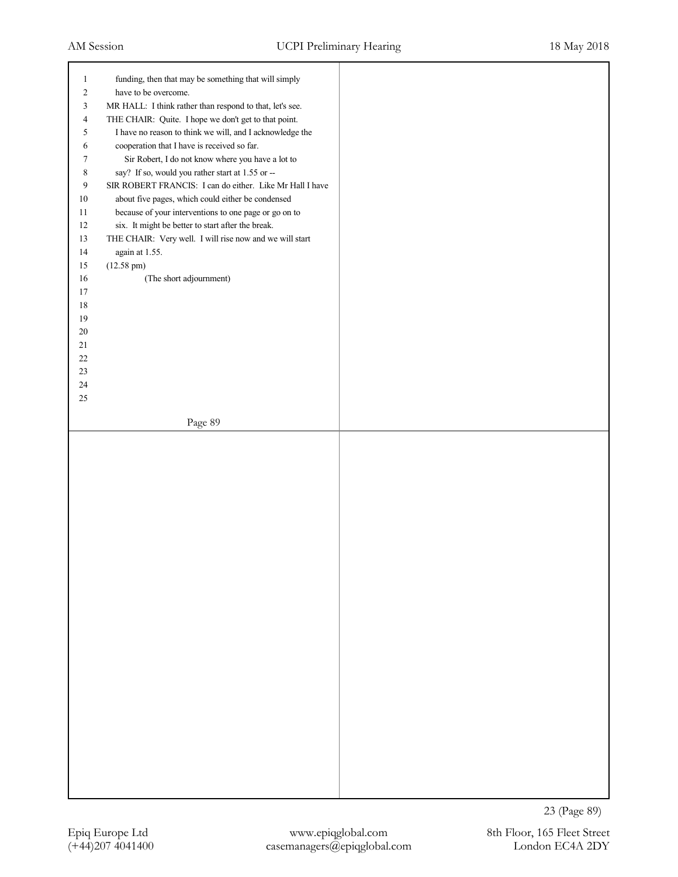| $\mathbf{1}$<br>$\overline{2}$ | funding, then that may be something that will simply<br>have to be overcome.                                 |  |
|--------------------------------|--------------------------------------------------------------------------------------------------------------|--|
| 3                              | MR HALL: I think rather than respond to that, let's see.                                                     |  |
| 4                              | THE CHAIR: Quite. I hope we don't get to that point.                                                         |  |
| 5                              | I have no reason to think we will, and I acknowledge the                                                     |  |
| 6                              | cooperation that I have is received so far.                                                                  |  |
| 7                              | Sir Robert, I do not know where you have a lot to                                                            |  |
| 8                              | say? If so, would you rather start at 1.55 or --                                                             |  |
| $\overline{9}$                 | SIR ROBERT FRANCIS: I can do either. Like Mr Hall I have                                                     |  |
| $10\,$                         | about five pages, which could either be condensed                                                            |  |
| $11\,$<br>$12\,$               | because of your interventions to one page or go on to                                                        |  |
| 13                             | six. It might be better to start after the break.<br>THE CHAIR: Very well. I will rise now and we will start |  |
| $14$                           | again at 1.55.                                                                                               |  |
| $15\,$                         | $(12.58 \text{ pm})$                                                                                         |  |
| $16\,$                         | (The short adjournment)                                                                                      |  |
| $17\,$                         |                                                                                                              |  |
| $18\,$                         |                                                                                                              |  |
| $19$                           |                                                                                                              |  |
| $20\,$                         |                                                                                                              |  |
| $21\,$<br>$22\,$               |                                                                                                              |  |
| $23\,$                         |                                                                                                              |  |
| $24\,$                         |                                                                                                              |  |
| $25\,$                         |                                                                                                              |  |
|                                |                                                                                                              |  |
|                                | Page 89                                                                                                      |  |
|                                |                                                                                                              |  |
|                                |                                                                                                              |  |
|                                |                                                                                                              |  |
|                                |                                                                                                              |  |
|                                |                                                                                                              |  |
|                                |                                                                                                              |  |
|                                |                                                                                                              |  |
|                                |                                                                                                              |  |
|                                |                                                                                                              |  |
|                                |                                                                                                              |  |
|                                |                                                                                                              |  |
|                                |                                                                                                              |  |
|                                |                                                                                                              |  |
|                                |                                                                                                              |  |
|                                |                                                                                                              |  |
|                                |                                                                                                              |  |
|                                |                                                                                                              |  |
|                                |                                                                                                              |  |
|                                |                                                                                                              |  |
|                                |                                                                                                              |  |
|                                |                                                                                                              |  |
|                                |                                                                                                              |  |
|                                |                                                                                                              |  |
|                                |                                                                                                              |  |

23 (Page 89)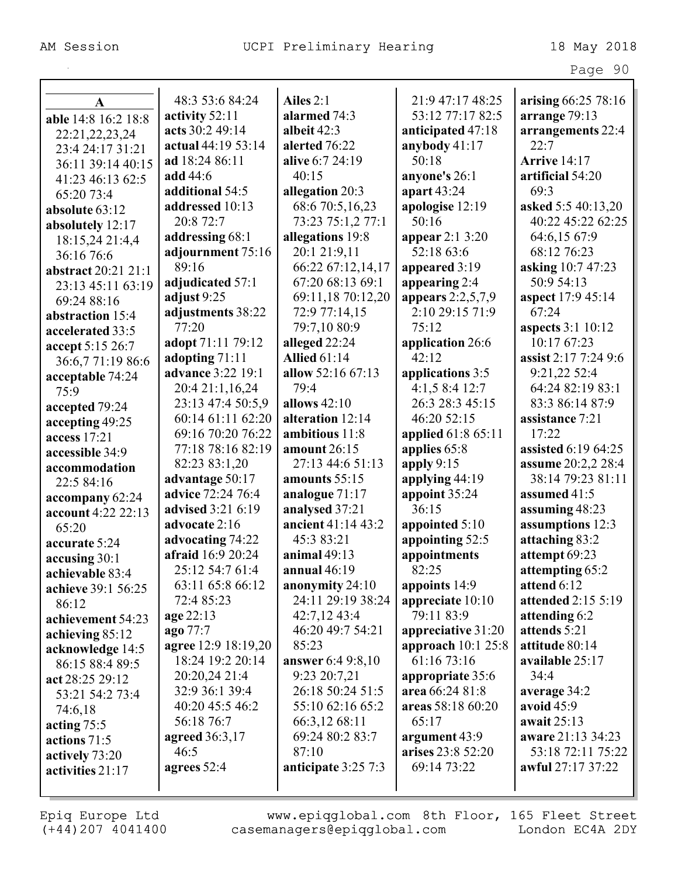|                     |                          |                          |                     | Page 90                   |
|---------------------|--------------------------|--------------------------|---------------------|---------------------------|
|                     |                          |                          |                     |                           |
| A                   | 48:3 53:6 84:24          | Ailes $2:1$              | 21:9 47:17 48:25    | arising 66:25 78:16       |
| able 14:8 16:2 18:8 | activity 52:11           | alarmed 74:3             | 53:12 77:17 82:5    | arrange 79:13             |
| 22:21, 22, 23, 24   | acts 30:2 49:14          | albeit $42:3$            | anticipated 47:18   | arrangements 22:4         |
| 23:4 24:17 31:21    | actual 44:19 53:14       | alerted 76:22            | anybody $41:17$     | 22:7                      |
| 36:11 39:14 40:15   | ad 18:24 86:11           | alive 6:7 24:19          | 50:18               | <b>Arrive</b> 14:17       |
| 41:23 46:13 62:5    | add 44:6                 | 40:15                    | anyone's 26:1       | artificial 54:20          |
| 65:20 73:4          | additional 54:5          | allegation 20:3          | apart 43:24         | 69:3                      |
| absolute 63:12      | addressed 10:13          | 68:6 70:5,16,23          | apologise 12:19     | asked 5:5 40:13,20        |
| absolutely 12:17    | 20:8 72:7                | 73:23 75:1,2 77:1        | 50:16               | 40:22 45:22 62:25         |
| 18:15,24 21:4,4     | addressing 68:1          | allegations 19:8         | appear $2:13:20$    | 64:6,15 67:9              |
| 36:16 76:6          | adjournment 75:16        | 20:1 21:9,11             | 52:18 63:6          | 68:12 76:23               |
| abstract 20:21 21:1 | 89:16                    | 66:22 67:12,14,17        | appeared 3:19       | asking 10:7 47:23         |
| 23:13 45:11 63:19   | adjudicated 57:1         | 67:20 68:13 69:1         | appearing 2:4       | 50:9 54:13                |
| 69:24 88:16         | adjust $9:25$            | 69:11,18 70:12,20        | appears $2:2,5,7,9$ | aspect 17:9 45:14         |
| abstraction 15:4    | adjustments 38:22        | 72:9 77:14,15            | 2:10 29:15 71:9     | 67:24                     |
| accelerated 33:5    | 77:20                    | 79:7,10 80:9             | 75:12               | <b>aspects</b> 3:1 10:12  |
| accept 5:15 26:7    | adopt 71:11 79:12        | alleged 22:24            | application 26:6    | 10:17 67:23               |
| 36:6,771:1986:6     | adopting 71:11           | <b>Allied 61:14</b>      | 42:12               | assist 2:17 7:24 9:6      |
| acceptable 74:24    | advance 3:22 19:1        | allow 52:16 67:13        | applications 3:5    | 9:21,22 52:4              |
| 75:9                | 20:4 21:1,16,24          | 79:4                     | 4:1,58:412:7        | 64:24 82:19 83:1          |
| accepted 79:24      | 23:13 47:4 50:5,9        | allows 42:10             | 26:3 28:3 45:15     | 83:3 86:14 87:9           |
| accepting 49:25     | 60:14 61:11 62:20        | alteration 12:14         | 46:20 52:15         | assistance 7:21           |
| access 17:21        | 69:16 70:20 76:22        | ambitious 11:8           | applied 61:8 65:11  | 17:22                     |
| accessible 34:9     | 77:18 78:16 82:19        | amount 26:15             | applies 65:8        | assisted 6:19 64:25       |
| accommodation       | 82:23 83:1,20            | 27:13 44:6 51:13         | apply $9:15$        | <b>assume</b> 20:2,2 28:4 |
| 22:5 84:16          | advantage 50:17          | amounts 55:15            | applying $44:19$    | 38:14 79:23 81:11         |
| accompany 62:24     | advice 72:24 76:4        | analogue 71:17           | appoint 35:24       | assumed 41:5              |
| account 4:22 22:13  | advised 3:21 6:19        | analysed 37:21           | 36:15               | assuming 48:23            |
| 65:20               | advocate 2:16            | ancient 41:14 43:2       | appointed 5:10      | assumptions 12:3          |
| accurate 5:24       | advocating 74:22         | 45:3 83:21               | appointing 52:5     | attaching 83:2            |
| accusing 30:1       | <b>afraid</b> 16:9 20:24 | animal $49:13$           | appointments        | attempt 69:23             |
| achievable 83:4     | 25:12 54:7 61:4          | annual $46:19$           | 82:25               | attempting 65:2           |
| achieve 39:1 56:25  | 63:11 65:8 66:12         | anonymity 24:10          | appoints 14:9       | attend 6:12               |
| 86:12               | 72:4 85:23               | 24:11 29:19 38:24        | appreciate 10:10    | <b>attended 2:15 5:19</b> |
| achievement 54:23   | age 22:13                | $42:7,12\;43:4$          | 79:11 83:9          | attending 6:2             |
| achieving 85:12     | ago 77:7                 | 46:20 49:7 54:21         | appreciative 31:20  | attends 5:21              |
| acknowledge 14:5    | agree 12:9 18:19,20      | 85:23                    | approach $10:125:8$ | attitude 80:14            |
| 86:15 88:4 89:5     | 18:24 19:2 20:14         | <b>answer</b> 6:4 9:8,10 | 61:16 73:16         | available 25:17           |
| act 28:25 29:12     | 20:20,24 21:4            | 9:23 20:7,21             | appropriate 35:6    | 34:4                      |
| 53:21 54:2 73:4     | 32:9 36:1 39:4           | 26:18 50:24 51:5         | area 66:24 81:8     | average 34:2              |
| 74:6,18             | 40:20 45:5 46:2          | 55:10 62:16 65:2         | areas 58:18 60:20   | avoid $45:9$              |
| acting $75:5$       | 56:18 76:7               | 66:3,12 68:11            | 65:17               | await 25:13               |
| actions 71:5        | <b>agreed</b> 36:3,17    | 69:24 80:2 83:7          | argument 43:9       | aware 21:13 34:23         |
| actively 73:20      | 46:5                     | 87:10                    | arises 23:8 52:20   | 53:18 72:11 75:22         |
| activities 21:17    | agrees 52:4              | anticipate 3:25 7:3      | 69:14 73:22         | awful 27:17 37:22         |
|                     |                          |                          |                     |                           |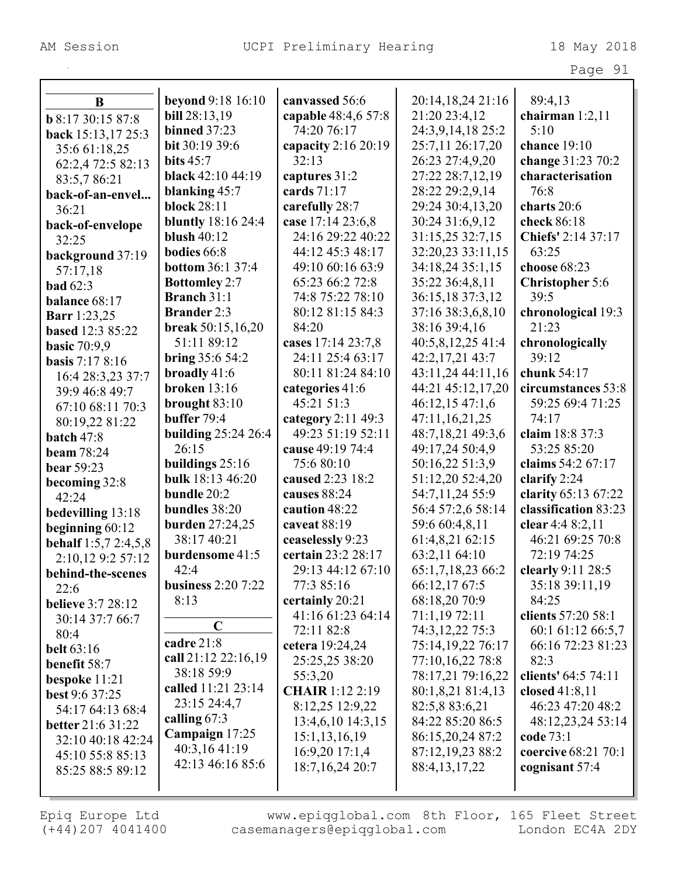|                             |                           |                        |                   | Page 91                    |
|-----------------------------|---------------------------|------------------------|-------------------|----------------------------|
|                             |                           |                        |                   |                            |
| B                           | <b>beyond</b> 9:18 16:10  | canvassed 56:6         | 20:14,18,24 21:16 | 89:4,13                    |
| <b>b</b> 8:17 30:15 87:8    | <b>bill</b> 28:13,19      | capable 48:4,6 57:8    | 21:20 23:4,12     | chairman $1:2,11$          |
| back 15:13,17 25:3          | <b>binned</b> 37:23       | 74:20 76:17            | 24:3,9,14,18 25:2 | 5:10                       |
| 35:6 61:18,25               | bit 30:19 39:6            | capacity $2:16\,20:19$ | 25:7,11 26:17,20  | chance 19:10               |
| 62:2,4 72:5 82:13           | bits $45:7$               | 32:13                  | 26:23 27:4,9,20   | change 31:23 70:2          |
| 83:5,786:21                 | black 42:10 44:19         | captures 31:2          | 27:22 28:7,12,19  | characterisation           |
| back-of-an-envel            | blanking 45:7             | cards 71:17            | 28:22 29:2,9,14   | 76:8                       |
| 36:21                       | <b>block 28:11</b>        | carefully 28:7         | 29:24 30:4,13,20  | charts 20:6                |
| back-of-envelope            | <b>bluntly</b> 18:16 24:4 | case 17:14 23:6,8      | 30:24 31:6,9,12   | check 86:18                |
| 32:25                       | blush $40:12$             | 24:16 29:22 40:22      | 31:15,25 32:7,15  | Chiefs' 2:14 37:17         |
| background 37:19            | bodies 66:8               | 44:12 45:3 48:17       | 32:20,23 33:11,15 | 63:25                      |
| 57:17,18                    | <b>bottom 36:1 37:4</b>   | 49:10 60:16 63:9       | 34:18,24 35:1,15  | choose 68:23               |
| bad $62:3$                  | <b>Bottomley 2:7</b>      | 65:23 66:2 72:8        | 35:22 36:4,8,11   | <b>Christopher 5:6</b>     |
| balance 68:17               | <b>Branch 31:1</b>        | 74:8 75:22 78:10       | 36:15,18 37:3,12  | 39:5                       |
| <b>Barr</b> 1:23,25         | <b>Brander 2:3</b>        | 80:12 81:15 84:3       | 37:16 38:3,6,8,10 | chronological 19:3         |
| based 12:3 85:22            | break $50:15,16,20$       | 84:20                  | 38:16 39:4,16     | 21:23                      |
| <b>basic 70:9,9</b>         | 51:11 89:12               | cases 17:14 23:7,8     | 40:5,8,12,25 41:4 | chronologically            |
| <b>basis</b> 7:17 8:16      | bring $35:654:2$          | 24:11 25:4 63:17       | 42:2,17,21 43:7   | 39:12                      |
| 16:4 28:3,23 37:7           | broadly 41:6              | 80:11 81:24 84:10      | 43:11,24 44:11,16 | chunk 54:17                |
| 39:9 46:8 49:7              | <b>broken</b> 13:16       | categories 41:6        | 44:21 45:12,17,20 | circumstances 53:8         |
| 67:10 68:11 70:3            | brought $83:10$           | 45:21 51:3             | 46:12,1547:1,6    | 59:25 69:4 71:25           |
| 80:19,22 81:22              | buffer 79:4               | category 2:11 49:3     | 47:11,16,21,25    | 74:17                      |
| batch 47:8                  | building $25:24\,26:4$    | 49:23 51:19 52:11      | 48:7,18,21 49:3,6 | claim 18:8 37:3            |
| <b>beam</b> 78:24           | 26:15                     | cause 49:19 74:4       | 49:17,24 50:4,9   | 53:25 85:20                |
| <b>bear</b> 59:23           | buildings $25:16$         | 75:6 80:10             | 50:16,22 51:3,9   | claims 54:2 67:17          |
| becoming 32:8               | bulk 18:13 46:20          | caused 2:23 18:2       | 51:12,20 52:4,20  | clarify 2:24               |
| 42:24                       | bundle 20:2               | causes 88:24           | 54:7,11,24 55:9   | clarity 65:13 67:22        |
| bedevilling 13:18           | bundles 38:20             | caution 48:22          | 56:4 57:2,6 58:14 | classification 83:23       |
| beginning $60:12$           | <b>burden</b> 27:24,25    | caveat 88:19           | 59:6 60:4,8,11    | clear 4:4 8:2,11           |
| <b>behalf</b> 1:5,7 2:4,5,8 | 38:17 40:21               | ceaselessly 9:23       | 61:4,8,21 62:15   | 46:21 69:25 70:8           |
| 2:10,12 9:2 57:12           | <b>burdensome</b> 41:5    | certain 23:2 28:17     | 63:2,11 64:10     | 72:19 74:25                |
| behind-the-scenes           | 42:4                      | 29:13 44:12 67:10      | 65:1,7,18,23 66:2 | clearly 9:11 28:5          |
| 22:6                        | <b>business</b> 2:20 7:22 | 77:3 85:16             | 66:12,17 67:5     | 35:18 39:11,19             |
| <b>believe</b> 3:7 28:12    | 8:13                      | certainly 20:21        | 68:18,20 70:9     | 84:25                      |
| 30:14 37:7 66:7             |                           | 41:16 61:23 64:14      | 71:1,19 72:11     | clients 57:20 58:1         |
| 80:4                        | $\mathbf C$               | 72:11 82:8             | 74:3, 12, 22 75:3 | 60:1 61:12 66:5,7          |
| <b>belt</b> 63:16           | cadre 21:8                | cetera 19:24,24        | 75:14,19,22 76:17 | 66:16 72:23 81:23          |
| benefit 58:7                | call 21:12 22:16,19       | 25:25,25 38:20         | 77:10,16,22 78:8  | 82:3                       |
| bespoke $11:21$             | 38:18 59:9                | 55:3,20                | 78:17,21 79:16,22 | clients' 64:5 74:11        |
| <b>best 9:6 37:25</b>       | called 11:21 23:14        | <b>CHAIR</b> 1:12 2:19 | 80:1,8,21 81:4,13 | closed $41:8,11$           |
| 54:17 64:13 68:4            | 23:15 24:4,7              | 8:12,25 12:9,22        | 82:5,8 83:6,21    | 46:23 47:20 48:2           |
| <b>better</b> 21:6 31:22    | calling $67:3$            | 13:4,6,10 14:3,15      | 84:22 85:20 86:5  | 48:12,23,24 53:14          |
| 32:10 40:18 42:24           | Campaign 17:25            | 15:1,13,16,19          | 86:15,20,24 87:2  | code 73:1                  |
| 45:10 55:8 85:13            | 40:3,16 41:19             | 16:9,20 17:1,4         | 87:12,19,23 88:2  | <b>coercive</b> 68:21 70:1 |
| 85:25 88:5 89:12            | 42:13 46:16 85:6          | 18:7, 16, 24 20:7      | 88:4, 13, 17, 22  | cognisant 57:4             |
|                             |                           |                        |                   |                            |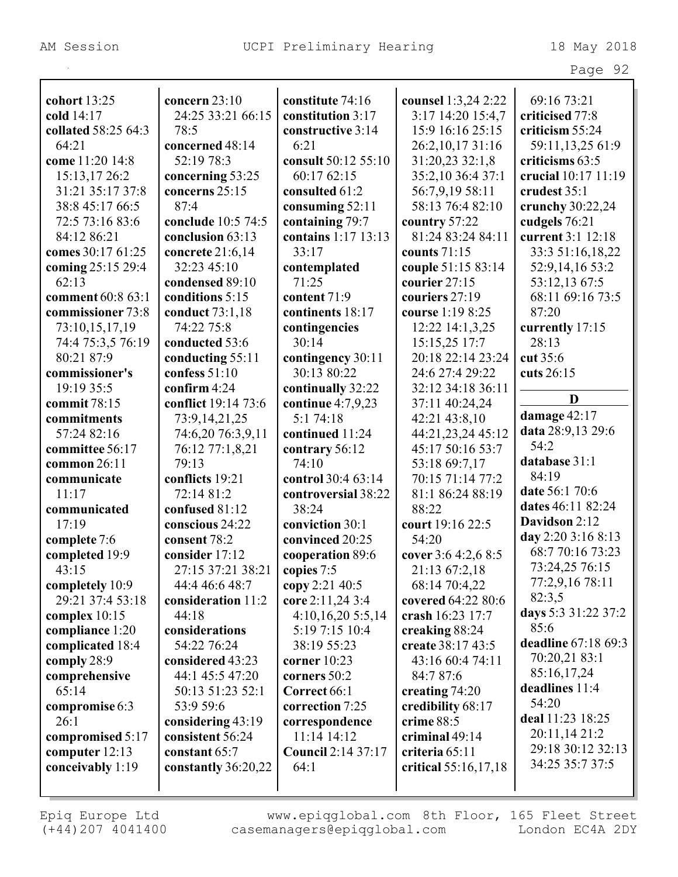|                     |                     |                           |                      | Page 92             |
|---------------------|---------------------|---------------------------|----------------------|---------------------|
|                     |                     |                           |                      |                     |
| cohort 13:25        | concern $23:10$     | constitute 74:16          | counsel 1:3,24 2:22  | 69:16 73:21         |
| cold 14:17          | 24:25 33:21 66:15   | constitution 3:17         | 3:17 14:20 15:4,7    | criticised 77:8     |
| collated 58:25 64:3 | 78:5                | constructive 3:14         | 15:9 16:16 25:15     | criticism 55:24     |
| 64:21               | concerned 48:14     | 6:21                      | 26:2,10,17 31:16     | 59:11,13,25 61:9    |
| come 11:20 14:8     | 52:19 78:3          | consult 50:12 55:10       | 31:20,23 32:1,8      | criticisms 63:5     |
| 15:13,17 26:2       | concerning 53:25    | 60:17 62:15               | 35:2,10 36:4 37:1    | crucial 10:17 11:19 |
| 31:21 35:17 37:8    | concerns 25:15      | consulted 61:2            | 56:7,9,19 58:11      | crudest 35:1        |
| 38:8 45:17 66:5     | 87:4                | consuming 52:11           | 58:13 76:4 82:10     | crunchy 30:22,24    |
| 72:5 73:16 83:6     | conclude 10:5 74:5  | containing 79:7           | country 57:22        | cudgels 76:21       |
| 84:12 86:21         | conclusion 63:13    | contains 1:17 13:13       | 81:24 83:24 84:11    | current 3:1 12:18   |
| comes 30:17 61:25   | concrete 21:6,14    | 33:17                     | counts $71:15$       | 33:3 51:16,18,22    |
| coming 25:15 29:4   | 32:23 45:10         | contemplated              | couple 51:15 83:14   | 52:9,14,16 53:2     |
| 62:13               | condensed 89:10     | 71:25                     | courier 27:15        | 53:12,13 67:5       |
| comment 60:8 63:1   | conditions 5:15     | content 71:9              | couriers 27:19       | 68:11 69:16 73:5    |
| commissioner 73:8   | conduct 73:1,18     | continents 18:17          | course 1:19 8:25     | 87:20               |
| 73:10,15,17,19      | 74:22 75:8          | contingencies             | 12:22 14:1,3,25      | currently 17:15     |
| 74:4 75:3,5 76:19   | conducted 53:6      | 30:14                     | 15:15,25 17:7        | 28:13               |
| 80:21 87:9          | conducting 55:11    | contingency 30:11         | 20:18 22:14 23:24    | cut 35:6            |
| commissioner's      | confess $51:10$     | 30:13 80:22               | 24:6 27:4 29:22      | cuts 26:15          |
| 19:19 35:5          | confirm $4:24$      | continually 32:22         | 32:12 34:18 36:11    |                     |
| commit 78:15        | conflict 19:14 73:6 | continue $4:7,9,23$       | 37:11 40:24,24       | D                   |
| commitments         | 73:9, 14, 21, 25    | 5:1 74:18                 | 42:21 43:8,10        | damage 42:17        |
| 57:24 82:16         | 74:6,20 76:3,9,11   | continued 11:24           | 44:21,23,24 45:12    | data 28:9,13 29:6   |
| committee 56:17     | 76:12 77:1,8,21     | contrary 56:12            | 45:17 50:16 53:7     | 54:2                |
| common 26:11        | 79:13               | 74:10                     | 53:18 69:7,17        | database 31:1       |
| communicate         | conflicts 19:21     | control 30:4 63:14        | 70:15 71:14 77:2     | 84:19               |
| 11:17               | 72:14 81:2          | controversial 38:22       | 81:1 86:24 88:19     | date 56:1 70:6      |
| communicated        | confused 81:12      | 38:24                     | 88:22                | dates 46:11 82:24   |
| 17:19               | conscious 24:22     | conviction 30:1           | court 19:16 22:5     | Davidson 2:12       |
| complete 7:6        | consent 78:2        | convinced 20:25           | 54:20                | day 2:20 3:16 8:13  |
| completed 19:9      | consider 17:12      | cooperation 89:6          | cover 3:6 4:2,6 8:5  | 68:7 70:16 73:23    |
| 43:15               | 27:15 37:21 38:21   | copies 7:5                | 21:13 67:2,18        | 73:24,25 76:15      |
| completely 10:9     | 44:4 46:6 48:7      | copy 2:21 40:5            | 68:14 70:4,22        | 77:2,9,16 78:11     |
| 29:21 37:4 53:18    | consideration 11:2  | core 2:11,24 3:4          | covered 64:22 80:6   | 82:3,5              |
| complex $10:15$     | 44:18               | 4:10,16,205:5,14          | crash 16:23 17:7     | days 5:3 31:22 37:2 |
| compliance 1:20     | considerations      | 5:19 7:15 10:4            | creaking 88:24       | 85:6                |
| complicated 18:4    | 54:22 76:24         | 38:19 55:23               | create 38:17 43:5    | deadline 67:18 69:3 |
| comply 28:9         | considered 43:23    | corner $10:23$            | 43:16 60:4 74:11     | 70:20,21 83:1       |
| comprehensive       | 44:1 45:5 47:20     | corners 50:2              | 84:7 87:6            | 85:16,17,24         |
| 65:14               | 50:13 51:23 52:1    | Correct 66:1              | creating $74:20$     | deadlines 11:4      |
| compromise 6:3      | 53:9 59:6           | correction 7:25           | credibility 68:17    | 54:20               |
| 26:1                | considering 43:19   | correspondence            | crime 88:5           | deal 11:23 18:25    |
| compromised 5:17    | consistent 56:24    | 11:14 14:12               | criminal 49:14       | 20:11,14 21:2       |
| computer 12:13      | constant 65:7       | <b>Council 2:14 37:17</b> | criteria 65:11       | 29:18 30:12 32:13   |
| conceivably 1:19    | constantly 36:20,22 | 64:1                      | critical 55:16,17,18 | 34:25 35:7 37:5     |
|                     |                     |                           |                      |                     |
|                     |                     |                           |                      |                     |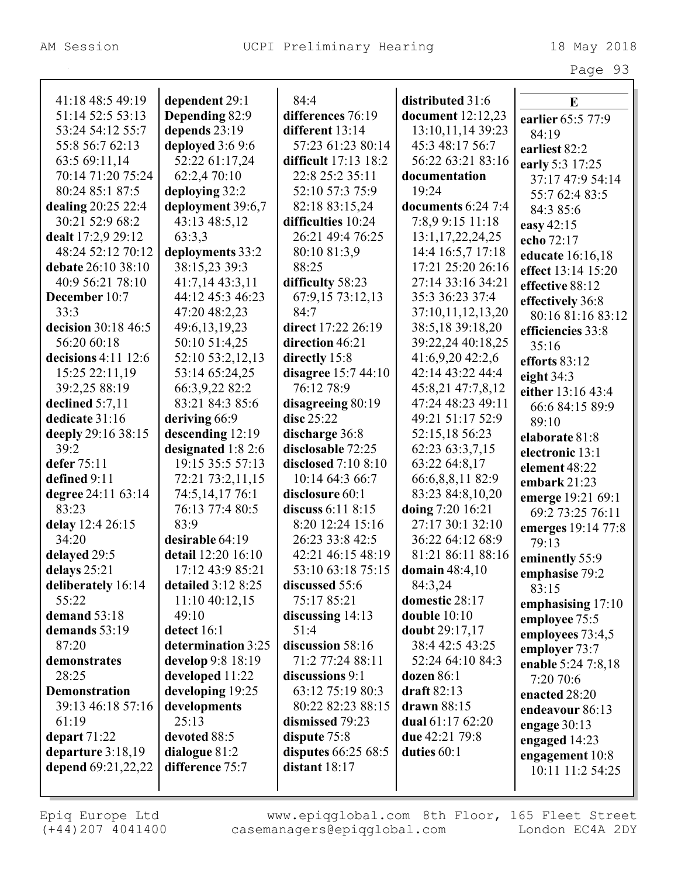| 41:18 48:5 49:19      | dependent 29:1     | 84:4                       | distributed 31:6     | E                  |
|-----------------------|--------------------|----------------------------|----------------------|--------------------|
| 51:14 52:5 53:13      | Depending 82:9     | differences 76:19          | document 12:12,23    | earlier 65:5 77:9  |
| 53:24 54:12 55:7      | depends 23:19      | different $13:14$          | 13:10,11,14 39:23    | 84:19              |
| 55:8 56:7 62:13       | deployed 3:6 9:6   | 57:23 61:23 80:14          | 45:3 48:17 56:7      | earliest 82:2      |
| 63:5 69:11,14         | 52:22 61:17,24     | difficult 17:13 18:2       | 56:22 63:21 83:16    | early 5:3 17:25    |
| 70:14 71:20 75:24     | 62:2,4 70:10       | 22:8 25:2 35:11            | documentation        | 37:17 47:9 54:14   |
| 80:24 85:1 87:5       | deploying 32:2     | 52:10 57:3 75:9            | 19:24                | 55:7 62:4 83:5     |
| dealing 20:25 22:4    | deployment 39:6,7  | 82:18 83:15,24             | documents $6:24$ 7:4 | 84:3 85:6          |
| 30:21 52:9 68:2       | 43:13 48:5,12      | difficulties 10:24         | 7:8,9 9:15 11:18     | easy 42:15         |
| dealt 17:2,9 29:12    | 63:3,3             | 26:21 49:4 76:25           | 13:1,17,22,24,25     | echo 72:17         |
| 48:24 52:12 70:12     | deployments 33:2   | 80:10 81:3,9               | 14:4 16:5,7 17:18    | educate 16:16,18   |
| debate 26:10 38:10    | 38:15,23 39:3      | 88:25                      | 17:21 25:20 26:16    | effect 13:14 15:20 |
| 40:9 56:21 78:10      | 41:7,14 43:3,11    | difficulty 58:23           | 27:14 33:16 34:21    | effective 88:12    |
| December 10:7         | 44:12 45:3 46:23   | 67:9,15 73:12,13           | 35:3 36:23 37:4      | effectively 36:8   |
| 33:3                  | 47:20 48:2,23      | 84:7                       | 37:10,11,12,13,20    | 80:16 81:16 83:12  |
| decision 30:18 46:5   | 49:6,13,19,23      | direct 17:22 26:19         | 38:5,18 39:18,20     | efficiencies 33:8  |
| 56:20 60:18           | 50:10 51:4,25      | direction 46:21            | 39:22,24 40:18,25    | 35:16              |
| decisions $4:11$ 12:6 | 52:10 53:2,12,13   | directly 15:8              | 41:6,9,20 42:2,6     | efforts 83:12      |
| 15:25 22:11,19        | 53:14 65:24,25     | disagree 15:7 44:10        | 42:14 43:22 44:4     | eight $34:3$       |
| 39:2,25 88:19         | 66:3,9,22 82:2     | 76:12 78:9                 | 45:8,21 47:7,8,12    | either 13:16 43:4  |
| declined 5:7,11       | 83:21 84:3 85:6    | disagreeing 80:19          | 47:24 48:23 49:11    | 66:6 84:15 89:9    |
| dedicate 31:16        | deriving 66:9      | disc 25:22                 | 49:21 51:17 52:9     | 89:10              |
| deeply 29:16 38:15    | descending $12:19$ | discharge 36:8             | 52:15,18 56:23       | elaborate 81:8     |
| 39:2                  | designated 1:8 2:6 | disclosable 72:25          | 62:23 63:3,7,15      | electronic 13:1    |
| defer 75:11           | 19:15 35:5 57:13   | <b>disclosed</b> 7:10 8:10 | 63:22 64:8,17        | element 48:22      |
| defined 9:11          | 72:21 73:2,11,15   | 10:14 64:3 66:7            | 66:6,8,8,11 82:9     | embark 21:23       |
| degree 24:11 63:14    | 74:5,14,1776:1     | disclosure 60:1            | 83:23 84:8,10,20     | emerge 19:21 69:1  |
| 83:23                 | 76:13 77:4 80:5    | discuss $6:11 \, 8:15$     | doing 7:20 16:21     | 69:2 73:25 76:11   |
| delay 12:4 26:15      | 83:9               | 8:20 12:24 15:16           | 27:17 30:1 32:10     | emerges 19:14 77:8 |
| 34:20                 | desirable 64:19    | 26:23 33:8 42:5            | 36:22 64:12 68:9     | 79:13              |
| delayed 29:5          | detail 12:20 16:10 | 42:21 46:15 48:19          | 81:21 86:11 88:16    | eminently 55:9     |
| delays 25:21          | 17:12 43:9 85:21   | 53:10 63:18 75:15          | domain $48:4,10$     | emphasise 79:2     |
| deliberately 16:14    | detailed 3:12 8:25 | discussed 55:6             | 84:3,24              | 83:15              |
| 55:22                 | 11:10 40:12,15     | 75:17 85:21                | domestic 28:17       | emphasising 17:10  |
| demand 53:18          | 49:10              | discussing $14:13$         | double $10:10$       | employee 75:5      |
| demands 53:19         | detect 16:1        | 51:4                       | doubt 29:17,17       | employees 73:4,5   |
| 87:20                 | determination 3:25 | discussion 58:16           | 38:4 42:5 43:25      | employer 73:7      |
| demonstrates          | develop 9:8 18:19  | 71:2 77:24 88:11           | 52:24 64:10 84:3     | enable 5:24 7:8,18 |
| 28:25                 | developed 11:22    | discussions 9:1            | dozen $86:1$         | 7:20 70:6          |
| <b>Demonstration</b>  | developing 19:25   | 63:12 75:19 80:3           | draft $82:13$        | enacted 28:20      |
| 39:13 46:18 57:16     | developments       | 80:22 82:23 88:15          | drawn 88:15          | endeavour 86:13    |
| 61:19                 | 25:13              | dismissed 79:23            | dual 61:17 62:20     | engage $30:13$     |
| depart 71:22          | devoted 88:5       | dispute 75:8               | due 42:21 79:8       | engaged 14:23      |
| departure $3:18,19$   | dialogue 81:2      | disputes 66:25 68:5        | duties 60:1          | engagement 10:8    |
| depend 69:21,22,22    | difference 75:7    | distant 18:17              |                      | 10:11 11:2 54:25   |
|                       |                    |                            |                      |                    |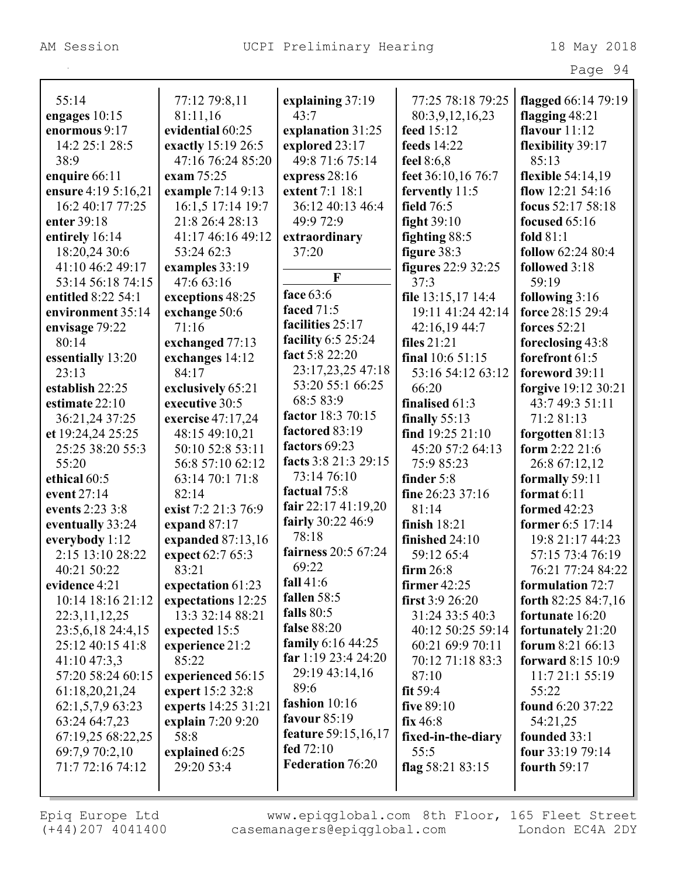|                     |                     |                      |                           | Page 94                  |
|---------------------|---------------------|----------------------|---------------------------|--------------------------|
| 55:14               | 77:12 79:8,11       | explaining 37:19     | 77:25 78:18 79:25         | flagged 66:14 79:19      |
| engages 10:15       | 81:11,16            | 43:7                 | 80:3,9,12,16,23           | flagging $48:21$         |
| enormous 9:17       | evidential 60:25    | explanation 31:25    | feed 15:12                | flavour $11:12$          |
| 14:2 25:1 28:5      | exactly 15:19 26:5  | explored 23:17       | feeds 14:22               | flexibility 39:17        |
| 38:9                | 47:16 76:24 85:20   | 49:8 71:6 75:14      | feel $8:6,8$              | 85:13                    |
| enquire 66:11       | exam 75:25          | express $28:16$      | feet 36:10,16 76:7        | flexible 54:14,19        |
| ensure 4:19 5:16,21 | example 7:14 9:13   | extent 7:1 18:1      | fervently 11:5            | flow $12:21\,54:16$      |
| 16:2 40:17 77:25    | 16:1,5 17:14 19:7   | 36:12 40:13 46:4     | field 76:5                | focus 52:17 58:18        |
| enter 39:18         | 21:8 26:4 28:13     | 49:9 72:9            | fight $39:10$             | focused $65:16$          |
| entirely 16:14      | 41:17 46:16 49:12   | extraordinary        | fighting 88:5             | fold $81:1$              |
| 18:20,24 30:6       | 53:24 62:3          | 37:20                | figure $38:3$             | follow 62:24 80:4        |
| 41:10 46:2 49:17    | examples 33:19      |                      | <b>figures</b> 22:9 32:25 | followed 3:18            |
| 53:14 56:18 74:15   | 47:6 63:16          | $\mathbf{F}$         | 37:3                      | 59:19                    |
| entitled 8:22 54:1  | exceptions 48:25    | face 63:6            | file 13:15,17 14:4        | following 3:16           |
| environment 35:14   | exchange 50:6       | <b>faced</b> 71:5    | 19:11 41:24 42:14         | force 28:15 29:4         |
| envisage 79:22      | 71:16               | facilities 25:17     | 42:16,19 44:7             | forces 52:21             |
| 80:14               | exchanged 77:13     | facility 6:5 25:24   | files $21:21$             | foreclosing 43:8         |
| essentially 13:20   | exchanges 14:12     | fact 5:8 22:20       | final $10:651:15$         | forefront 61:5           |
| 23:13               | 84:17               | 23:17,23,25 47:18    | 53:16 54:12 63:12         | foreword 39:11           |
| establish 22:25     | exclusively 65:21   | 53:20 55:1 66:25     | 66:20                     | forgive 19:12 30:21      |
| estimate 22:10      | executive 30:5      | 68:5 83:9            | finalised $61:3$          | 43:7 49:3 51:11          |
| 36:21,24 37:25      | exercise 47:17,24   | factor 18:3 70:15    | finally $55:13$           | 71:2 81:13               |
| et 19:24,24 25:25   | 48:15 49:10,21      | factored 83:19       | find $19:25$ $21:10$      | forgotten $81:13$        |
| 25:25 38:20 55:3    | 50:10 52:8 53:11    | factors 69:23        | 45:20 57:2 64:13          | form $2:22\,21:6$        |
| 55:20               | 56:8 57:10 62:12    | facts 3:8 21:3 29:15 | 75:9 85:23                | 26:8 67:12,12            |
| ethical 60:5        | 63:14 70:1 71:8     | 73:14 76:10          | finder $5:8$              | formally 59:11           |
| event 27:14         | 82:14               | factual 75:8         | fine $26:23\,37:16$       | format $6:11$            |
| events 2:23 3:8     | exist 7:2 21:3 76:9 | fair $22:1741:19,20$ | 81:14                     | formed 42:23             |
| eventually 33:24    | expand $87:17$      | fairly 30:22 46:9    | finish $18:21$            | former 6:5 17:14         |
| everybody 1:12      | expanded $87:13,16$ | 78:18                | finished 24:10            | 19:8 21:17 44:23         |
| 2:15 13:10 28:22    | expect 62:7 65:3    | fairness $20:567:24$ | 59:12 65:4                | 57:15 73:4 76:19         |
| 40:21 50:22         | 83:21               | 69:22                | firm $26:8$               | 76:21 77:24 84:22        |
| evidence 4:21       | expectation 61:23   | fall $41:6$          | firmer $42:25$            | formulation 72:7         |
| 10:14 18:16 21:12   | expectations 12:25  | fallen 58:5          | first $3:926:20$          | forth $82:2584:7,16$     |
| 22:3,11,12,25       | 13:3 32:14 88:21    | falls $80:5$         | 31:24 33:5 40:3           | fortunate 16:20          |
| 23:5,6,18 24:4,15   | expected 15:5       | <b>false</b> 88:20   | 40:12 50:25 59:14         | fortunately 21:20        |
| 25:12 40:15 41:8    | experience 21:2     | family 6:16 44:25    | 60:21 69:9 70:11          | forum $8:2166:13$        |
| 41:10 47:3,3        | 85:22               | far 1:19 23:4 24:20  | 70:12 71:18 83:3          | <b>forward</b> 8:15 10:9 |
| 57:20 58:24 60:15   | experienced 56:15   | 29:19 43:14,16       | 87:10                     | 11:7 21:1 55:19          |
| 61:18,20,21,24      | expert 15:2 32:8    | 89:6                 | fit $59:4$                | 55:22                    |
| 62:1,5,7,9 63:23    | experts 14:25 31:21 | fashion 10:16        | five 89:10                | found 6:20 37:22         |
| 63:24 64:7,23       | explain 7:20 9:20   | favour $85:19$       | fix 46:8                  | 54:21,25                 |
| 67:19,25 68:22,25   | 58:8                | feature 59:15,16,17  | fixed-in-the-diary        | founded 33:1             |
| 69:7,9 70:2,10      | explained 6:25      | fed $72:10$          | 55:5                      | four 33:19 79:14         |
| 71:7 72:16 74:12    | 29:20 53:4          | Federation 76:20     | flag $58:2183:15$         | fourth $59:17$           |
|                     |                     |                      |                           |                          |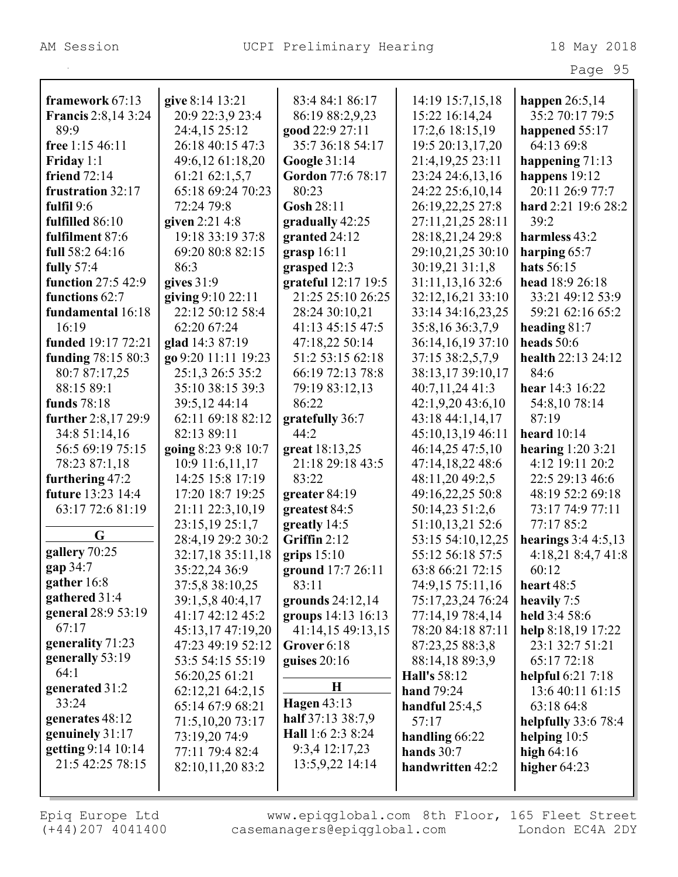|                            |                     |                     |                       | Page 95              |
|----------------------------|---------------------|---------------------|-----------------------|----------------------|
|                            |                     |                     |                       |                      |
| framework 67:13            | give 8:14 13:21     | 83:4 84:1 86:17     | 14:19 15:7,15,18      | happen $26:5,14$     |
| <b>Francis</b> 2:8,14 3:24 | 20:9 22:3,9 23:4    | 86:19 88:2,9,23     | 15:22 16:14,24        | 35:2 70:17 79:5      |
| 89:9                       | 24:4,15 25:12       | good 22:9 27:11     | 17:2,6 18:15,19       | happened 55:17       |
| free 1:15 46:11            | 26:18 40:15 47:3    | 35:7 36:18 54:17    | 19:5 20:13,17,20      | 64:13 69:8           |
| Friday $1:1$               | 49:6,12 61:18,20    | <b>Google 31:14</b> | 21:4,19,25 23:11      | happening 71:13      |
| friend $72:14$             | 61:21 62:1,5,7      | Gordon 77:6 78:17   | 23:24 24:6,13,16      | happens 19:12        |
| frustration 32:17          | 65:18 69:24 70:23   | 80:23               | 24:22 25:6,10,14      | 20:11 26:9 77:7      |
| fulfil $9:6$               | 72:24 79:8          | Gosh 28:11          | 26:19,22,25 27:8      | hard 2:21 19:6 28:2  |
| fulfilled 86:10            | given 2:21 4:8      | gradually 42:25     | 27:11,21,25 28:11     | 39:2                 |
| fulfilment 87:6            | 19:18 33:19 37:8    | granted 24:12       | 28:18,21,24 29:8      | harmless 43:2        |
| full 58:2 64:16            | 69:20 80:8 82:15    | grasp $16:11$       | 29:10,21,25 30:10     | harping $65:7$       |
| <b>fully</b> 57:4          | 86:3                | grasped 12:3        | 30:19,21 31:1,8       | hats 56:15           |
| function 27:5 42:9         | gives $31:9$        | grateful 12:17 19:5 | 31:11,13,16 32:6      | head 18:9 26:18      |
| functions 62:7             | giving 9:10 22:11   | 21:25 25:10 26:25   | 32:12,16,21 33:10     | 33:21 49:12 53:9     |
| fundamental 16:18          | 22:12 50:12 58:4    | 28:24 30:10,21      | 33:14 34:16,23,25     | 59:21 62:16 65:2     |
| 16:19                      | 62:20 67:24         | 41:13 45:15 47:5    | 35:8,16 36:3,7,9      | heading $81:7$       |
| funded 19:17 72:21         | glad 14:3 87:19     | 47:18,22 50:14      | 36:14,16,19 37:10     | heads $50:6$         |
| funding 78:15 80:3         | go 9:20 11:11 19:23 | 51:2 53:15 62:18    | 37:15 38:2,5,7,9      | health 22:13 24:12   |
| 80:7 87:17,25              | 25:1,3 26:5 35:2    | 66:19 72:13 78:8    | 38:13,17 39:10,17     | 84:6                 |
| 88:15 89:1                 | 35:10 38:15 39:3    | 79:19 83:12,13      | 40:7,11,24 41:3       | hear 14:3 16:22      |
| funds 78:18                | 39:5,12 44:14       | 86:22               | $42:1,9,20$ $43:6,10$ | 54:8,10 78:14        |
| further 2:8,17 29:9        | 62:11 69:18 82:12   | gratefully 36:7     | 43:18 44:1,14,17      | 87:19                |
| 34:8 51:14,16              | 82:13 89:11         | 44:2                | 45:10,13,19 46:11     | heard $10:14$        |
| 56:5 69:19 75:15           | going 8:23 9:8 10:7 | great 18:13,25      | 46:14,25 47:5,10      | hearing $1:203:21$   |
| 78:23 87:1,18              | 10:9 11:6,11,17     | 21:18 29:18 43:5    | 47:14,18,22 48:6      | 4:12 19:11 20:2      |
| furthering 47:2            | 14:25 15:8 17:19    | 83:22               | 48:11,20 49:2,5       | 22:5 29:13 46:6      |
| <b>future</b> 13:23 14:4   | 17:20 18:7 19:25    | greater $84:19$     | 49:16,22,25 50:8      | 48:19 52:2 69:18     |
| 63:17 72:6 81:19           | 21:11 22:3,10,19    | greatest 84:5       | 50:14,23 51:2,6       | 73:17 74:9 77:11     |
|                            | 23:15,19 25:1,7     | greatly 14:5        | 51:10,13,21 52:6      | 77:17 85:2           |
| G                          | 28:4,19 29:2 30:2   | Griffin $2:12$      | 53:15 54:10,12,25     | hearings $3:44:5,13$ |
| gallery 70:25              | 32:17,18 35:11,18   | grips $15:10$       | 55:12 56:18 57:5      | 4:18,21 8:4,7 41:8   |
| gap 34:7                   | 35:22,24 36:9       | ground 17:7 26:11   | 63:8 66:21 72:15      | 60:12                |
| gather 16:8                | 37:5,8 38:10,25     | 83:11               | 74:9,15 75:11,16      | heart 48:5           |
| gathered 31:4              | 39:1,5,8 40:4,17    | grounds $24:12,14$  | 75:17,23,24 76:24     | heavily 7:5          |
| general 28:9 53:19         | 41:17 42:12 45:2    | groups 14:13 16:13  | 77:14,19 78:4,14      | held $3:458:6$       |
| 67:17                      | 45:13,17 47:19,20   | 41:14,15 49:13,15   | 78:20 84:18 87:11     | help 8:18,19 17:22   |
| generality 71:23           | 47:23 49:19 52:12   | Grover 6:18         | 87:23,25 88:3,8       | 23:1 32:7 51:21      |
| generally 53:19            | 53:5 54:15 55:19    | guises $20:16$      | 88:14,18 89:3,9       | 65:17 72:18          |
| 64:1                       | 56:20,25 61:21      |                     | <b>Hall's</b> 58:12   | helpful 6:21 7:18    |
| generated 31:2             | 62:12,21 64:2,15    | $\mathbf H$         | <b>hand</b> 79:24     | 13:6 40:11 61:15     |
| 33:24                      | 65:14 67:9 68:21    | <b>Hagen 43:13</b>  | handful $25:4,5$      | 63:18 64:8           |
| generates 48:12            | 71:5,10,20 73:17    | half 37:13 38:7,9   | 57:17                 | helpfully $33:678:4$ |
| genuinely 31:17            | 73:19,20 74:9       | Hall 1:6 2:3 8:24   | handling 66:22        | helping $10:5$       |
| getting 9:14 10:14         | 77:11 79:4 82:4     | 9:3,4 12:17,23      | hands $30:7$          | high $64:16$         |
| 21:5 42:25 78:15           | 82:10,11,20 83:2    | 13:5,9,22 14:14     | handwritten 42:2      | higher $64:23$       |
|                            |                     |                     |                       |                      |
|                            |                     |                     |                       |                      |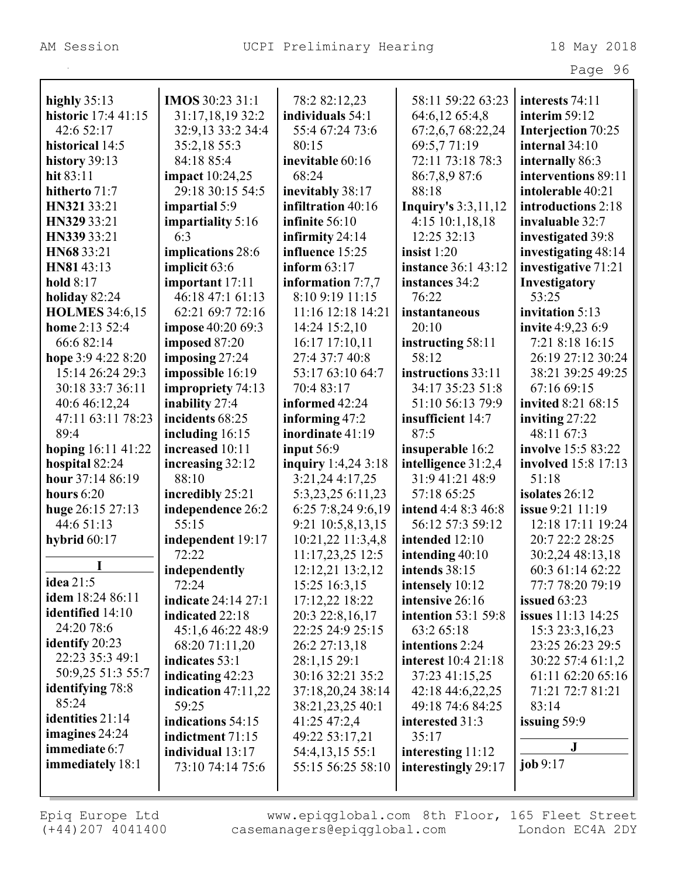|                         |                            |                     |                            | Page 96                   |
|-------------------------|----------------------------|---------------------|----------------------------|---------------------------|
|                         |                            |                     |                            |                           |
| highly $35:13$          | IMOS 30:23 31:1            | 78:2 82:12,23       | 58:11 59:22 63:23          | interests 74:11           |
| historic 17:4 41:15     | 31:17,18,19 32:2           | individuals 54:1    | 64:6,12 65:4,8             | interim 59:12             |
| 42:6 52:17              | 32:9,13 33:2 34:4          | 55:4 67:24 73:6     | 67:2,6,7 68:22,24          | Interjection 70:25        |
| historical 14:5         | 35:2,18 55:3               | 80:15               | 69:5,771:19                | internal 34:10            |
| history 39:13           | 84:18 85:4                 | inevitable 60:16    | 72:11 73:18 78:3           | internally 86:3           |
| hit 83:11               | <b>impact</b> 10:24,25     | 68:24               | 86:7,8,9 87:6              | interventions 89:11       |
| hitherto 71:7           | 29:18 30:15 54:5           | inevitably 38:17    | 88:18                      | intolerable 40:21         |
| HN321 33:21             | impartial 5:9              | infiltration 40:16  | <b>Inquiry's 3:3,11,12</b> | introductions 2:18        |
| HN329 33:21             | impartiality 5:16          | infinite 56:10      | $4:15$ 10:1,18,18          | invaluable 32:7           |
| HN339 33:21             | 6:3                        | infirmity 24:14     | 12:25 32:13                | investigated 39:8         |
| HN68 33:21              | implications 28:6          | influence 15:25     | insist $1:20$              | investigating 48:14       |
| HN81 43:13              | implicit 63:6              | inform $63:17$      | instance 36:1 43:12        | investigative 71:21       |
| hold 8:17               | important 17:11            | information $7:7,7$ | instances 34:2             | Investigatory             |
| holiday 82:24           | 46:18 47:1 61:13           | 8:10 9:19 11:15     | 76:22                      | 53:25                     |
| <b>HOLMES</b> 34:6,15   | 62:21 69:7 72:16           | 11:16 12:18 14:21   | instantaneous              | invitation 5:13           |
| home 2:13 52:4          | impose 40:20 69:3          | 14:24 15:2,10       | 20:10                      | <b>invite</b> 4:9,23 6:9  |
| 66:6 82:14              | imposed 87:20              | 16:17 17:10,11      | instructing 58:11          | 7:21 8:18 16:15           |
| hope 3:9 4:22 8:20      | imposing $27:24$           | 27:4 37:7 40:8      | 58:12                      | 26:19 27:12 30:24         |
| 15:14 26:24 29:3        | impossible 16:19           | 53:17 63:10 64:7    | instructions 33:11         | 38:21 39:25 49:25         |
| 30:18 33:7 36:11        | impropriety 74:13          | 70:4 83:17          | 34:17 35:23 51:8           | 67:16 69:15               |
| 40:6 46:12,24           | inability 27:4             | informed 42:24      | 51:10 56:13 79:9           | invited 8:21 68:15        |
| 47:11 63:11 78:23       | incidents 68:25            | informing 47:2      | insufficient 14:7          | inviting $27:22$          |
| 89:4                    | including 16:15            | inordinate 41:19    | 87:5                       | 48:11 67:3                |
| hoping 16:11 41:22      | increased 10:11            | input $56:9$        | insuperable 16:2           | involve 15:5 83:22        |
| hospital 82:24          | increasing 32:12           | inquiry 1:4,24 3:18 | intelligence 31:2,4        | involved 15:8 17:13       |
| hour 37:14 86:19        | 88:10                      | 3:21,24 4:17,25     | 31:9 41:21 48:9            | 51:18                     |
| hours $6:20$            | incredibly 25:21           | 5:3,23,25 6:11,23   | 57:18 65:25                | isolates 26:12            |
| huge 26:15 27:13        | independence 26:2          | 6:25 7:8,24 9:6,19  | intend 4:4 8:3 46:8        | issue 9:21 11:19          |
| 44:6 51:13              | 55:15                      | 9:21 10:5,8,13,15   | 56:12 57:3 59:12           | 12:18 17:11 19:24         |
| hybrid $60:17$          | independent 19:17          | 10:21,22 11:3,4,8   | intended 12:10             | 20:7 22:2 28:25           |
|                         | 72:22                      | 11:17,23,25 12:5    | intending $40:10$          | 30:2,24 48:13,18          |
| L                       | independently              | 12:12,21 13:2,12    | intends 38:15              | 60:3 61:14 62:22          |
| idea 21:5               | 72:24                      | 15:25 16:3,15       | intensely 10:12            | 77:7 78:20 79:19          |
| idem 18:24 86:11        | <b>indicate</b> 24:14 27:1 | 17:12,22 18:22      | intensive 26:16            | issued $63:23$            |
| identified 14:10        | indicated 22:18            | 20:3 22:8,16,17     | <b>intention</b> 53:1 59:8 | <b>issues</b> 11:13 14:25 |
| 24:20 78:6              | 45:1,6 46:22 48:9          | 22:25 24:9 25:15    | 63:2 65:18                 | 15:3 23:3, 16, 23         |
| <b>identify</b> 20:23   | 68:20 71:11,20             | 26:2 27:13,18       | intentions 2:24            | 23:25 26:23 29:5          |
| 22:23 35:3 49:1         | indicates 53:1             | 28:1,15 29:1        | <b>interest</b> 10:4 21:18 | 30:22 57:4 61:1,2         |
| 50:9,25 51:3 55:7       | indicating $42:23$         | 30:16 32:21 35:2    | 37:23 41:15,25             | 61:11 62:20 65:16         |
| <b>identifying</b> 78:8 | indication $47:11,22$      | 37:18,20,24 38:14   | 42:18 44:6,22,25           | 71:21 72:7 81:21          |
| 85:24                   | 59:25                      | 38:21,23,25 40:1    | 49:18 74:6 84:25           | 83:14                     |
| identities 21:14        | indications 54:15          | 41:25 47:2,4        | interested 31:3            | issuing 59:9              |
| imagines $24:24$        | indictment 71:15           | 49:22 53:17,21      | 35:17                      |                           |
| immediate 6:7           | individual 13:17           | 54:4,13,15 55:1     | interesting 11:12          | J                         |
| immediately 18:1        | 73:10 74:14 75:6           | 55:15 56:25 58:10   | interestingly 29:17        | job 9:17                  |
|                         |                            |                     |                            |                           |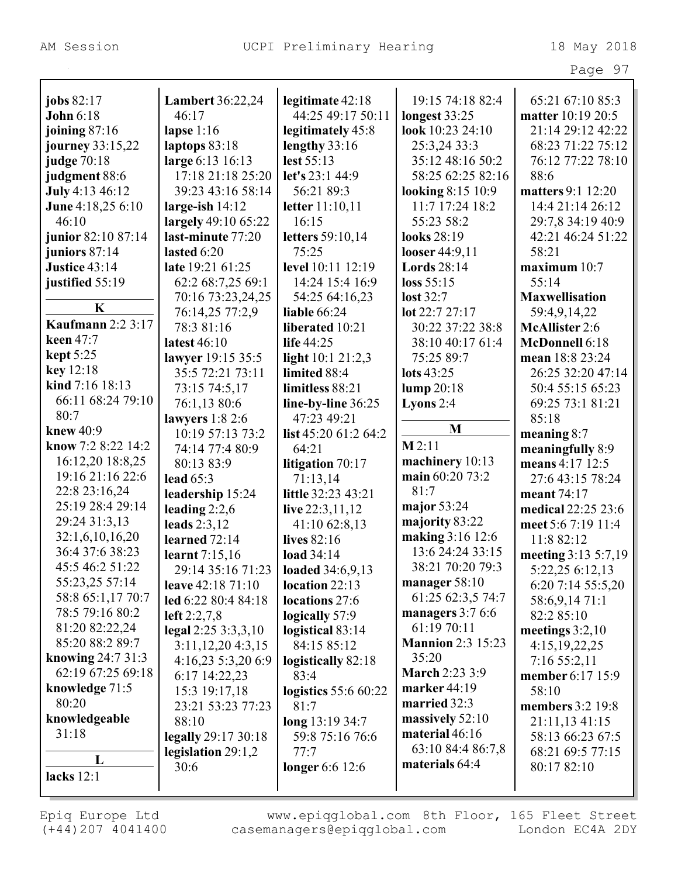|                                |                                  |                                       |                                    | Page 97                                |
|--------------------------------|----------------------------------|---------------------------------------|------------------------------------|----------------------------------------|
|                                |                                  |                                       |                                    |                                        |
| jobs 82:17<br><b>John 6:18</b> | <b>Lambert 36:22,24</b><br>46:17 | legitimate 42:18<br>44:25 49:17 50:11 | 19:15 74:18 82:4                   | 65:21 67:10 85:3                       |
|                                |                                  |                                       | longest 33:25                      | matter 10:19 20:5<br>21:14 29:12 42:22 |
| joining $87:16$                | lapse $1:16$                     | legitimately 45:8                     | look 10:23 24:10                   |                                        |
| journey 33:15,22               | laptops 83:18                    | lengthy 33:16                         | 25:3,24 33:3                       | 68:23 71:22 75:12                      |
| judge 70:18                    | large 6:13 16:13                 | lest 55:13                            | 35:12 48:16 50:2                   | 76:12 77:22 78:10                      |
| judgment 88:6                  | 17:18 21:18 25:20                | let's 23:1 44:9                       | 58:25 62:25 82:16                  | 88:6                                   |
| <b>July</b> 4:13 46:12         | 39:23 43:16 58:14                | 56:21 89:3                            | looking 8:15 10:9                  | matters 9:1 12:20                      |
| June 4:18,25 6:10              | large-ish $14:12$                | letter 11:10,11                       | 11:7 17:24 18:2                    | 14:4 21:14 26:12                       |
| 46:10                          | largely 49:10 65:22              | 16:15                                 | 55:23 58:2                         | 29:7,8 34:19 40:9                      |
| junior 82:10 87:14             | last-minute 77:20                | letters 59:10,14                      | looks 28:19                        | 42:21 46:24 51:22                      |
| juniors 87:14                  | lasted $6:20$                    | 75:25                                 | looser 44:9,11                     | 58:21                                  |
| Justice 43:14                  | late 19:21 61:25                 | level 10:11 12:19                     | <b>Lords</b> 28:14                 | maximum 10:7                           |
| justified 55:19                | 62:2 68:7,25 69:1                | 14:24 15:4 16:9                       | loss 55:15                         | 55:14                                  |
|                                | 70:16 73:23,24,25                | 54:25 64:16,23                        | lost $32:7$                        | <b>Maxwellisation</b>                  |
| $\mathbf K$                    | 76:14,25 77:2,9                  | <b>liable</b> 66:24                   | $\text{lot } 22:7 27:17$           | 59:4,9,14,22                           |
| <b>Kaufmann</b> 2:2 3:17       | 78:3 81:16                       | liberated 10:21                       | 30:22 37:22 38:8                   | <b>McAllister 2:6</b>                  |
| keen 47:7                      | latest 46:10                     | life $44:25$                          | 38:10 40:17 61:4                   | McDonnell 6:18                         |
| $\text{kept } 5:25$            | lawyer 19:15 35:5                | light $10:121:2,3$                    | 75:25 89:7                         | mean 18:8 23:24                        |
| key 12:18                      | 35:5 72:21 73:11                 | limited 88:4                          | lots 43:25                         | 26:25 32:20 47:14                      |
| kind 7:16 18:13                | 73:15 74:5,17                    | limitless 88:21                       | lump 20:18                         | 50:4 55:15 65:23                       |
| 66:11 68:24 79:10              | 76:1,13 80:6                     | line-by-line 36:25                    | Lyons $2:4$                        | 69:25 73:1 81:21                       |
| 80:7                           | lawyers $1:82:6$                 | 47:23 49:21                           |                                    | 85:18                                  |
| knew 40:9                      | 10:19 57:13 73:2                 | list $45:2061:264:2$                  | M                                  | meaning $8:7$                          |
| know 7:2 8:22 14:2             | 74:14 77:4 80:9                  | 64:21                                 | M2:11                              | meaningfully 8:9                       |
| 16:12,20 18:8,25               | 80:13 83:9                       | litigation 70:17                      | machinery 10:13                    | means 4:17 12:5                        |
| 19:16 21:16 22:6               | lead $65:3$                      | 71:13,14                              | main 60:20 73:2                    | 27:6 43:15 78:24                       |
| 22:8 23:16,24                  | leadership 15:24                 | little 32:23 43:21                    | 81:7                               | meant 74:17                            |
| 25:19 28:4 29:14               |                                  | live $22:3,11,12$                     | major $53:24$                      | medical 22:25 23:6                     |
| 29:24 31:3,13                  | leading $2:2,6$                  |                                       | majority 83:22                     |                                        |
| 32:1,6,10,16,20                | leads $2:3,12$                   | 41:10 62:8,13                         | making 3:16 12:6                   | meet 5:6 7:19 11:4                     |
| 36:4 37:6 38:23                | learned 72:14                    | lives 82:16                           | 13:6 24:24 33:15                   | 11:8 82:12                             |
| 45:5 46:2 51:22                | <b>learnt</b> 7:15,16            | load $34:14$                          | 38:21 70:20 79:3                   | meeting $3:13\ 5:7,19$                 |
| 55:23,25 57:14                 | 29:14 35:16 71:23                | loaded 34:6,9,13                      |                                    | 5:22,25 6:12,13                        |
| 58:8 65:1,17 70:7              | leave 42:18 71:10                | location 22:13                        | manager 58:10<br>61:25 62:3,5 74:7 | 6:20 7:14 55:5,20                      |
|                                | led 6:22 80:4 84:18              | locations 27:6                        |                                    | 58:6,9,14 71:1                         |
| 78:5 79:16 80:2                | left $2:2,7,8$                   | logically 57:9                        | managers $3:76:6$                  | 82:2 85:10                             |
| 81:20 82:22,24                 | legal $2:25$ $3:3,3,10$          | logistical 83:14                      | 61:19 70:11                        | meetings $3:2,10$                      |
| 85:20 88:2 89:7                | 3:11,12,204:3,15                 | 84:15 85:12                           | <b>Mannion 2:3 15:23</b>           | 4:15,19,22,25                          |
| knowing 24:7 31:3              | 4:16,23 5:3,20 6:9               | logistically 82:18                    | 35:20                              | 7:1655:2,11                            |
| 62:19 67:25 69:18              | 6:17 14:22,23                    | 83:4                                  | <b>March 2:23 3:9</b>              | member 6:17 15:9                       |
| knowledge 71:5                 | 15:3 19:17,18                    | logistics 55:6 60:22                  | marker 44:19                       | 58:10                                  |
| 80:20                          | 23:21 53:23 77:23                | 81:7                                  | married 32:3                       | members 3:2 19:8                       |
| knowledgeable                  | 88:10                            | long $13:1934:7$                      | massively $52:10$                  | 21:11,13 41:15                         |
| 31:18                          | legally 29:17 30:18              | 59:8 75:16 76:6                       | material 46:16                     | 58:13 66:23 67:5                       |
| L                              | legislation 29:1,2               | 77:7                                  | 63:10 84:4 86:7,8                  | 68:21 69:5 77:15                       |
|                                | 30:6                             | longer 6:6 12:6                       | materials 64:4                     | 80:17 82:10                            |
| lacks $12:1$                   |                                  |                                       |                                    |                                        |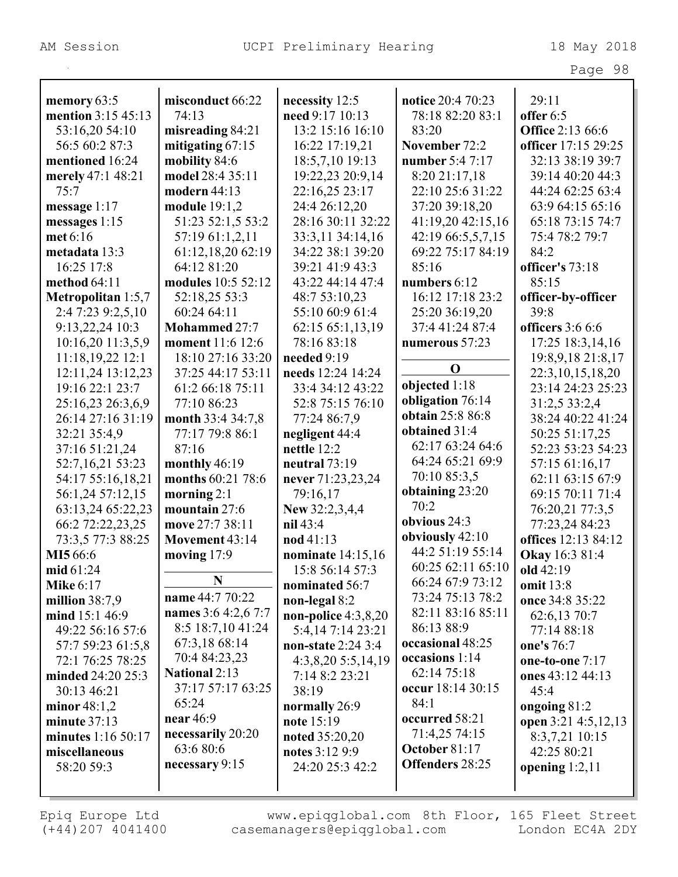|                           |                     |                          |                        | Page 98                 |
|---------------------------|---------------------|--------------------------|------------------------|-------------------------|
|                           |                     |                          |                        |                         |
| memory 63:5               | misconduct 66:22    | necessity 12:5           | notice 20:4 70:23      | 29:11                   |
| mention 3:15 45:13        | 74:13               | need 9:17 10:13          | 78:18 82:20 83:1       | offer 6:5               |
| 53:16,20 54:10            | misreading 84:21    | 13:2 15:16 16:10         | 83:20                  | <b>Office 2:13 66:6</b> |
| 56:5 60:2 87:3            | mitigating $67:15$  | 16:22 17:19,21           | November 72:2          | officer 17:15 29:25     |
| mentioned 16:24           | mobility 84:6       | 18:5,7,10 19:13          | number 5:4 7:17        | 32:13 38:19 39:7        |
| merely 47:1 48:21         | model 28:4 35:11    | 19:22,23 20:9,14         | 8:20 21:17,18          | 39:14 40:20 44:3        |
| 75:7                      | modern 44:13        | 22:16,25 23:17           | 22:10 25:6 31:22       | 44:24 62:25 63:4        |
| message $1:17$            | module 19:1,2       | 24:4 26:12,20            | 37:20 39:18,20         | 63:9 64:15 65:16        |
| messages $1:15$           | 51:23 52:1,5 53:2   | 28:16 30:11 32:22        | 41:19,20 42:15,16      | 65:18 73:15 74:7        |
| met 6:16                  | 57:19 61:1,2,11     | 33:3,11 34:14,16         | 42:19 66:5,5,7,15      | 75:4 78:2 79:7          |
| metadata 13:3             | 61:12,18,20 62:19   | 34:22 38:1 39:20         | 69:22 75:17 84:19      | 84:2                    |
| 16:25 17:8                | 64:12 81:20         | 39:21 41:9 43:3          | 85:16                  | officer's 73:18         |
| method 64:11              | modules 10:5 52:12  | 43:22 44:14 47:4         | numbers 6:12           | 85:15                   |
| <b>Metropolitan</b> 1:5,7 | 52:18,25 53:3       | 48:7 53:10,23            | 16:12 17:18 23:2       | officer-by-officer      |
| 2:4 7:23 9:2,5,10         | 60:24 64:11         | 55:10 60:9 61:4          | 25:20 36:19,20         | 39:8                    |
| 9:13,22,24 10:3           | Mohammed 27:7       | 62:15 65:1,13,19         | 37:4 41:24 87:4        | officers 3:6 6:6        |
| 10:16,20 11:3,5,9         | moment 11:6 12:6    | 78:16 83:18              | numerous 57:23         | 17:25 18:3,14,16        |
| 11:18,19,22 12:1          | 18:10 27:16 33:20   | needed 9:19              |                        | 19:8,9,18 21:8,17       |
| 12:11,24 13:12,23         | 37:25 44:17 53:11   | needs 12:24 14:24        | $\mathbf 0$            | 22:3, 10, 15, 18, 20    |
| 19:16 22:1 23:7           | 61:2 66:18 75:11    | 33:4 34:12 43:22         | objected 1:18          | 23:14 24:23 25:23       |
| 25:16,23 26:3,6,9         | 77:10 86:23         | 52:8 75:15 76:10         | obligation 76:14       | 31:2,5 33:2,4           |
| 26:14 27:16 31:19         | month 33:4 34:7,8   | 77:24 86:7,9             | obtain 25:8 86:8       | 38:24 40:22 41:24       |
| 32:21 35:4,9              | 77:17 79:8 86:1     | negligent 44:4           | obtained 31:4          | 50:25 51:17,25          |
|                           | 87:16               | nettle 12:2              | 62:17 63:24 64:6       | 52:23 53:23 54:23       |
| 37:16 51:21,24            |                     |                          | 64:24 65:21 69:9       |                         |
| 52:7,16,21 53:23          | monthly 46:19       | neutral $73:19$          | 70:10 85:3,5           | 57:15 61:16,17          |
| 54:17 55:16,18,21         | months 60:21 78:6   | never 71:23,23,24        | obtaining 23:20        | 62:11 63:15 67:9        |
| 56:1,24 57:12,15          | morning $2:1$       | 79:16,17                 | 70:2                   | 69:15 70:11 71:4        |
| 63:13,24 65:22,23         | mountain 27:6       | New 32:2,3,4,4           | obvious 24:3           | 76:20,21 77:3,5         |
| 66:2 72:22,23,25          | move 27:7 38:11     | nil 43:4                 |                        | 77:23,24 84:23          |
| 73:3,5 77:3 88:25         | Movement 43:14      | nod 41:13                | obviously 42:10        | offices 12:13 84:12     |
| MI5 66:6                  | moving 17:9         | <b>nominate</b> 14:15,16 | 44:2 51:19 55:14       | <b>Okay</b> 16:3 81:4   |
| mid $61:24$               | N                   | 15:8 56:14 57:3          | 60:25 62:11 65:10      | old $42:19$             |
| <b>Mike 6:17</b>          |                     | nominated 56:7           | 66:24 67:9 73:12       | <b>omit</b> 13:8        |
| million $38:7,9$          | name 44:7 70:22     | non-legal 8:2            | 73:24 75:13 78:2       | once 34:8 35:22         |
| mind $15:146:9$           | names 3:6 4:2,6 7:7 | non-police $4:3,8,20$    | 82:11 83:16 85:11      | 62:6,13 70:7            |
| 49:22 56:16 57:6          | 8:5 18:7,10 41:24   | 5:4,14 7:14 23:21        | 86:13 88:9             | 77:14 88:18             |
| 57:7 59:23 61:5,8         | 67:3,18 68:14       | non-state 2:24 3:4       | occasional 48:25       | one's 76:7              |
| 72:1 76:25 78:25          | 70:4 84:23,23       | 4:3,8,20 5:5,14,19       | occasions 1:14         | one-to-one $7:17$       |
| minded 24:20 25:3         | National 2:13       | 7:14 8:2 23:21           | 62:14 75:18            | ones 43:12 44:13        |
| 30:13 46:21               | 37:17 57:17 63:25   | 38:19                    | occur 18:14 30:15      | 45:4                    |
| minor 48:1,2              | 65:24               | normally 26:9            | 84:1                   | ongoing $81:2$          |
| minute $37:13$            | near 46:9           | note 15:19               | occurred 58:21         | open 3:21 4:5,12,13     |
| minutes 1:16 50:17        | necessarily 20:20   | noted 35:20,20           | 71:4,25 74:15          | 8:3,7,21 10:15          |
| miscellaneous             | 63:6 80:6           | notes 3:12 9:9           | October 81:17          | 42:25 80:21             |
| 58:20 59:3                | necessary 9:15      | 24:20 25:3 42:2          | <b>Offenders 28:25</b> | opening $1:2,11$        |
|                           |                     |                          |                        |                         |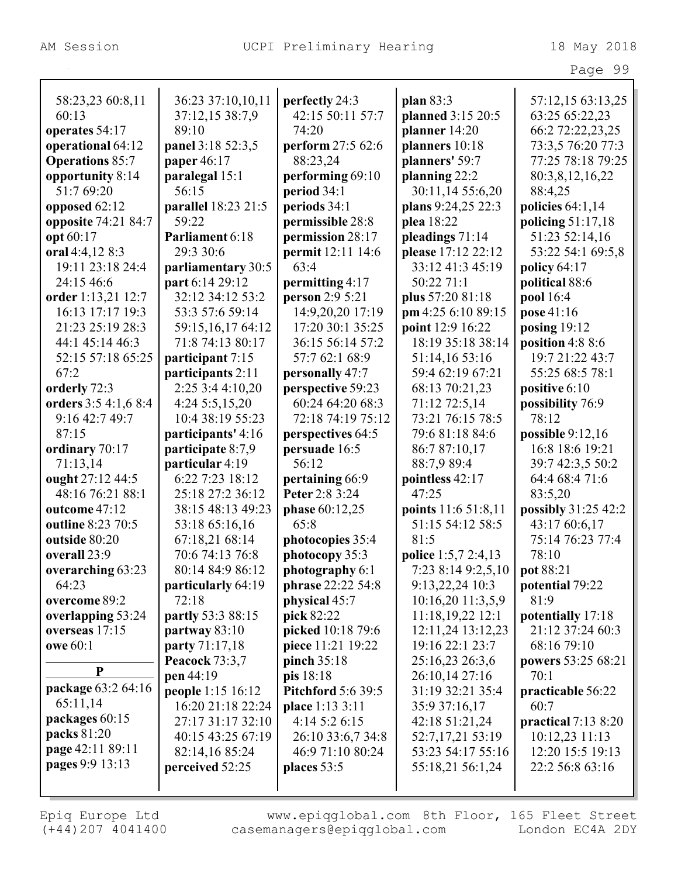|                        |                       |                           |                            | Page 99              |
|------------------------|-----------------------|---------------------------|----------------------------|----------------------|
|                        |                       |                           |                            |                      |
| 58:23,23 60:8,11       | 36:23 37:10,10,11     | perfectly 24:3            | plan 83:3                  | 57:12,15 63:13,25    |
| 60:13                  | 37:12,15 38:7,9       | 42:15 50:11 57:7          | planned 3:15 20:5          | 63:25 65:22,23       |
| operates 54:17         | 89:10                 | 74:20                     | planner 14:20              | 66:2 72:22,23,25     |
| operational 64:12      | panel 3:18 52:3,5     | perform 27:5 62:6         | planners 10:18             | 73:3,5 76:20 77:3    |
| <b>Operations 85:7</b> | paper 46:17           | 88:23,24                  | planners' 59:7             | 77:25 78:18 79:25    |
| opportunity 8:14       | paralegal 15:1        | performing 69:10          | planning 22:2              | 80:3,8,12,16,22      |
| 51:7 69:20             | 56:15                 | period 34:1               | 30:11,14 55:6,20           | 88:4,25              |
| opposed 62:12          | parallel 18:23 21:5   | periods 34:1              | plans 9:24,25 22:3         | policies $64:1,14$   |
| opposite 74:21 84:7    | 59:22                 | permissible 28:8          | plea 18:22                 | policing $51:17,18$  |
| opt 60:17              | Parliament 6:18       | permission 28:17          | pleadings 71:14            | 51:23 52:14,16       |
| oral 4:4,12 8:3        | 29:3 30:6             | permit 12:11 14:6         | please 17:12 22:12         | 53:22 54:1 69:5,8    |
| 19:11 23:18 24:4       | parliamentary 30:5    | 63:4                      | 33:12 41:3 45:19           | policy $64:17$       |
| 24:15 46:6             | part 6:14 29:12       | permitting 4:17           | 50:22 71:1                 | political 88:6       |
| order 1:13,21 12:7     | 32:12 34:12 53:2      | person 2:9 5:21           | plus 57:20 81:18           | pool 16:4            |
| 16:13 17:17 19:3       | 53:3 57:6 59:14       | 14:9,20,20 17:19          | pm 4:256:1089:15           | pose 41:16           |
| 21:23 25:19 28:3       | 59:15,16,17 64:12     | 17:20 30:1 35:25          | point 12:9 16:22           | posing $19:12$       |
| 44:1 45:14 46:3        | 71:8 74:13 80:17      | 36:15 56:14 57:2          | 18:19 35:18 38:14          | position $4:88:6$    |
| 52:15 57:18 65:25      | participant 7:15      | 57:7 62:1 68:9            | 51:14,16 53:16             | 19:7 21:22 43:7      |
| 67:2                   | participants 2:11     | personally 47:7           | 59:4 62:19 67:21           | 55:25 68:5 78:1      |
| orderly 72:3           | 2:25 3:4 4:10,20      | perspective 59:23         | 68:13 70:21,23             | positive 6:10        |
| orders 3:5 4:1,6 8:4   | 4:24 5:5,15,20        | 60:24 64:20 68:3          | 71:12 72:5,14              | possibility 76:9     |
| 9:16 42:7 49:7         | 10:4 38:19 55:23      | 72:18 74:19 75:12         | 73:21 76:15 78:5           | 78:12                |
| 87:15                  | participants' 4:16    | perspectives 64:5         | 79:6 81:18 84:6            | possible $9:12,16$   |
| ordinary 70:17         | participate 8:7,9     | persuade 16:5             | 86:7 87:10,17              | 16:8 18:6 19:21      |
| 71:13,14               | particular 4:19       | 56:12                     | 88:7,9 89:4                | 39:7 42:3,5 50:2     |
| ought 27:12 44:5       | 6:22 7:23 18:12       | pertaining 66:9           | pointless 42:17            | 64:4 68:4 71:6       |
| 48:16 76:21 88:1       | 25:18 27:2 36:12      | Peter 2:8 3:24            | 47:25                      | 83:5,20              |
| outcome 47:12          | 38:15 48:13 49:23     | phase 60:12,25            | points 11:6 51:8,11        | possibly 31:25 42:2  |
| outline 8:23 70:5      | 53:18 65:16,16        | 65:8                      | 51:15 54:12 58:5           | 43:17 60:6,17        |
| outside 80:20          | 67:18,21 68:14        | photocopies 35:4          | 81:5                       | 75:14 76:23 77:4     |
| overall 23:9           | 70:6 74:13 76:8       | photocopy 35:3            | <b>police</b> 1:5,7 2:4,13 | 78:10                |
| overarching 63:23      | 80:14 84:9 86:12      | photography 6:1           | 7:23 8:14 9:2,5,10         | pot 88:21            |
| 64:23                  | particularly 64:19    | phrase 22:22 54:8         | $9:13,22,24$ 10:3          | potential 79:22      |
| overcome 89:2          | 72:18                 | physical 45:7             | $10:16,20$ 11:3,5,9        | 81:9                 |
| overlapping 53:24      | partly 53:3 88:15     | pick 82:22                | 11:18,19,22 12:1           | potentially 17:18    |
| overseas 17:15         | partway 83:10         | picked 10:18 79:6         | 12:11,24 13:12,23          | 21:12 37:24 60:3     |
| <b>owe 60:1</b>        | party 71:17,18        | piece 11:21 19:22         | 19:16 22:1 23:7            | 68:16 79:10          |
| $\mathbf{P}$           | <b>Peacock 73:3,7</b> | pinch 35:18               | 25:16,23 26:3,6            | powers 53:25 68:21   |
|                        | pen 44:19             | pis 18:18                 | 26:10,14 27:16             | 70:1                 |
| package 63:2 64:16     | people 1:15 16:12     | <b>Pitchford 5:6 39:5</b> | 31:19 32:21 35:4           | practicable 56:22    |
| 65:11,14               | 16:20 21:18 22:24     | place 1:13 3:11           | 35:9 37:16,17              | 60:7                 |
| packages 60:15         | 27:17 31:17 32:10     | 4:14 5:2 6:15             | 42:18 51:21,24             | practical $7:138:20$ |
| packs 81:20            | 40:15 43:25 67:19     | 26:10 33:6,7 34:8         | 52:7,17,21 53:19           | 10:12,23 11:13       |
| page 42:11 89:11       | 82:14,16 85:24        | 46:9 71:10 80:24          | 53:23 54:17 55:16          | 12:20 15:5 19:13     |
| pages 9:9 13:13        | perceived 52:25       | places 53:5               | 55:18,21 56:1,24           | 22:2 56:8 63:16      |
|                        |                       |                           |                            |                      |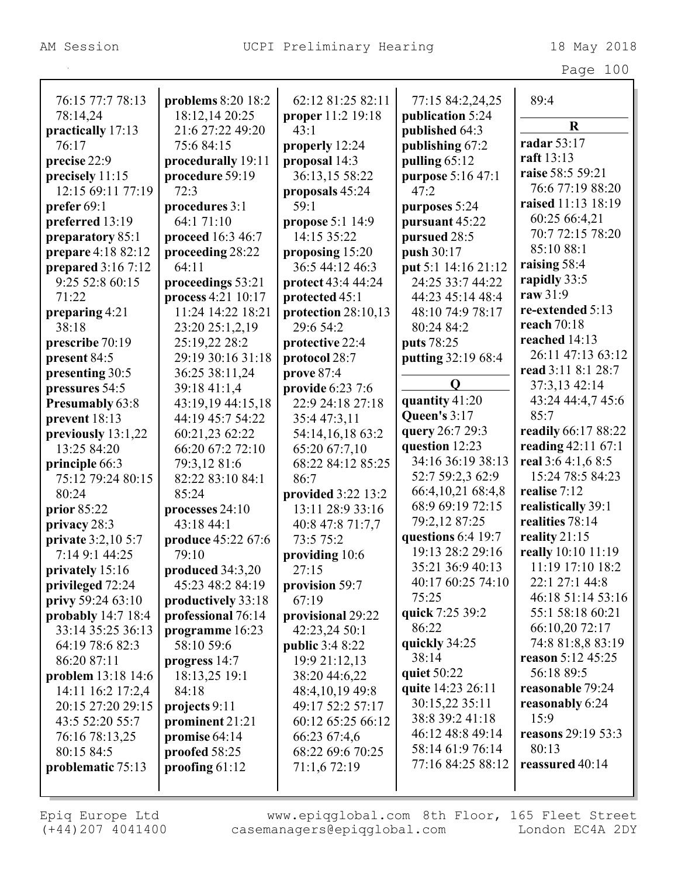|                           |                                      |                        |                                      | Page 100                 |
|---------------------------|--------------------------------------|------------------------|--------------------------------------|--------------------------|
| 76:15 77:7 78:13          |                                      | 62:12 81:25 82:11      |                                      | 89:4                     |
| 78:14,24                  | problems 8:20 18:2<br>18:12,14 20:25 | proper 11:2 19:18      | 77:15 84:2,24,25<br>publication 5:24 |                          |
| practically 17:13         | 21:6 27:22 49:20                     | 43:1                   | published 64:3                       | $\mathbf R$              |
| 76:17                     | 75:6 84:15                           | properly 12:24         | publishing 67:2                      | radar 53:17              |
| precise 22:9              | procedurally 19:11                   | proposal 14:3          | pulling 65:12                        | raft 13:13               |
| precisely 11:15           | procedure 59:19                      | 36:13,15 58:22         | purpose 5:16 47:1                    | raise 58:5 59:21         |
| 12:15 69:11 77:19         | 72:3                                 | proposals 45:24        | 47:2                                 | 76:6 77:19 88:20         |
| prefer 69:1               | procedures 3:1                       | 59:1                   | purposes 5:24                        | raised 11:13 18:19       |
| preferred 13:19           | 64:1 71:10                           | propose 5:1 14:9       | pursuant 45:22                       | 60:25 66:4,21            |
| preparatory 85:1          | proceed 16:3 46:7                    | 14:15 35:22            | pursued 28:5                         | 70:7 72:15 78:20         |
| prepare 4:18 82:12        | proceeding 28:22                     | proposing 15:20        | push 30:17                           | 85:10 88:1               |
| prepared 3:16 7:12        | 64:11                                | 36:5 44:12 46:3        | put 5:1 14:16 21:12                  | raising 58:4             |
| 9:25 52:8 60:15           | proceedings 53:21                    | protect 43:4 44:24     | 24:25 33:7 44:22                     | rapidly 33:5             |
| 71:22                     | process 4:21 10:17                   | protected 45:1         | 44:23 45:14 48:4                     | raw 31:9                 |
| preparing 4:21            | 11:24 14:22 18:21                    | protection $28:10,13$  | 48:10 74:9 78:17                     | re-extended 5:13         |
| 38:18                     | 23:20 25:1,2,19                      | 29:6 54:2              | 80:24 84:2                           | reach 70:18              |
| prescribe 70:19           | 25:19,22 28:2                        | protective 22:4        | puts 78:25                           | reached 14:13            |
| present 84:5              | 29:19 30:16 31:18                    | protocol 28:7          | putting 32:19 68:4                   | 26:11 47:13 63:12        |
| presenting 30:5           | 36:25 38:11,24                       | prove 87:4             |                                      | read 3:11 8:1 28:7       |
| pressures 54:5            | 39:18 41:1,4                         | provide 6:23 7:6       | Q                                    | 37:3,13 42:14            |
| Presumably 63:8           | 43:19,19 44:15,18                    | 22:9 24:18 27:18       | quantity 41:20                       | 43:24 44:4,7 45:6        |
| prevent 18:13             | 44:19 45:7 54:22                     | 35:4 47:3,11           | Queen's 3:17                         | 85:7                     |
| previously 13:1,22        | 60:21,23 62:22                       | 54:14,16,18 63:2       | query 26:7 29:3                      | readily 66:17 88:22      |
| 13:25 84:20               | 66:20 67:2 72:10                     | 65:20 67:7,10          | question 12:23                       | reading $42:11\,67:1$    |
| principle 66:3            | 79:3,12 81:6                         | 68:22 84:12 85:25      | 34:16 36:19 38:13                    | real 3:6 4:1,6 8:5       |
| 75:12 79:24 80:15         | 82:22 83:10 84:1                     | 86:7                   | 52:7 59:2,3 62:9                     | 15:24 78:5 84:23         |
| 80:24                     | 85:24                                | provided 3:22 13:2     | 66:4,10,21 68:4,8                    | realise 7:12             |
| prior $85:22$             | processes 24:10                      | 13:11 28:9 33:16       | 68:9 69:19 72:15                     | realistically 39:1       |
| privacy 28:3              | 43:18 44:1                           | 40:8 47:8 71:7,7       | 79:2,12 87:25                        | realities 78:14          |
| <b>private</b> 3:2,10 5:7 | produce 45:22 67:6                   | 73:5 75:2              | questions 6:4 19:7                   | reality $21:15$          |
| 7:14 9:1 44:25            | 79:10                                | providing 10:6         | 19:13 28:2 29:16                     | really 10:10 11:19       |
| privately 15:16           | produced $34:3,20$                   | 27:15                  | 35:21 36:9 40:13                     | 11:19 17:10 18:2         |
| privileged 72:24          | 45:23 48:2 84:19                     | provision 59:7         | 40:17 60:25 74:10                    | 22:1 27:1 44:8           |
| privy 59:24 63:10         | productively 33:18                   | 67:19                  | 75:25                                | 46:18 51:14 53:16        |
| probably $14:718:4$       | professional 76:14                   | provisional 29:22      | quick 7:25 39:2                      | 55:1 58:18 60:21         |
| 33:14 35:25 36:13         | programme 16:23                      | 42:23,24 50:1          | 86:22                                | 66:10,20 72:17           |
| 64:19 78:6 82:3           | 58:10 59:6                           | <b>public 3:4 8:22</b> | quickly 34:25                        | 74:8 81:8,8 83:19        |
| 86:20 87:11               | progress 14:7                        | 19:9 21:12,13          | 38:14                                | <b>reason</b> 5:12 45:25 |
| <b>problem</b> 13:18 14:6 | 18:13,25 19:1                        | 38:20 44:6,22          | quiet 50:22                          | 56:18 89:5               |
| 14:11 16:2 17:2,4         | 84:18                                | 48:4, 10, 19 49:8      | quite 14:23 26:11                    | reasonable 79:24         |
| 20:15 27:20 29:15         | projects 9:11                        | 49:17 52:2 57:17       | 30:15,22 35:11                       | reasonably 6:24          |
| 43:5 52:20 55:7           | prominent 21:21                      | 60:12 65:25 66:12      | 38:8 39:2 41:18                      | 15:9                     |
| 76:16 78:13,25            | promise 64:14                        | 66:23 67:4,6           | 46:12 48:8 49:14                     | reasons 29:19 53:3       |
| 80:15 84:5                | proofed 58:25                        | 68:22 69:6 70:25       | 58:14 61:9 76:14                     | 80:13                    |
| problematic 75:13         | proofing 61:12                       | 71:1,6 72:19           | 77:16 84:25 88:12                    | reassured 40:14          |
|                           |                                      |                        |                                      |                          |
|                           |                                      |                        |                                      |                          |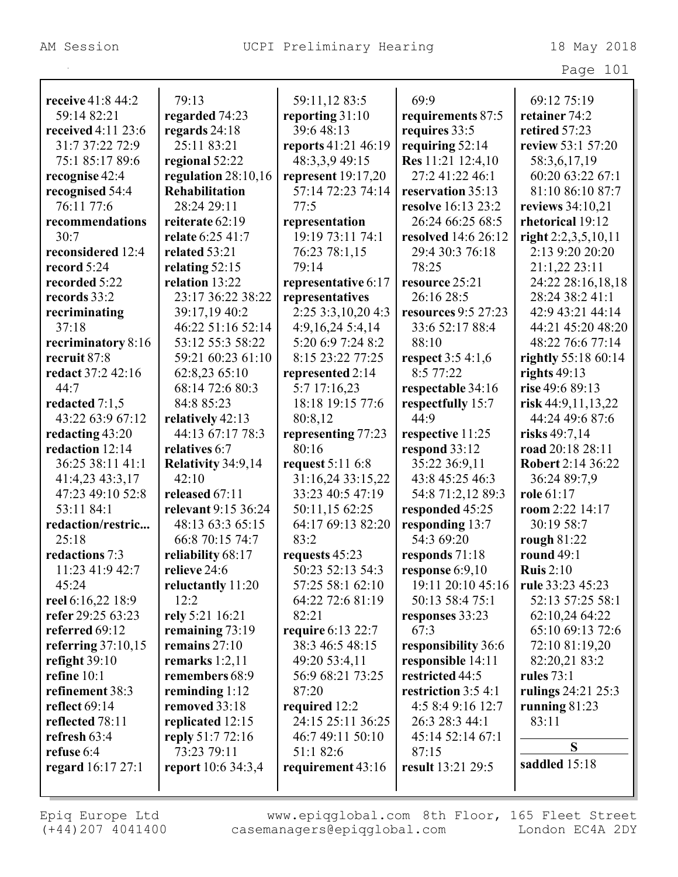|                          |                           |                                       |                                      | Page 101                   |
|--------------------------|---------------------------|---------------------------------------|--------------------------------------|----------------------------|
| receive 41:8 44:2        | 79:13                     | 59:11,12 83:5                         | 69:9                                 | 69:12 75:19                |
| 59:14 82:21              | regarded 74:23            | reporting 31:10                       |                                      | retainer 74:2              |
| received 4:11 23:6       | regards 24:18             | 39:6 48:13                            | requirements 87:5<br>requires 33:5   | retired 57:23              |
| 31:7 37:22 72:9          | 25:11 83:21               |                                       |                                      | review 53:1 57:20          |
| 75:1 85:17 89:6          |                           | reports 41:21 46:19<br>48:3,3,9 49:15 | requiring 52:14<br>Res 11:21 12:4,10 |                            |
|                          | regional 52:22            |                                       | 27:2 41:22 46:1                      | 58:3,6,17,19               |
| recognise 42:4           | regulation 28:10,16       | represent $19:17,20$                  |                                      | 60:20 63:22 67:1           |
| recognised 54:4          | <b>Rehabilitation</b>     | 57:14 72:23 74:14                     | reservation 35:13                    | 81:10 86:10 87:7           |
| 76:11 77:6               | 28:24 29:11               | 77:5                                  | resolve 16:13 23:2                   | reviews 34:10,21           |
| recommendations          | reiterate 62:19           | representation                        | 26:24 66:25 68:5                     | rhetorical 19:12           |
| 30:7                     | relate 6:25 41:7          | 19:19 73:11 74:1                      | <b>resolved</b> 14:6 26:12           | right $2:2,3,5,10,11$      |
| reconsidered 12:4        | related 53:21             | 76:23 78:1,15                         | 29:4 30:3 76:18                      | 2:13 9:20 20:20            |
| record 5:24              | relating $52:15$          | 79:14                                 | 78:25                                | 21:1,22 23:11              |
| recorded 5:22            | relation 13:22            | representative 6:17                   | resource 25:21                       | 24:22 28:16,18,18          |
| records 33:2             | 23:17 36:22 38:22         | representatives                       | 26:16 28:5                           | 28:24 38:2 41:1            |
| recriminating            | 39:17,19 40:2             | 2:25 3:3,10,20 4:3                    | <b>resources</b> 9:5 27:23           | 42:9 43:21 44:14           |
| 37:18                    | 46:22 51:16 52:14         | 4:9,16,24 5:4,14                      | 33:6 52:17 88:4                      | 44:21 45:20 48:20          |
| recriminatory 8:16       | 53:12 55:3 58:22          | 5:20 6:9 7:24 8:2                     | 88:10                                | 48:22 76:6 77:14           |
| recruit 87:8             | 59:21 60:23 61:10         | 8:15 23:22 77:25                      | <b>respect</b> 3:5 4:1,6             | <b>rightly</b> 55:18 60:14 |
| redact 37:2 42:16        | 62:8,23 65:10             | represented 2:14                      | 8:577:22                             | rights $49:13$             |
| 44:7                     | 68:14 72:6 80:3           | 5:7 17:16,23                          | respectable 34:16                    | rise 49:6 89:13            |
| redacted $7:1,5$         | 84:8 85:23                | 18:18 19:15 77:6                      | respectfully 15:7                    | risk $44:9,11,13,22$       |
| 43:22 63:9 67:12         | relatively 42:13          | 80:8,12                               | 44:9                                 | 44:24 49:6 87:6            |
| redacting 43:20          | 44:13 67:17 78:3          | representing 77:23                    | respective 11:25                     | risks 49:7,14              |
| redaction 12:14          | relatives 6:7             | 80:16                                 | respond 33:12                        | road 20:18 28:11           |
| 36:25 38:11 41:1         | Relativity 34:9,14        | <b>request</b> 5:11 6:8               | 35:22 36:9,11                        | Robert 2:14 36:22          |
| 41:4,23 43:3,17          | 42:10                     | 31:16,24 33:15,22                     | 43:8 45:25 46:3                      | 36:24 89:7,9               |
| 47:23 49:10 52:8         | released 67:11            | 33:23 40:5 47:19                      | 54:8 71:2,12 89:3                    | role 61:17                 |
| 53:11 84:1               | relevant 9:15 36:24       | 50:11,15 62:25                        | responded 45:25                      | room 2:22 14:17            |
| redaction/restric        | 48:13 63:3 65:15          | 64:17 69:13 82:20                     | responding 13:7                      | 30:19 58:7                 |
| 25:18                    | 66:8 70:15 74:7           | 83:2                                  | 54:3 69:20                           | rough 81:22                |
| redactions 7:3           | reliability 68:17         | requests 45:23                        | responds $71:18$                     | round 49:1                 |
| 11:23 41:9 42:7          | relieve 24:6              | 50:23 52:13 54:3                      | response $6:9,10$                    | Ruis $2:10$                |
| 45:24                    | reluctantly 11:20         | 57:25 58:1 62:10                      | 19:11 20:10 45:16                    | rule 33:23 45:23           |
| reel 6:16,22 18:9        | 12:2                      | 64:22 72:6 81:19                      | 50:13 58:4 75:1                      | 52:13 57:25 58:1           |
| refer 29:25 63:23        | rely 5:21 16:21           | 82:21                                 | responses 33:23                      | 62:10,24 64:22             |
| referred 69:12           | remaining $73:19$         | <b>require 6:13 22:7</b>              | 67:3                                 | 65:10 69:13 72:6           |
| referring $37:10,15$     | remains $27:10$           | 38:3 46:5 48:15                       | responsibility 36:6                  | 72:10 81:19,20             |
| refight $39:10$          | remarks $1:2,11$          | 49:20 53:4,11                         | responsible 14:11                    | 82:20,21 83:2              |
| refine 10:1              | remembers 68:9            | 56:9 68:21 73:25                      | restricted 44:5                      | <b>rules</b> 73:1          |
| refinement 38:3          | reminding $1:12$          | 87:20                                 | restriction 3:5 4:1                  | rulings 24:21 25:3         |
| reflect $69:14$          | removed 33:18             | required 12:2                         | 4:5 8:4 9:16 12:7                    | running $81:23$            |
| reflected 78:11          | replicated 12:15          | 24:15 25:11 36:25                     | 26:3 28:3 44:1                       | 83:11                      |
| refresh 63:4             | reply 51:7 72:16          | 46:7 49:11 50:10                      | 45:14 52:14 67:1                     |                            |
| refuse 6:4               | 73:23 79:11               | 51:1 82:6                             | 87:15                                | S                          |
|                          | <b>report</b> 10:6 34:3,4 |                                       | result 13:21 29:5                    | saddled 15:18              |
| <b>regard</b> 16:17 27:1 |                           | requirement 43:16                     |                                      |                            |
|                          |                           |                                       |                                      |                            |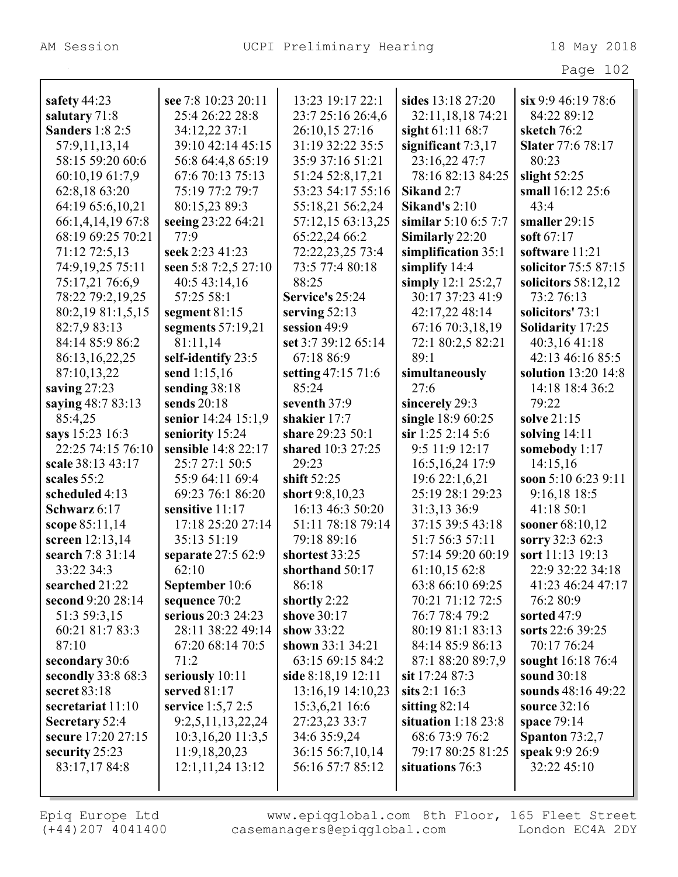Л

|                        |                      |                     |                      | Page 102                 |
|------------------------|----------------------|---------------------|----------------------|--------------------------|
| safety $44:23$         | see 7:8 10:23 20:11  | 13:23 19:17 22:1    | sides 13:18 27:20    | six 9:9 46:19 78:6       |
| salutary 71:8          | 25:4 26:22 28:8      | 23:7 25:16 26:4,6   | 32:11,18,18 74:21    | 84:22 89:12              |
| <b>Sanders</b> 1:8 2:5 | 34:12,22 37:1        | 26:10,15 27:16      | sight 61:11 68:7     | sketch 76:2              |
| 57:9,11,13,14          | 39:10 42:14 45:15    | 31:19 32:22 35:5    | significant $7:3,17$ | <b>Slater</b> 77:6 78:17 |
| 58:15 59:20 60:6       | 56:8 64:4,8 65:19    | 35:9 37:16 51:21    | 23:16,22 47:7        | 80:23                    |
| 60:10,19 61:7,9        | 67:6 70:13 75:13     | 51:24 52:8,17,21    | 78:16 82:13 84:25    | slight $52:25$           |
| 62:8,18 63:20          | 75:19 77:2 79:7      | 53:23 54:17 55:16   | Sikand 2:7           | small 16:12 25:6         |
| 64:19 65:6,10,21       | 80:15,23 89:3        | 55:18,21 56:2,24    | Sikand's $2:10$      | 43:4                     |
| 66:1,4,14,19 67:8      | seeing 23:22 64:21   | 57:12,15 63:13,25   | similar 5:10 6:5 7:7 | smaller 29:15            |
| 68:19 69:25 70:21      | 77:9                 | 65:22,24 66:2       | Similarly 22:20      | soft $67:17$             |
| 71:12 72:5,13          | seek 2:23 41:23      | 72:22,23,25 73:4    | simplification 35:1  | software 11:21           |
| 74:9,19,25 75:11       | seen 5:8 7:2,5 27:10 | 73:5 77:4 80:18     | simplify $14:4$      | solicitor 75:5 87:15     |
| 75:17,21 76:6,9        | 40:5 43:14,16        | 88:25               | simply $12:125:2,7$  | solicitors $58:12,12$    |
| 78:22 79:2,19,25       | 57:25 58:1           | Service's 25:24     | 30:17 37:23 41:9     | 73:2 76:13               |
| 80:2,19 81:1,5,15      | segment 81:15        | serving $52:13$     | 42:17,22 48:14       | solicitors' 73:1         |
| 82:7,9 83:13           | segments $57:19,21$  | session 49:9        | 67:16 70:3,18,19     | <b>Solidarity 17:25</b>  |
| 84:14 85:9 86:2        | 81:11,14             | set 3:7 39:12 65:14 | 72:1 80:2,5 82:21    | 40:3,16 41:18            |
| 86:13,16,22,25         | self-identify 23:5   | 67:18 86:9          | 89:1                 | 42:13 46:16 85:5         |
| 87:10,13,22            | send $1:15,16$       | setting 47:15 71:6  | simultaneously       | solution 13:20 14:8      |
| saving $27:23$         | sending 38:18        | 85:24               | 27:6                 | 14:18 18:4 36:2          |
| saying 48:7 83:13      | sends 20:18          | seventh 37:9        | sincerely 29:3       | 79:22                    |
| 85:4,25                | senior 14:24 15:1,9  | shakier 17:7        | single 18:9 60:25    | solve 21:15              |
| says 15:23 16:3        | seniority 15:24      | share 29:23 50:1    | sir 1:25 2:14 5:6    | solving $14:11$          |
| 22:25 74:15 76:10      | sensible 14:8 22:17  | shared 10:3 27:25   | 9:5 11:9 12:17       | somebody 1:17            |
| scale 38:13 43:17      | 25:7 27:1 50:5       | 29:23               | 16:5, 16, 24 17:9    | 14:15,16                 |
| scales 55:2            | 55:9 64:11 69:4      | shift 52:25         | 19:6 22:1,6,21       | soon 5:10 6:23 9:11      |
| scheduled 4:13         | 69:23 76:1 86:20     | short 9:8,10,23     | 25:19 28:1 29:23     | 9:16,18 18:5             |
| Schwarz 6:17           | sensitive 11:17      | 16:13 46:3 50:20    | 31:3,13 36:9         | 41:18 50:1               |
| scope $85:11,14$       | 17:18 25:20 27:14    | 51:11 78:18 79:14   | 37:15 39:5 43:18     | sooner 68:10,12          |
| screen 12:13,14        | 35:13 51:19          | 79:18 89:16         | 51:7 56:3 57:11      | sorry 32:3 62:3          |
| search 7:8 31:14       | separate 27:5 62:9   | shortest 33:25      | 57:14 59:20 60:19    | sort 11:13 19:13         |
| 33:22 34:3             | 62:10                | shorthand 50:17     | 61:10,15 62:8        | 22:9 32:22 34:18         |
| searched 21:22         | September 10:6       | 86:18               | 63:8 66:10 69:25     | 41:23 46:24 47:17        |
| second 9:20 28:14      | sequence 70:2        | shortly 2:22        | 70:21 71:12 72:5     | 76:2 80:9                |
| 51:3 59:3,15           | serious 20:3 24:23   | shove 30:17         | 76:7 78:4 79:2       | sorted $47:9$            |
| 60:21 81:7 83:3        | 28:11 38:22 49:14    | show 33:22          | 80:19 81:1 83:13     | sorts 22:6 39:25         |
| 87:10                  | 67:20 68:14 70:5     | shown 33:1 34:21    | 84:14 85:9 86:13     | 70:17 76:24              |
| secondary 30:6         | 71:2                 | 63:15 69:15 84:2    | 87:1 88:20 89:7,9    | sought 16:18 76:4        |
| secondly 33:8 68:3     | seriously 10:11      | side 8:18,19 12:11  | sit 17:24 87:3       | sound 30:18              |
| secret 83:18           | served 81:17         | 13:16,19 14:10,23   | sits $2:1\,16:3$     | sounds 48:16 49:22       |
| secretariat 11:10      | service 1:5,7 2:5    | 15:3,6,21 16:6      | sitting $82:14$      | source 32:16             |
| Secretary 52:4         | 9:2,5,11,13,22,24    | 27:23,23 33:7       | situation $1:1823:8$ | space 79:14              |
| secure 17:20 27:15     | 10:3,16,20 11:3,5    | 34:6 35:9,24        | 68:6 73:9 76:2       | Spanton $73:2,7$         |
| security 25:23         | 11:9,18,20,23        | 36:15 56:7,10,14    | 79:17 80:25 81:25    | speak 9:9 26:9           |
| 83:17,17 84:8          | 12:1,11,24 13:12     | 56:16 57:7 85:12    | situations 76:3      | 32:22 45:10              |
|                        |                      |                     |                      |                          |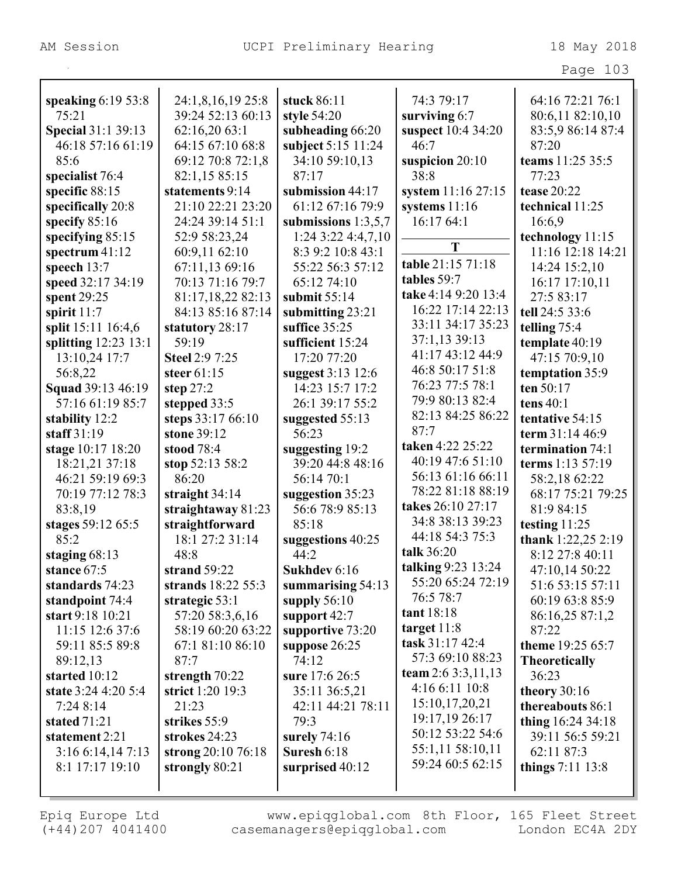|                        |                       |                       |                     | Page 103             |
|------------------------|-----------------------|-----------------------|---------------------|----------------------|
|                        |                       |                       |                     |                      |
| speaking $6:1953:8$    | 24:1,8,16,19 25:8     | stuck 86:11           | 74:3 79:17          | 64:16 72:21 76:1     |
| 75:21                  | 39:24 52:13 60:13     | style 54:20           | surviving 6:7       | 80:6,11 82:10,10     |
| Special 31:1 39:13     | 62:16,20 63:1         | subheading 66:20      | suspect 10:4 34:20  | 83:5,9 86:14 87:4    |
| 46:18 57:16 61:19      | 64:15 67:10 68:8      | subject 5:15 11:24    | 46:7                | 87:20                |
| 85:6                   | 69:12 70:8 72:1,8     | 34:10 59:10,13        | suspicion $20:10$   | teams 11:25 35:5     |
| specialist 76:4        | 82:1,15 85:15         | 87:17                 | 38:8                | 77:23                |
| specific 88:15         | statements 9:14       | submission 44:17      | system 11:16 27:15  | tease 20:22          |
| specifically 20:8      | 21:10 22:21 23:20     | 61:12 67:16 79:9      | systems $11:16$     | technical 11:25      |
| specify 85:16          | 24:24 39:14 51:1      | submissions $1:3,5,7$ | 16:17 64:1          | 16:6,9               |
| specifying $85:15$     | 52:9 58:23,24         | $1:24$ 3:22 4:4,7,10  |                     | technology 11:15     |
| spectrum $41:12$       | 60:9,11 62:10         | 8:3 9:2 10:8 43:1     | T                   | 11:16 12:18 14:21    |
| speech 13:7            | 67:11,13 69:16        | 55:22 56:3 57:12      | table 21:15 71:18   | 14:24 15:2,10        |
| speed 32:17 34:19      | 70:13 71:16 79:7      | 65:12 74:10           | tables 59:7         | 16:17 17:10,11       |
| spent 29:25            | 81:17,18,22 82:13     | submit $55:14$        | take 4:14 9:20 13:4 | 27:5 83:17           |
| spirit $11:7$          | 84:13 85:16 87:14     | submitting 23:21      | 16:22 17:14 22:13   | tell 24:5 33:6       |
| split 15:11 16:4,6     | statutory 28:17       | suffice 35:25         | 33:11 34:17 35:23   | telling 75:4         |
| splitting $12:23$ 13:1 | 59:19                 | sufficient 15:24      | 37:1,13 39:13       | template 40:19       |
| 13:10,24 17:7          | <b>Steel 2:9 7:25</b> | 17:20 77:20           | 41:17 43:12 44:9    | 47:15 70:9,10        |
| 56:8,22                | steer $61:15$         | suggest 3:13 12:6     | 46:8 50:17 51:8     | temptation 35:9      |
| Squad 39:13 46:19      | step $27:2$           | 14:23 15:7 17:2       | 76:23 77:5 78:1     | ten 50:17            |
| 57:16 61:19 85:7       | stepped 33:5          | 26:1 39:17 55:2       | 79:9 80:13 82:4     | tens $40:1$          |
| stability 12:2         | steps 33:17 66:10     | suggested 55:13       | 82:13 84:25 86:22   | tentative 54:15      |
| staff $31:19$          | stone 39:12           | 56:23                 | 87:7                | term 31:14 46:9      |
| stage 10:17 18:20      | stood 78:4            | suggesting 19:2       | taken 4:22 25:22    | termination 74:1     |
| 18:21,21 37:18         | stop 52:13 58:2       | 39:20 44:8 48:16      | 40:19 47:6 51:10    | terms 1:13 57:19     |
| 46:21 59:19 69:3       | 86:20                 | 56:14 70:1            | 56:13 61:16 66:11   | 58:2,18 62:22        |
| 70:19 77:12 78:3       | straight $34:14$      | suggestion 35:23      | 78:22 81:18 88:19   | 68:17 75:21 79:25    |
| 83:8,19                | straightaway 81:23    | 56:6 78:9 85:13       | takes 26:10 27:17   | 81:9 84:15           |
| stages 59:12 65:5      | straightforward       | 85:18                 | 34:8 38:13 39:23    | testing 11:25        |
| 85:2                   | 18:1 27:2 31:14       | suggestions 40:25     | 44:18 54:3 75:3     | thank 1:22,25 2:19   |
| staging 68:13          | 48:8                  | 44:2                  | talk 36:20          | 8:12 27:8 40:11      |
| stance 67:5            | strand $59:22$        | Sukhdev 6:16          | talking 9:23 13:24  | 47:10,14 50:22       |
| standards 74:23        | strands 18:22 55:3    | summarising $54:13$   | 55:20 65:24 72:19   | 51:6 53:15 57:11     |
| standpoint 74:4        | strategic $53:1$      | supply $56:10$        | 76:5 78:7           | 60:19 63:8 85:9      |
| start 9:18 10:21       | 57:20 58:3,6,16       | support $42:7$        | tant 18:18          | 86:16,25 87:1,2      |
| 11:15 12:6 37:6        | 58:19 60:20 63:22     | supportive 73:20      | target $11:8$       | 87:22                |
| 59:11 85:5 89:8        | 67:1 81:10 86:10      | suppose 26:25         | task $31:1742:4$    | theme 19:25 65:7     |
| 89:12,13               | 87:7                  | 74:12                 | 57:3 69:10 88:23    | <b>Theoretically</b> |
| started 10:12          | strength 70:22        | sure 17:6 26:5        | team $2:63:3,11,13$ | 36:23                |
| state 3:24 4:20 5:4    | strict 1:20 19:3      | 35:11 36:5,21         | 4:16 6:11 10:8      | theory 30:16         |
| 7:248:14               | 21:23                 | 42:11 44:21 78:11     | 15:10,17,20,21      | thereabouts 86:1     |
| stated 71:21           | strikes 55:9          | 79:3                  | 19:17,19 26:17      | thing $16:24\,34:18$ |
| statement 2:21         | strokes 24:23         | surely $74:16$        | 50:12 53:22 54:6    | 39:11 56:5 59:21     |
| 3:16 6:14,14 7:13      | strong $20:1076:18$   | Suresh 6:18           | 55:1,11 58:10,11    | 62:11 87:3           |
| 8:1 17:17 19:10        | strongly $80:21$      | surprised 40:12       | 59:24 60:5 62:15    | things $7:11$ 13:8   |
|                        |                       |                       |                     |                      |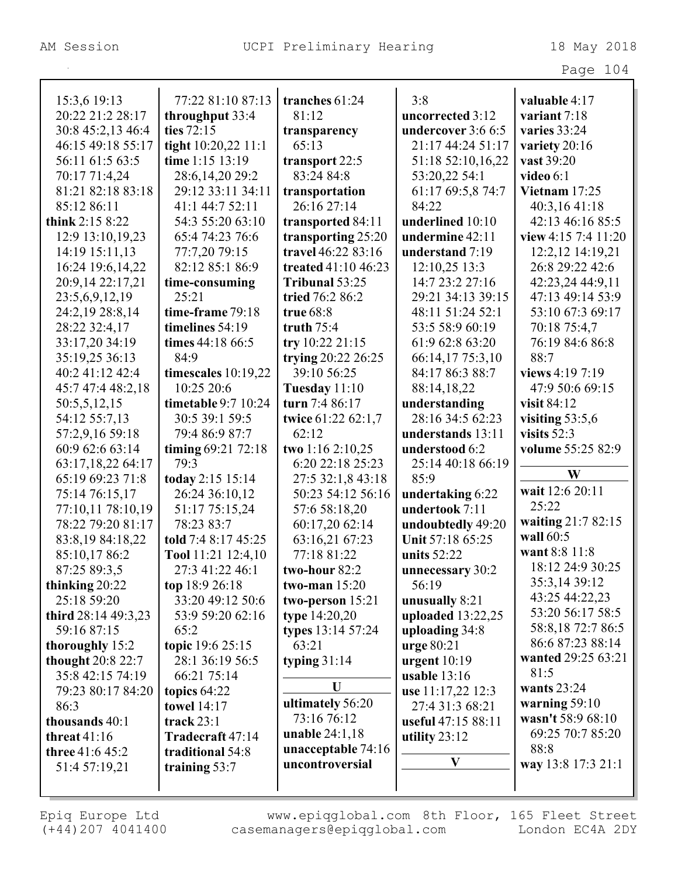| rage | 04 |
|------|----|
|------|----|

| 15:3,6 19:13        | 77:22 81:10 87:13     | tranches 61:24      | 3:8                | valuable 4:17       |
|---------------------|-----------------------|---------------------|--------------------|---------------------|
| 20:22 21:2 28:17    | throughput 33:4       | 81:12               | uncorrected 3:12   | variant 7:18        |
| 30:8 45:2,13 46:4   | ties 72:15            | transparency        | undercover 3:6 6:5 | varies 33:24        |
| 46:15 49:18 55:17   | tight 10:20,22 11:1   | 65:13               | 21:17 44:24 51:17  | variety 20:16       |
| 56:11 61:5 63:5     | time 1:15 13:19       | transport 22:5      | 51:18 52:10,16,22  | vast 39:20          |
| 70:17 71:4,24       | 28:6, 14, 20 29:2     | 83:24 84:8          | 53:20,22 54:1      | video $6:1$         |
| 81:21 82:18 83:18   | 29:12 33:11 34:11     | transportation      | 61:17 69:5,8 74:7  | Vietnam $17:25$     |
| 85:12 86:11         | 41:1 44:7 52:11       | 26:16 27:14         | 84:22              | 40:3,16 41:18       |
| think $2:158:22$    | 54:3 55:20 63:10      | transported 84:11   | underlined 10:10   | 42:13 46:16 85:5    |
| 12:9 13:10,19,23    | 65:4 74:23 76:6       | transporting 25:20  | undermine 42:11    | view 4:15 7:4 11:20 |
| 14:19 15:11,13      | 77:7,20 79:15         | travel 46:22 83:16  | understand 7:19    | 12:2,12 14:19,21    |
| 16:24 19:6,14,22    | 82:12 85:1 86:9       | treated 41:10 46:23 | 12:10,25 13:3      | 26:8 29:22 42:6     |
| 20:9,14 22:17,21    | time-consuming        | Tribunal 53:25      | 14:7 23:2 27:16    | 42:23,24 44:9,11    |
| 23:5,6,9,12,19      | 25:21                 | tried 76:2 86:2     | 29:21 34:13 39:15  | 47:13 49:14 53:9    |
| 24:2,19 28:8,14     | time-frame 79:18      | true 68:8           | 48:11 51:24 52:1   | 53:10 67:3 69:17    |
| 28:22 32:4,17       | timelines 54:19       | truth $75:4$        | 53:5 58:9 60:19    | 70:18 75:4,7        |
| 33:17,20 34:19      | times 44:18 66:5      | try 10:22 21:15     | 61:9 62:8 63:20    | 76:19 84:6 86:8     |
| 35:19,25 36:13      | 84:9                  | trying 20:22 26:25  | 66:14,17 75:3,10   | 88:7                |
| 40:2 41:12 42:4     | timescales 10:19,22   | 39:10 56:25         | 84:17 86:3 88:7    | views 4:19 7:19     |
| 45:7 47:4 48:2,18   | 10:25 20:6            | Tuesday 11:10       | 88:14,18,22        | 47:9 50:6 69:15     |
| 50:5,5,12,15        | timetable 9:7 10:24   | turn 7:4 86:17      | understanding      | visit 84:12         |
| 54:12 55:7,13       | 30:5 39:1 59:5        | twice 61:22 62:1,7  | 28:16 34:5 62:23   | visiting $53:5,6$   |
| 57:2,9,16 59:18     | 79:4 86:9 87:7        | 62:12               | understands 13:11  | visits $52:3$       |
| 60:9 62:6 63:14     | timing $69:21\,72:18$ | two 1:16 2:10,25    | understood 6:2     | volume 55:25 82:9   |
| 63:17,18,22 64:17   | 79:3                  | 6:20 22:18 25:23    | 25:14 40:18 66:19  |                     |
| 65:19 69:23 71:8    | today 2:15 15:14      | 27:5 32:1,8 43:18   | 85:9               | W                   |
| 75:14 76:15,17      | 26:24 36:10,12        | 50:23 54:12 56:16   | undertaking 6:22   | wait 12:6 20:11     |
| 77:10,11 78:10,19   | 51:17 75:15,24        | 57:6 58:18,20       | undertook 7:11     | 25:22               |
| 78:22 79:20 81:17   | 78:23 83:7            | 60:17,20 62:14      | undoubtedly 49:20  | waiting 21:7 82:15  |
| 83:8,19 84:18,22    | told 7:4 8:17 45:25   | 63:16,21 67:23      | Unit 57:18 65:25   | wall 60:5           |
| 85:10,17 86:2       | Tool 11:21 12:4,10    | 77:18 81:22         | units $52:22$      | want 8:8 11:8       |
| 87:25 89:3,5        | 27:3 41:22 46:1       | two-hour 82:2       | unnecessary 30:2   | 18:12 24:9 30:25    |
| thinking 20:22      | top 18:9 26:18        | two-man $15:20$     | 56:19              | 35:3,14 39:12       |
| 25:18 59:20         | 33:20 49:12 50:6      | two-person 15:21    | unusually 8:21     | 43:25 44:22,23      |
| third 28:14 49:3,23 | 53:9 59:20 62:16      | type $14:20,20$     | uploaded 13:22,25  | 53:20 56:17 58:5    |
| 59:16 87:15         | 65:2                  | types 13:14 57:24   | uploading 34:8     | 58:8,18 72:7 86:5   |
| thoroughly 15:2     | topic 19:6 25:15      | 63:21               | $ urge 80:21$      | 86:6 87:23 88:14    |
| thought 20:8 22:7   | 28:1 36:19 56:5       | typing $31:14$      | urgent $10:19$     | wanted 29:25 63:21  |
| 35:8 42:15 74:19    | 66:21 75:14           |                     | usable $13:16$     | 81:5                |
| 79:23 80:17 84:20   | topics $64:22$        | U                   | use 11:17,22 12:3  | wants 23:24         |
| 86:3                | <b>towel</b> 14:17    | ultimately 56:20    | 27:4 31:3 68:21    | warning $59:10$     |
| thousands 40:1      | track $23:1$          | 73:16 76:12         | useful 47:15 88:11 | wasn't 58:9 68:10   |
| threat $41:16$      | Tradecraft 47:14      | unable $24:1,18$    | utility $23:12$    | 69:25 70:7 85:20    |
| three 41:6 45:2     | traditional 54:8      | unacceptable 74:16  | $\mathbf{V}$       | 88:8                |
| 51:4 57:19,21       | training 53:7         | uncontroversial     |                    | way 13:8 17:3 21:1  |
|                     |                       |                     |                    |                     |